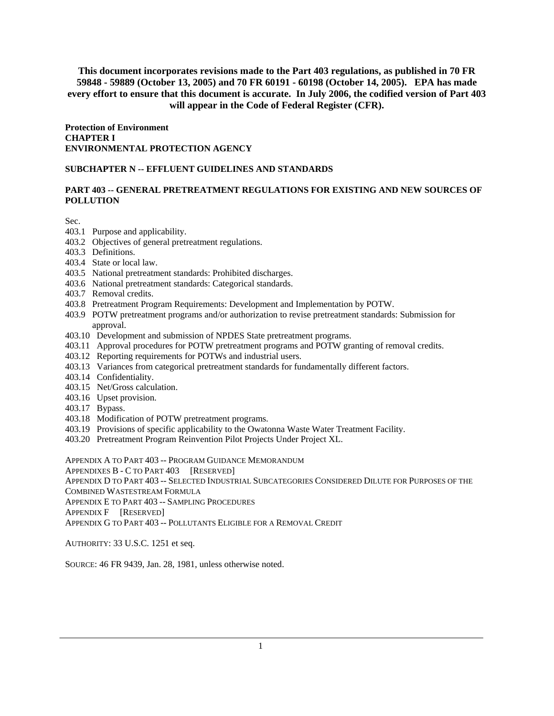**Protection of Environment CHAPTER I ENVIRONMENTAL PROTECTION AGENCY** 

#### **SUBCHAPTER N -- EFFLUENT GUIDELINES AND STANDARDS**

#### **PART 403 -- GENERAL PRETREATMENT REGULATIONS FOR EXISTING AND NEW SOURCES OF POLLUTION**

Sec.

- 403.1 Purpose and applicability.
- 403.2 Objectives of general pretreatment regulations.
- 403.3 Definitions.
- 403.4 State or local law.
- 403.5 National pretreatment standards: Prohibited discharges.
- 403.6 National pretreatment standards: Categorical standards.
- 403.7 Removal credits.
- 403.8 Pretreatment Program Requirements: Development and Implementation by POTW.
- 403.9 POTW pretreatment programs and/or authorization to revise pretreatment standards: Submission for approval.
- 403.10 Development and submission of NPDES State pretreatment programs.
- 403.11 Approval procedures for POTW pretreatment programs and POTW granting of removal credits.
- 403.12 Reporting requirements for POTWs and industrial users.
- 403.13 Variances from categorical pretreatment standards for fundamentally different factors.
- 403.14 Confidentiality.
- 403.15 Net/Gross calculation.
- 403.16 Upset provision.
- 403.17 Bypass.
- 403.18 Modification of POTW pretreatment programs.
- 403.19 Provisions of specific applicability to the Owatonna Waste Water Treatment Facility.
- 403.20 Pretreatment Program Reinvention Pilot Projects Under Project XL.

APPENDIX A TO PART 403 -- PROGRAM GUIDANCE MEMORANDUM

APPENDIXES B - C TO PART 403 [RESERVED]

APPENDIX D TO PART 403 -- SELECTED INDUSTRIAL SUBCATEGORIES CONSIDERED DILUTE FOR PURPOSES OF THE

COMBINED WASTESTREAM FORMULA

APPENDIX E TO PART 403 -- SAMPLING PROCEDURES

APPENDIX F [RESERVED]

APPENDIX G TO PART 403 -- POLLUTANTS ELIGIBLE FOR A REMOVAL CREDIT

AUTHORITY: 33 U.S.C. 1251 et seq.

SOURCE: 46 FR 9439, Jan. 28, 1981, unless otherwise noted.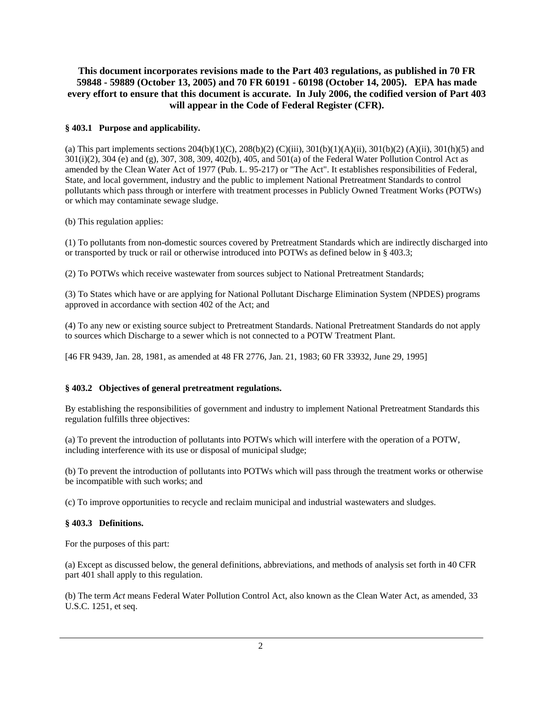#### **§ 403.1 Purpose and applicability.**

(a) This part implements sections  $204(b)(1)(C)$ ,  $208(b)(2)$  (C)(iii),  $301(b)(1)(A)(ii)$ ,  $301(b)(2)$  (A)(ii),  $301(h)(5)$  and 301(i)(2), 304 (e) and (g), 307, 308, 309, 402(b), 405, and 501(a) of the Federal Water Pollution Control Act as amended by the Clean Water Act of 1977 (Pub. L. 95-217) or "The Act". It establishes responsibilities of Federal, State, and local government, industry and the public to implement National Pretreatment Standards to control pollutants which pass through or interfere with treatment processes in Publicly Owned Treatment Works (POTWs) or which may contaminate sewage sludge.

(b) This regulation applies:

(1) To pollutants from non-domestic sources covered by Pretreatment Standards which are indirectly discharged into or transported by truck or rail or otherwise introduced into POTWs as defined below in § 403.3;

(2) To POTWs which receive wastewater from sources subject to National Pretreatment Standards;

(3) To States which have or are applying for National Pollutant Discharge Elimination System (NPDES) programs approved in accordance with section 402 of the Act; and

(4) To any new or existing source subject to Pretreatment Standards. National Pretreatment Standards do not apply to sources which Discharge to a sewer which is not connected to a POTW Treatment Plant.

[46 FR 9439, Jan. 28, 1981, as amended at 48 FR 2776, Jan. 21, 1983; 60 FR 33932, June 29, 1995]

#### **§ 403.2 Objectives of general pretreatment regulations.**

By establishing the responsibilities of government and industry to implement National Pretreatment Standards this regulation fulfills three objectives:

(a) To prevent the introduction of pollutants into POTWs which will interfere with the operation of a POTW, including interference with its use or disposal of municipal sludge;

(b) To prevent the introduction of pollutants into POTWs which will pass through the treatment works or otherwise be incompatible with such works; and

(c) To improve opportunities to recycle and reclaim municipal and industrial wastewaters and sludges.

#### **§ 403.3 Definitions.**

For the purposes of this part:

(a) Except as discussed below, the general definitions, abbreviations, and methods of analysis set forth in 40 CFR part 401 shall apply to this regulation.

(b) The term *Act* means Federal Water Pollution Control Act, also known as the Clean Water Act, as amended, 33 U.S.C. 1251, et seq.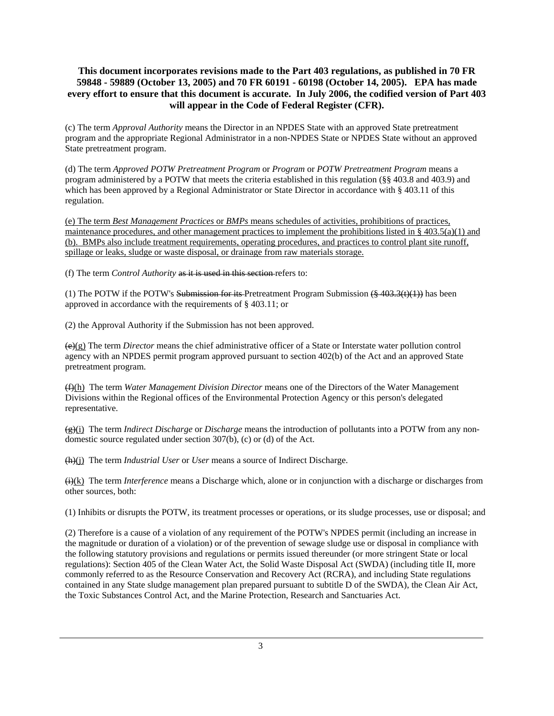(c) The term *Approval Authority* means the Director in an NPDES State with an approved State pretreatment program and the appropriate Regional Administrator in a non-NPDES State or NPDES State without an approved State pretreatment program.

(d) The term *Approved POTW Pretreatment Program* or *Program* or *POTW Pretreatment Program* means a program administered by a POTW that meets the criteria established in this regulation (§§ 403.8 and 403.9) and which has been approved by a Regional Administrator or State Director in accordance with § 403.11 of this regulation.

(e) The term *Best Management Practices* or *BMPs* means schedules of activities, prohibitions of practices, maintenance procedures, and other management practices to implement the prohibitions listed in  $\S$  403.5(a)(1) and (b). BMPs also include treatment requirements, operating procedures, and practices to control plant site runoff, spillage or leaks, sludge or waste disposal, or drainage from raw materials storage.

(f) The term *Control Authority* as it is used in this section refers to:

(1) The POTW if the POTW's Submission for its Pretreatment Program Submission  $(\frac{2403.3(t)(1)}{2})$  has been approved in accordance with the requirements of § 403.11; or

(2) the Approval Authority if the Submission has not been approved.

(e)(g) The term *Director* means the chief administrative officer of a State or Interstate water pollution control agency with an NPDES permit program approved pursuant to section 402(b) of the Act and an approved State pretreatment program.

(f)(h) The term *Water Management Division Director* means one of the Directors of the Water Management Divisions within the Regional offices of the Environmental Protection Agency or this person's delegated representative.

(g)(i) The term *Indirect Discharge* or *Discharge* means the introduction of pollutants into a POTW from any nondomestic source regulated under section 307(b), (c) or (d) of the Act.

(h)(j) The term *Industrial User* or *User* means a source of Indirect Discharge.

(i)(k) The term *Interference* means a Discharge which, alone or in conjunction with a discharge or discharges from other sources, both:

(1) Inhibits or disrupts the POTW, its treatment processes or operations, or its sludge processes, use or disposal; and

(2) Therefore is a cause of a violation of any requirement of the POTW's NPDES permit (including an increase in the magnitude or duration of a violation) or of the prevention of sewage sludge use or disposal in compliance with the following statutory provisions and regulations or permits issued thereunder (or more stringent State or local regulations): Section 405 of the Clean Water Act, the Solid Waste Disposal Act (SWDA) (including title II, more commonly referred to as the Resource Conservation and Recovery Act (RCRA), and including State regulations contained in any State sludge management plan prepared pursuant to subtitle D of the SWDA), the Clean Air Act, the Toxic Substances Control Act, and the Marine Protection, Research and Sanctuaries Act.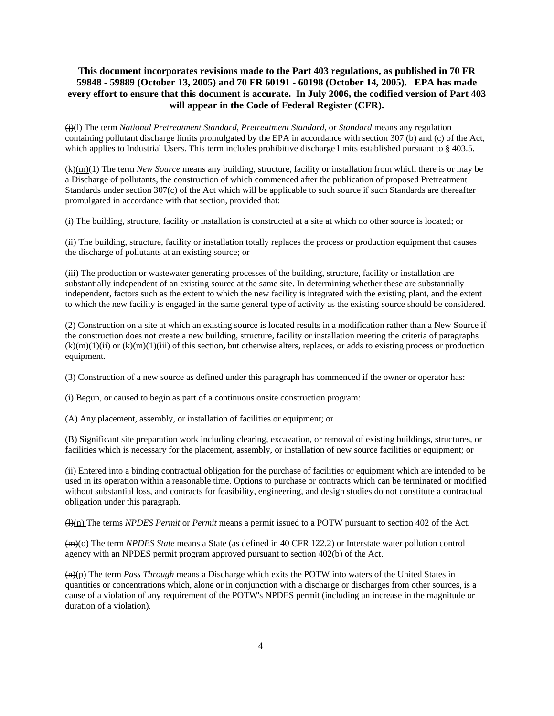(j)(l) The term *National Pretreatment Standard*, *Pretreatment Standard*, or *Standard* means any regulation containing pollutant discharge limits promulgated by the EPA in accordance with section 307 (b) and (c) of the Act, which applies to Industrial Users. This term includes prohibitive discharge limits established pursuant to § 403.5.

(k)(m)(1) The term *New Source* means any building, structure, facility or installation from which there is or may be a Discharge of pollutants, the construction of which commenced after the publication of proposed Pretreatment Standards under section 307(c) of the Act which will be applicable to such source if such Standards are thereafter promulgated in accordance with that section, provided that:

(i) The building, structure, facility or installation is constructed at a site at which no other source is located; or

(ii) The building, structure, facility or installation totally replaces the process or production equipment that causes the discharge of pollutants at an existing source; or

(iii) The production or wastewater generating processes of the building, structure, facility or installation are substantially independent of an existing source at the same site. In determining whether these are substantially independent, factors such as the extent to which the new facility is integrated with the existing plant, and the extent to which the new facility is engaged in the same general type of activity as the existing source should be considered.

(2) Construction on a site at which an existing source is located results in a modification rather than a New Source if the construction does not create a new building, structure, facility or installation meeting the criteria of paragraphs (k)(m)(1)(ii) or (k)(m)(1)(iii) of this section**,** but otherwise alters, replaces, or adds to existing process or production equipment.

(3) Construction of a new source as defined under this paragraph has commenced if the owner or operator has:

(i) Begun, or caused to begin as part of a continuous onsite construction program:

(A) Any placement, assembly, or installation of facilities or equipment; or

(B) Significant site preparation work including clearing, excavation, or removal of existing buildings, structures, or facilities which is necessary for the placement, assembly, or installation of new source facilities or equipment; or

(ii) Entered into a binding contractual obligation for the purchase of facilities or equipment which are intended to be used in its operation within a reasonable time. Options to purchase or contracts which can be terminated or modified without substantial loss, and contracts for feasibility, engineering, and design studies do not constitute a contractual obligation under this paragraph.

(l)(n) The terms *NPDES Permit* or *Permit* means a permit issued to a POTW pursuant to section 402 of the Act.

(m)(o) The term *NPDES State* means a State (as defined in 40 CFR 122.2) or Interstate water pollution control agency with an NPDES permit program approved pursuant to section 402(b) of the Act.

(n)(p) The term *Pass Through* means a Discharge which exits the POTW into waters of the United States in quantities or concentrations which, alone or in conjunction with a discharge or discharges from other sources, is a cause of a violation of any requirement of the POTW's NPDES permit (including an increase in the magnitude or duration of a violation).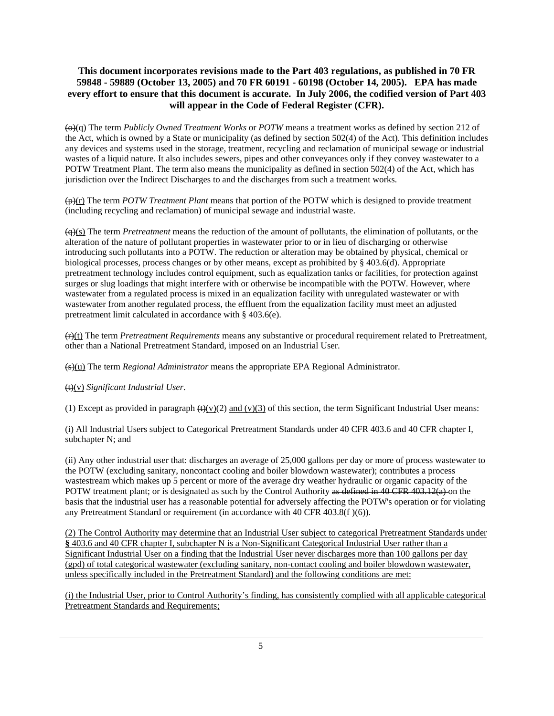(o)(q) The term *Publicly Owned Treatment Works* or *POTW* means a treatment works as defined by section 212 of the Act, which is owned by a State or municipality (as defined by section 502(4) of the Act). This definition includes any devices and systems used in the storage, treatment, recycling and reclamation of municipal sewage or industrial wastes of a liquid nature. It also includes sewers, pipes and other conveyances only if they convey wastewater to a POTW Treatment Plant. The term also means the municipality as defined in section 502(4) of the Act, which has jurisdiction over the Indirect Discharges to and the discharges from such a treatment works.

(p)(r) The term *POTW Treatment Plant* means that portion of the POTW which is designed to provide treatment (including recycling and reclamation) of municipal sewage and industrial waste.

(q)(s) The term *Pretreatment* means the reduction of the amount of pollutants, the elimination of pollutants, or the alteration of the nature of pollutant properties in wastewater prior to or in lieu of discharging or otherwise introducing such pollutants into a POTW. The reduction or alteration may be obtained by physical, chemical or biological processes, process changes or by other means, except as prohibited by § 403.6(d). Appropriate pretreatment technology includes control equipment, such as equalization tanks or facilities, for protection against surges or slug loadings that might interfere with or otherwise be incompatible with the POTW. However, where wastewater from a regulated process is mixed in an equalization facility with unregulated wastewater or with wastewater from another regulated process, the effluent from the equalization facility must meet an adjusted pretreatment limit calculated in accordance with § 403.6(e).

(r)(t) The term *Pretreatment Requirements* means any substantive or procedural requirement related to Pretreatment, other than a National Pretreatment Standard, imposed on an Industrial User.

(s)(u) The term *Regional Administrator* means the appropriate EPA Regional Administrator.

(t)(v) *Significant Industrial User*.

(1) Except as provided in paragraph  $\left(\frac{H}{V}\right)(2)$  and (v)(3) of this section, the term Significant Industrial User means:

(i) All Industrial Users subject to Categorical Pretreatment Standards under 40 CFR 403.6 and 40 CFR chapter I, subchapter N; and

(ii) Any other industrial user that: discharges an average of 25,000 gallons per day or more of process wastewater to the POTW (excluding sanitary, noncontact cooling and boiler blowdown wastewater); contributes a process wastestream which makes up 5 percent or more of the average dry weather hydraulic or organic capacity of the POTW treatment plant; or is designated as such by the Control Authority as defined in 40 CFR 403.12(a) on the basis that the industrial user has a reasonable potential for adversely affecting the POTW's operation or for violating any Pretreatment Standard or requirement (in accordance with 40 CFR 403.8(f )(6)).

(2) The Control Authority may determine that an Industrial User subject to categorical Pretreatment Standards under **§** 403.6 and 40 CFR chapter I, subchapter N is a Non-Significant Categorical Industrial User rather than a Significant Industrial User on a finding that the Industrial User never discharges more than 100 gallons per day (gpd) of total categorical wastewater (excluding sanitary, non-contact cooling and boiler blowdown wastewater, unless specifically included in the Pretreatment Standard) and the following conditions are met:

(i) the Industrial User, prior to Control Authority's finding, has consistently complied with all applicable categorical Pretreatment Standards and Requirements;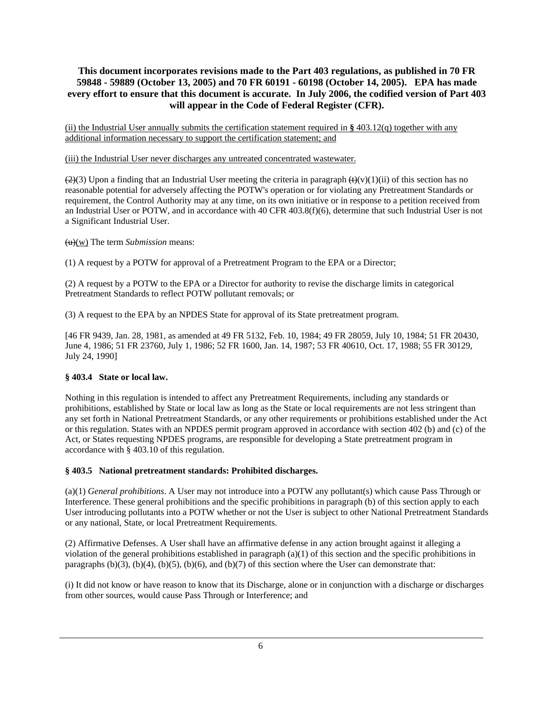(ii) the Industrial User annually submits the certification statement required in **§** 403.12(q) together with any additional information necessary to support the certification statement; and

(iii) the Industrial User never discharges any untreated concentrated wastewater.

 $(2)(3)$  Upon a finding that an Industrial User meeting the criteria in paragraph  $(\theta)(v)(1)(ii)$  of this section has no reasonable potential for adversely affecting the POTW's operation or for violating any Pretreatment Standards or requirement, the Control Authority may at any time, on its own initiative or in response to a petition received from an Industrial User or POTW, and in accordance with 40 CFR 403.8(f)(6), determine that such Industrial User is not a Significant Industrial User.

(u)(w) The term *Submission* means:

(1) A request by a POTW for approval of a Pretreatment Program to the EPA or a Director;

(2) A request by a POTW to the EPA or a Director for authority to revise the discharge limits in categorical Pretreatment Standards to reflect POTW pollutant removals; or

(3) A request to the EPA by an NPDES State for approval of its State pretreatment program.

[46 FR 9439, Jan. 28, 1981, as amended at 49 FR 5132, Feb. 10, 1984; 49 FR 28059, July 10, 1984; 51 FR 20430, June 4, 1986; 51 FR 23760, July 1, 1986; 52 FR 1600, Jan. 14, 1987; 53 FR 40610, Oct. 17, 1988; 55 FR 30129, July 24, 1990]

#### **§ 403.4 State or local law.**

Nothing in this regulation is intended to affect any Pretreatment Requirements, including any standards or prohibitions, established by State or local law as long as the State or local requirements are not less stringent than any set forth in National Pretreatment Standards, or any other requirements or prohibitions established under the Act or this regulation. States with an NPDES permit program approved in accordance with section 402 (b) and (c) of the Act, or States requesting NPDES programs, are responsible for developing a State pretreatment program in accordance with § 403.10 of this regulation.

#### **§ 403.5 National pretreatment standards: Prohibited discharges.**

(a)(1) *General prohibitions*. A User may not introduce into a POTW any pollutant(s) which cause Pass Through or Interference. These general prohibitions and the specific prohibitions in paragraph (b) of this section apply to each User introducing pollutants into a POTW whether or not the User is subject to other National Pretreatment Standards or any national, State, or local Pretreatment Requirements.

(2) Affirmative Defenses. A User shall have an affirmative defense in any action brought against it alleging a violation of the general prohibitions established in paragraph (a)(1) of this section and the specific prohibitions in paragraphs  $(b)(3)$ ,  $(b)(4)$ ,  $(b)(5)$ ,  $(b)(6)$ , and  $(b)(7)$  of this section where the User can demonstrate that:

(i) It did not know or have reason to know that its Discharge, alone or in conjunction with a discharge or discharges from other sources, would cause Pass Through or Interference; and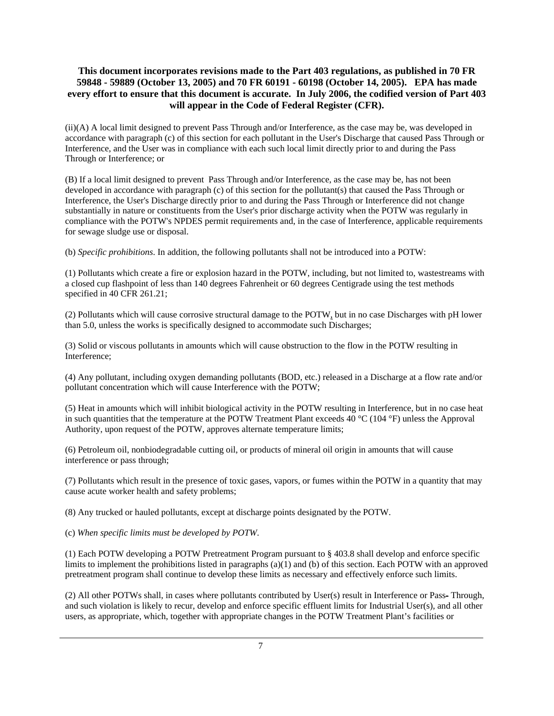(ii)(A) A local limit designed to prevent Pass Through and/or Interference, as the case may be, was developed in accordance with paragraph (c) of this section for each pollutant in the User's Discharge that caused Pass Through or Interference, and the User was in compliance with each such local limit directly prior to and during the Pass Through or Interference; or

(B) If a local limit designed to prevent Pass Through and/or Interference, as the case may be, has not been developed in accordance with paragraph (c) of this section for the pollutant(s) that caused the Pass Through or Interference, the User's Discharge directly prior to and during the Pass Through or Interference did not change substantially in nature or constituents from the User's prior discharge activity when the POTW was regularly in compliance with the POTW's NPDES permit requirements and, in the case of Interference, applicable requirements for sewage sludge use or disposal.

(b) *Specific prohibitions*. In addition, the following pollutants shall not be introduced into a POTW:

(1) Pollutants which create a fire or explosion hazard in the POTW, including, but not limited to, wastestreams with a closed cup flashpoint of less than 140 degrees Fahrenheit or 60 degrees Centigrade using the test methods specified in 40 CFR 261.21;

(2) Pollutants which will cause corrosive structural damage to the POTW, but in no case Discharges with pH lower than 5.0, unless the works is specifically designed to accommodate such Discharges;

(3) Solid or viscous pollutants in amounts which will cause obstruction to the flow in the POTW resulting in Interference;

(4) Any pollutant, including oxygen demanding pollutants (BOD, etc.) released in a Discharge at a flow rate and/or pollutant concentration which will cause Interference with the POTW;

(5) Heat in amounts which will inhibit biological activity in the POTW resulting in Interference, but in no case heat in such quantities that the temperature at the POTW Treatment Plant exceeds 40  $^{\circ}$ C (104  $^{\circ}$ F) unless the Approval Authority, upon request of the POTW, approves alternate temperature limits;

(6) Petroleum oil, nonbiodegradable cutting oil, or products of mineral oil origin in amounts that will cause interference or pass through;

(7) Pollutants which result in the presence of toxic gases, vapors, or fumes within the POTW in a quantity that may cause acute worker health and safety problems;

(8) Any trucked or hauled pollutants, except at discharge points designated by the POTW.

(c) *When specific limits must be developed by POTW*.

(1) Each POTW developing a POTW Pretreatment Program pursuant to § 403.8 shall develop and enforce specific limits to implement the prohibitions listed in paragraphs (a)(1) and (b) of this section. Each POTW with an approved pretreatment program shall continue to develop these limits as necessary and effectively enforce such limits.

(2) All other POTWs shall, in cases where pollutants contributed by User(s) result in Interference or Pass- Through, and such violation is likely to recur, develop and enforce specific effluent limits for Industrial User(s), and all other users, as appropriate, which, together with appropriate changes in the POTW Treatment Plant's facilities or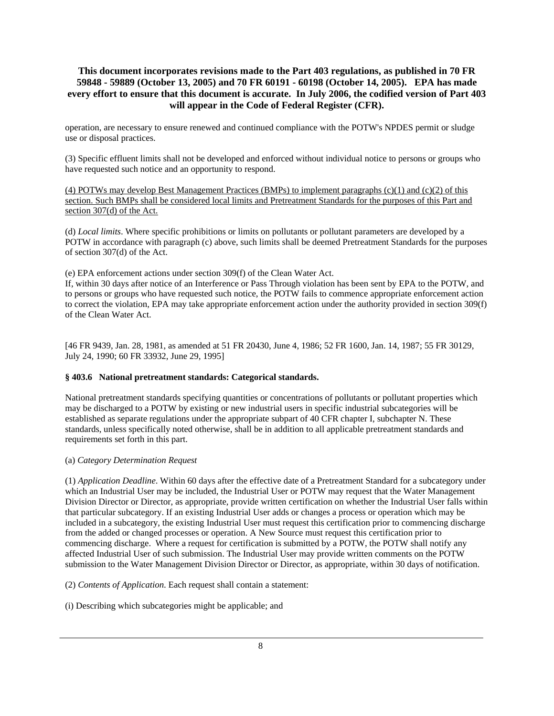operation, are necessary to ensure renewed and continued compliance with the POTW's NPDES permit or sludge use or disposal practices.

(3) Specific effluent limits shall not be developed and enforced without individual notice to persons or groups who have requested such notice and an opportunity to respond.

(4) POTWs may develop Best Management Practices (BMPs) to implement paragraphs (c)(1) and (c)(2) of this section. Such BMPs shall be considered local limits and Pretreatment Standards for the purposes of this Part and section 307(d) of the Act.

(d) *Local limits*. Where specific prohibitions or limits on pollutants or pollutant parameters are developed by a POTW in accordance with paragraph (c) above, such limits shall be deemed Pretreatment Standards for the purposes of section 307(d) of the Act.

(e) EPA enforcement actions under section 309(f) of the Clean Water Act.

If, within 30 days after notice of an Interference or Pass Through violation has been sent by EPA to the POTW, and to persons or groups who have requested such notice, the POTW fails to commence appropriate enforcement action to correct the violation, EPA may take appropriate enforcement action under the authority provided in section 309(f) of the Clean Water Act.

[46 FR 9439, Jan. 28, 1981, as amended at 51 FR 20430, June 4, 1986; 52 FR 1600, Jan. 14, 1987; 55 FR 30129, July 24, 1990; 60 FR 33932, June 29, 1995]

#### **§ 403.6 National pretreatment standards: Categorical standards.**

National pretreatment standards specifying quantities or concentrations of pollutants or pollutant properties which may be discharged to a POTW by existing or new industrial users in specific industrial subcategories will be established as separate regulations under the appropriate subpart of 40 CFR chapter I, subchapter N. These standards, unless specifically noted otherwise, shall be in addition to all applicable pretreatment standards and requirements set forth in this part.

#### (a) *Category Determination Request*

(1) *Application Deadline*. Within 60 days after the effective date of a Pretreatment Standard for a subcategory under which an Industrial User may be included, the Industrial User or POTW may request that the Water Management Division Director or Director, as appropriate, provide written certification on whether the Industrial User falls within that particular subcategory. If an existing Industrial User adds or changes a process or operation which may be included in a subcategory, the existing Industrial User must request this certification prior to commencing discharge from the added or changed processes or operation. A New Source must request this certification prior to commencing discharge. Where a request for certification is submitted by a POTW, the POTW shall notify any affected Industrial User of such submission. The Industrial User may provide written comments on the POTW submission to the Water Management Division Director or Director, as appropriate, within 30 days of notification.

(2) *Contents of Application*. Each request shall contain a statement:

(i) Describing which subcategories might be applicable; and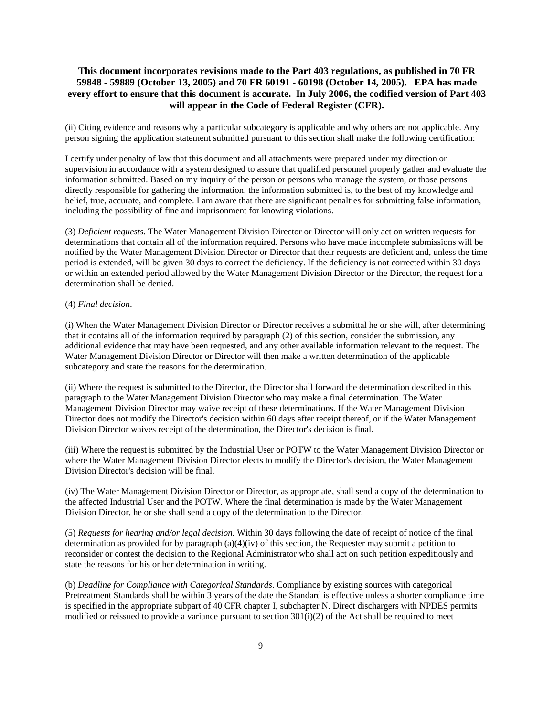(ii) Citing evidence and reasons why a particular subcategory is applicable and why others are not applicable. Any person signing the application statement submitted pursuant to this section shall make the following certification:

I certify under penalty of law that this document and all attachments were prepared under my direction or supervision in accordance with a system designed to assure that qualified personnel properly gather and evaluate the information submitted. Based on my inquiry of the person or persons who manage the system, or those persons directly responsible for gathering the information, the information submitted is, to the best of my knowledge and belief, true, accurate, and complete. I am aware that there are significant penalties for submitting false information, including the possibility of fine and imprisonment for knowing violations.

(3) *Deficient requests*. The Water Management Division Director or Director will only act on written requests for determinations that contain all of the information required. Persons who have made incomplete submissions will be notified by the Water Management Division Director or Director that their requests are deficient and, unless the time period is extended, will be given 30 days to correct the deficiency. If the deficiency is not corrected within 30 days or within an extended period allowed by the Water Management Division Director or the Director, the request for a determination shall be denied.

#### (4) *Final decision*.

(i) When the Water Management Division Director or Director receives a submittal he or she will, after determining that it contains all of the information required by paragraph (2) of this section, consider the submission, any additional evidence that may have been requested, and any other available information relevant to the request. The Water Management Division Director or Director will then make a written determination of the applicable subcategory and state the reasons for the determination.

(ii) Where the request is submitted to the Director, the Director shall forward the determination described in this paragraph to the Water Management Division Director who may make a final determination. The Water Management Division Director may waive receipt of these determinations. If the Water Management Division Director does not modify the Director's decision within 60 days after receipt thereof, or if the Water Management Division Director waives receipt of the determination, the Director's decision is final.

(iii) Where the request is submitted by the Industrial User or POTW to the Water Management Division Director or where the Water Management Division Director elects to modify the Director's decision, the Water Management Division Director's decision will be final.

(iv) The Water Management Division Director or Director, as appropriate, shall send a copy of the determination to the affected Industrial User and the POTW. Where the final determination is made by the Water Management Division Director, he or she shall send a copy of the determination to the Director.

(5) *Requests for hearing and/or legal decision*. Within 30 days following the date of receipt of notice of the final determination as provided for by paragraph (a)(4)(iv) of this section, the Requester may submit a petition to reconsider or contest the decision to the Regional Administrator who shall act on such petition expeditiously and state the reasons for his or her determination in writing.

(b) *Deadline for Compliance with Categorical Standards*. Compliance by existing sources with categorical Pretreatment Standards shall be within 3 years of the date the Standard is effective unless a shorter compliance time is specified in the appropriate subpart of 40 CFR chapter I, subchapter N. Direct dischargers with NPDES permits modified or reissued to provide a variance pursuant to section  $301(i)(2)$  of the Act shall be required to meet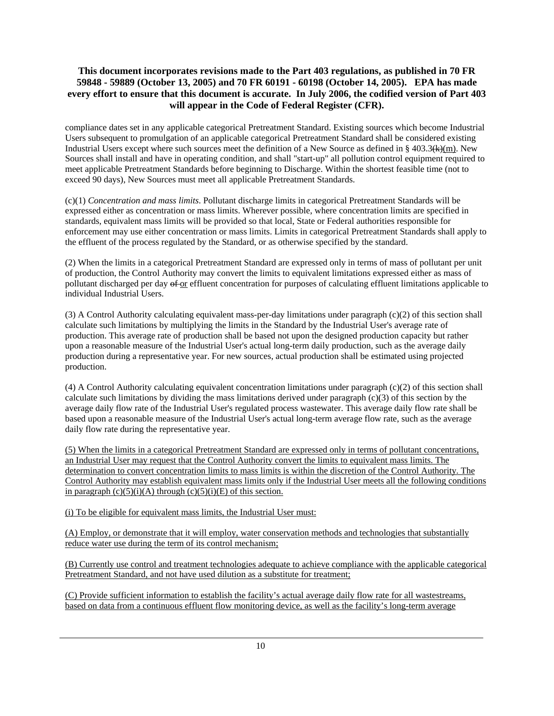compliance dates set in any applicable categorical Pretreatment Standard. Existing sources which become Industrial Users subsequent to promulgation of an applicable categorical Pretreatment Standard shall be considered existing Industrial Users except where such sources meet the definition of a New Source as defined in § 403.3( $k$ )(m). New Sources shall install and have in operating condition, and shall "start-up" all pollution control equipment required to meet applicable Pretreatment Standards before beginning to Discharge. Within the shortest feasible time (not to exceed 90 days), New Sources must meet all applicable Pretreatment Standards.

(c)(1) *Concentration and mass limits*. Pollutant discharge limits in categorical Pretreatment Standards will be expressed either as concentration or mass limits. Wherever possible, where concentration limits are specified in standards, equivalent mass limits will be provided so that local, State or Federal authorities responsible for enforcement may use either concentration or mass limits. Limits in categorical Pretreatment Standards shall apply to the effluent of the process regulated by the Standard, or as otherwise specified by the standard.

(2) When the limits in a categorical Pretreatment Standard are expressed only in terms of mass of pollutant per unit of production, the Control Authority may convert the limits to equivalent limitations expressed either as mass of pollutant discharged per day of or effluent concentration for purposes of calculating effluent limitations applicable to individual Industrial Users.

(3) A Control Authority calculating equivalent mass-per-day limitations under paragraph (c)(2) of this section shall calculate such limitations by multiplying the limits in the Standard by the Industrial User's average rate of production. This average rate of production shall be based not upon the designed production capacity but rather upon a reasonable measure of the Industrial User's actual long-term daily production, such as the average daily production during a representative year. For new sources, actual production shall be estimated using projected production.

(4) A Control Authority calculating equivalent concentration limitations under paragraph (c)(2) of this section shall calculate such limitations by dividing the mass limitations derived under paragraph (c)(3) of this section by the average daily flow rate of the Industrial User's regulated process wastewater. This average daily flow rate shall be based upon a reasonable measure of the Industrial User's actual long-term average flow rate, such as the average daily flow rate during the representative year.

(5) When the limits in a categorical Pretreatment Standard are expressed only in terms of pollutant concentrations, an Industrial User may request that the Control Authority convert the limits to equivalent mass limits. The determination to convert concentration limits to mass limits is within the discretion of the Control Authority. The Control Authority may establish equivalent mass limits only if the Industrial User meets all the following conditions in paragraph  $(c)(5)(i)(A)$  through  $(c)(5)(i)(E)$  of this section.

(i) To be eligible for equivalent mass limits, the Industrial User must:

(A) Employ, or demonstrate that it will employ, water conservation methods and technologies that substantially reduce water use during the term of its control mechanism;

(B) Currently use control and treatment technologies adequate to achieve compliance with the applicable categorical Pretreatment Standard, and not have used dilution as a substitute for treatment;

(C) Provide sufficient information to establish the facility's actual average daily flow rate for all wastestreams, based on data from a continuous effluent flow monitoring device, as well as the facility's long-term average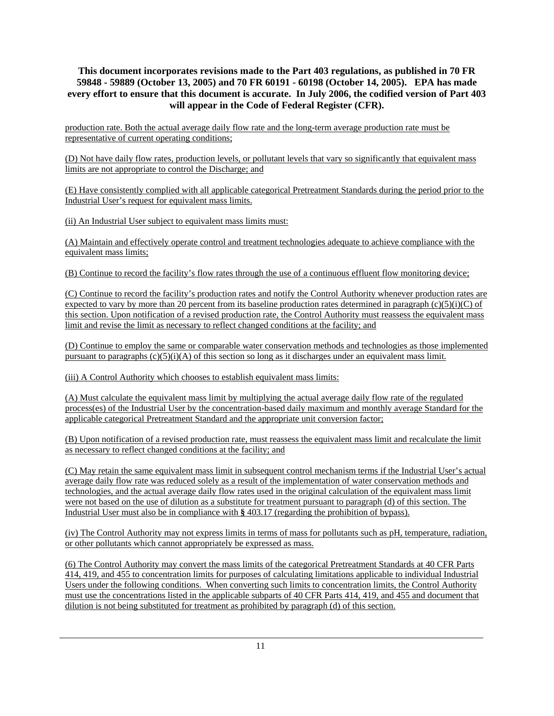production rate. Both the actual average daily flow rate and the long-term average production rate must be representative of current operating conditions;

(D) Not have daily flow rates, production levels, or pollutant levels that vary so significantly that equivalent mass limits are not appropriate to control the Discharge; and

(E) Have consistently complied with all applicable categorical Pretreatment Standards during the period prior to the Industrial User's request for equivalent mass limits.

(ii) An Industrial User subject to equivalent mass limits must:

(A) Maintain and effectively operate control and treatment technologies adequate to achieve compliance with the equivalent mass limits;

(B) Continue to record the facility's flow rates through the use of a continuous effluent flow monitoring device;

(C) Continue to record the facility's production rates and notify the Control Authority whenever production rates are expected to vary by more than 20 percent from its baseline production rates determined in paragraph  $(c)(5)(i)(C)$  of this section. Upon notification of a revised production rate, the Control Authority must reassess the equivalent mass limit and revise the limit as necessary to reflect changed conditions at the facility; and

(D) Continue to employ the same or comparable water conservation methods and technologies as those implemented pursuant to paragraphs  $(c)(5)(i)(A)$  of this section so long as it discharges under an equivalent mass limit.

(iii) A Control Authority which chooses to establish equivalent mass limits:

(A) Must calculate the equivalent mass limit by multiplying the actual average daily flow rate of the regulated process(es) of the Industrial User by the concentration-based daily maximum and monthly average Standard for the applicable categorical Pretreatment Standard and the appropriate unit conversion factor;

(B) Upon notification of a revised production rate, must reassess the equivalent mass limit and recalculate the limit as necessary to reflect changed conditions at the facility; and

(C) May retain the same equivalent mass limit in subsequent control mechanism terms if the Industrial User's actual average daily flow rate was reduced solely as a result of the implementation of water conservation methods and technologies, and the actual average daily flow rates used in the original calculation of the equivalent mass limit were not based on the use of dilution as a substitute for treatment pursuant to paragraph (d) of this section. The Industrial User must also be in compliance with **§** 403.17 (regarding the prohibition of bypass).

(iv) The Control Authority may not express limits in terms of mass for pollutants such as pH, temperature, radiation, or other pollutants which cannot appropriately be expressed as mass.

(6) The Control Authority may convert the mass limits of the categorical Pretreatment Standards at 40 CFR Parts 414, 419, and 455 to concentration limits for purposes of calculating limitations applicable to individual Industrial Users under the following conditions. When converting such limits to concentration limits, the Control Authority must use the concentrations listed in the applicable subparts of 40 CFR Parts 414, 419, and 455 and document that dilution is not being substituted for treatment as prohibited by paragraph (d) of this section.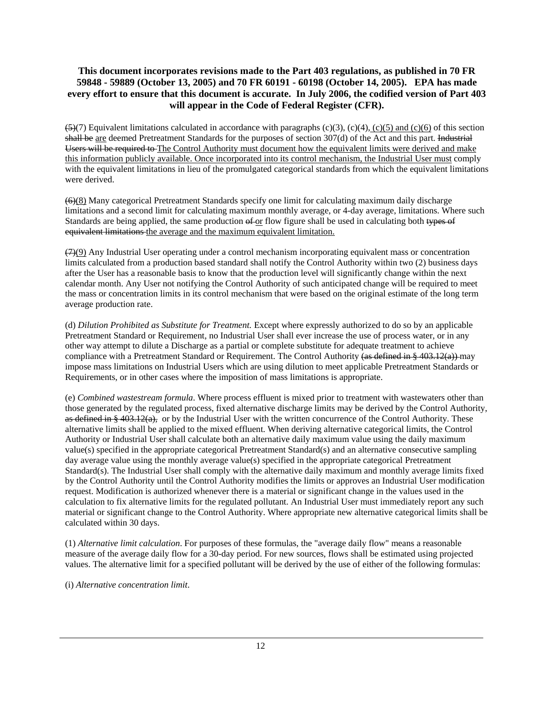$(5)(7)$  Equivalent limitations calculated in accordance with paragraphs (c)(3), (c)(4), (c)(5) and (c)(6) of this section shall be are deemed Pretreatment Standards for the purposes of section 307(d) of the Act and this part. Industrial Users will be required to The Control Authority must document how the equivalent limits were derived and make this information publicly available. Once incorporated into its control mechanism, the Industrial User must comply with the equivalent limitations in lieu of the promulgated categorical standards from which the equivalent limitations were derived.

(6)(8) Many categorical Pretreatment Standards specify one limit for calculating maximum daily discharge limitations and a second limit for calculating maximum monthly average, or 4-day average, limitations. Where such Standards are being applied, the same production  $\epsilon$  for flow figure shall be used in calculating both types of equivalent limitations the average and the maximum equivalent limitation.

(7)(9) Any Industrial User operating under a control mechanism incorporating equivalent mass or concentration limits calculated from a production based standard shall notify the Control Authority within two (2) business days after the User has a reasonable basis to know that the production level will significantly change within the next calendar month. Any User not notifying the Control Authority of such anticipated change will be required to meet the mass or concentration limits in its control mechanism that were based on the original estimate of the long term average production rate.

(d) *Dilution Prohibited as Substitute for Treatment.* Except where expressly authorized to do so by an applicable Pretreatment Standard or Requirement, no Industrial User shall ever increase the use of process water, or in any other way attempt to dilute a Discharge as a partial or complete substitute for adequate treatment to achieve compliance with a Pretreatment Standard or Requirement. The Control Authority (as defined in § 403.12(a)) may impose mass limitations on Industrial Users which are using dilution to meet applicable Pretreatment Standards or Requirements, or in other cases where the imposition of mass limitations is appropriate.

(e) *Combined wastestream formula*. Where process effluent is mixed prior to treatment with wastewaters other than those generated by the regulated process, fixed alternative discharge limits may be derived by the Control Authority, as defined in  $\frac{1}{2}(a)$ , or by the Industrial User with the written concurrence of the Control Authority. These alternative limits shall be applied to the mixed effluent. When deriving alternative categorical limits, the Control Authority or Industrial User shall calculate both an alternative daily maximum value using the daily maximum value(s) specified in the appropriate categorical Pretreatment Standard(s) and an alternative consecutive sampling day average value using the monthly average value(s) specified in the appropriate categorical Pretreatment Standard(s). The Industrial User shall comply with the alternative daily maximum and monthly average limits fixed by the Control Authority until the Control Authority modifies the limits or approves an Industrial User modification request. Modification is authorized whenever there is a material or significant change in the values used in the calculation to fix alternative limits for the regulated pollutant. An Industrial User must immediately report any such material or significant change to the Control Authority. Where appropriate new alternative categorical limits shall be calculated within 30 days.

(1) *Alternative limit calculation*. For purposes of these formulas, the "average daily flow" means a reasonable measure of the average daily flow for a 30-day period. For new sources, flows shall be estimated using projected values. The alternative limit for a specified pollutant will be derived by the use of either of the following formulas:

(i) *Alternative concentration limit*.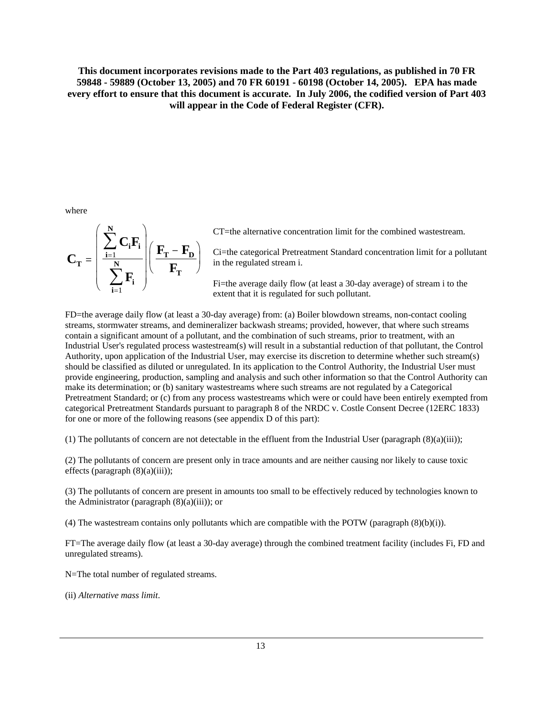where

$$
C_T = \left(\frac{\sum_{i=1}^N C_i F_i}{\sum_{i=1}^N F_i}\right) \left(\frac{F_T - F_D}{F_T}\right)
$$

CT=the alternative concentration limit for the combined wastestream.

Ci=the categorical Pretreatment Standard concentration limit for a pollutant in the regulated stream i.

Fi=the average daily flow (at least a 30-day average) of stream i to the extent that it is regulated for such pollutant.

FD=the average daily flow (at least a 30-day average) from: (a) Boiler blowdown streams, non-contact cooling streams, stormwater streams, and demineralizer backwash streams; provided, however, that where such streams contain a significant amount of a pollutant, and the combination of such streams, prior to treatment, with an Industrial User's regulated process wastestream(s) will result in a substantial reduction of that pollutant, the Control Authority, upon application of the Industrial User, may exercise its discretion to determine whether such stream(s) should be classified as diluted or unregulated. In its application to the Control Authority, the Industrial User must provide engineering, production, sampling and analysis and such other information so that the Control Authority can make its determination; or (b) sanitary wastestreams where such streams are not regulated by a Categorical Pretreatment Standard; or (c) from any process wastestreams which were or could have been entirely exempted from categorical Pretreatment Standards pursuant to paragraph 8 of the NRDC v. Costle Consent Decree (12ERC 1833) for one or more of the following reasons (see appendix D of this part):

(1) The pollutants of concern are not detectable in the effluent from the Industrial User (paragraph  $(8)(a)(iii)$ );

(2) The pollutants of concern are present only in trace amounts and are neither causing nor likely to cause toxic effects (paragraph (8)(a)(iii));

(3) The pollutants of concern are present in amounts too small to be effectively reduced by technologies known to the Administrator (paragraph  $(8)(a)(iii)$ ); or

(4) The wastestream contains only pollutants which are compatible with the POTW (paragraph (8)(b)(i)).

FT=The average daily flow (at least a 30-day average) through the combined treatment facility (includes Fi, FD and unregulated streams).

N=The total number of regulated streams.

(ii) *Alternative mass limit*.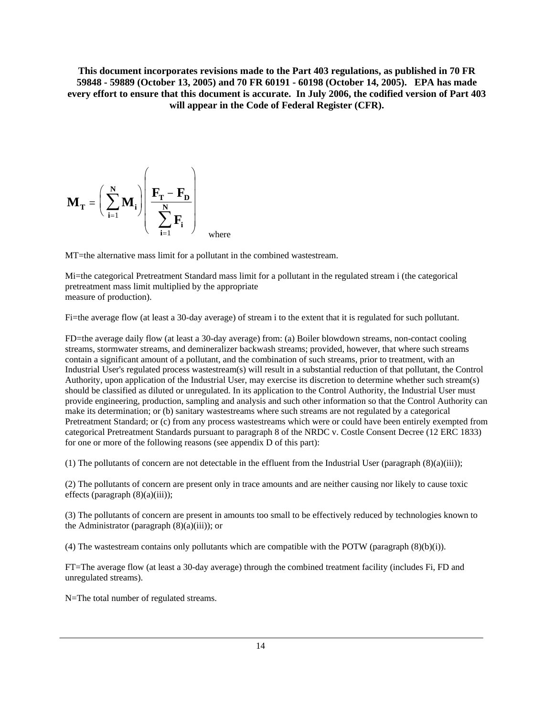$$
\mathbf{M}_{\mathbf{T}} = \left(\sum_{i=1}^{N} \mathbf{M}_{i}\right) \left(\frac{\mathbf{F}_{\mathbf{T}} - \mathbf{F}_{\mathbf{D}}}{\sum_{i=1}^{N} \mathbf{F}_{i}}\right)_{\text{where}}
$$

MT=the alternative mass limit for a pollutant in the combined wastestream.

Mi=the categorical Pretreatment Standard mass limit for a pollutant in the regulated stream i (the categorical pretreatment mass limit multiplied by the appropriate measure of production).

Fi=the average flow (at least a 30-day average) of stream i to the extent that it is regulated for such pollutant.

FD=the average daily flow (at least a 30-day average) from: (a) Boiler blowdown streams, non-contact cooling streams, stormwater streams, and demineralizer backwash streams; provided, however, that where such streams contain a significant amount of a pollutant, and the combination of such streams, prior to treatment, with an Industrial User's regulated process wastestream(s) will result in a substantial reduction of that pollutant, the Control Authority, upon application of the Industrial User, may exercise its discretion to determine whether such stream(s) should be classified as diluted or unregulated. In its application to the Control Authority, the Industrial User must provide engineering, production, sampling and analysis and such other information so that the Control Authority can make its determination; or (b) sanitary wastestreams where such streams are not regulated by a categorical Pretreatment Standard; or (c) from any process wastestreams which were or could have been entirely exempted from categorical Pretreatment Standards pursuant to paragraph 8 of the NRDC v. Costle Consent Decree (12 ERC 1833) for one or more of the following reasons (see appendix D of this part):

(1) The pollutants of concern are not detectable in the effluent from the Industrial User (paragraph  $(8)(a)(iii)$ );

(2) The pollutants of concern are present only in trace amounts and are neither causing nor likely to cause toxic effects (paragraph (8)(a)(iii));

(3) The pollutants of concern are present in amounts too small to be effectively reduced by technologies known to the Administrator (paragraph  $(8)(a)(iii)$ ); or

(4) The wastestream contains only pollutants which are compatible with the POTW (paragraph (8)(b)(i)).

FT=The average flow (at least a 30-day average) through the combined treatment facility (includes Fi, FD and unregulated streams).

N=The total number of regulated streams.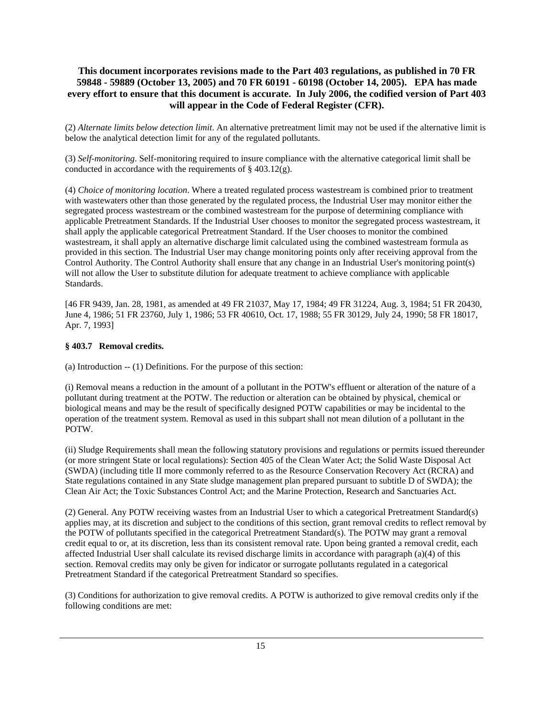(2) *Alternate limits below detection limit*. An alternative pretreatment limit may not be used if the alternative limit is below the analytical detection limit for any of the regulated pollutants.

(3) *Self-monitoring*. Self-monitoring required to insure compliance with the alternative categorical limit shall be conducted in accordance with the requirements of § 403.12(g).

(4) *Choice of monitoring location*. Where a treated regulated process wastestream is combined prior to treatment with wastewaters other than those generated by the regulated process, the Industrial User may monitor either the segregated process wastestream or the combined wastestream for the purpose of determining compliance with applicable Pretreatment Standards. If the Industrial User chooses to monitor the segregated process wastestream, it shall apply the applicable categorical Pretreatment Standard. If the User chooses to monitor the combined wastestream, it shall apply an alternative discharge limit calculated using the combined wastestream formula as provided in this section. The Industrial User may change monitoring points only after receiving approval from the Control Authority. The Control Authority shall ensure that any change in an Industrial User's monitoring point(s) will not allow the User to substitute dilution for adequate treatment to achieve compliance with applicable Standards.

[46 FR 9439, Jan. 28, 1981, as amended at 49 FR 21037, May 17, 1984; 49 FR 31224, Aug. 3, 1984; 51 FR 20430, June 4, 1986; 51 FR 23760, July 1, 1986; 53 FR 40610, Oct. 17, 1988; 55 FR 30129, July 24, 1990; 58 FR 18017, Apr. 7, 1993]

#### **§ 403.7 Removal credits.**

(a) Introduction -- (1) Definitions. For the purpose of this section:

(i) Removal means a reduction in the amount of a pollutant in the POTW's effluent or alteration of the nature of a pollutant during treatment at the POTW. The reduction or alteration can be obtained by physical, chemical or biological means and may be the result of specifically designed POTW capabilities or may be incidental to the operation of the treatment system. Removal as used in this subpart shall not mean dilution of a pollutant in the POTW.

(ii) Sludge Requirements shall mean the following statutory provisions and regulations or permits issued thereunder (or more stringent State or local regulations): Section 405 of the Clean Water Act; the Solid Waste Disposal Act (SWDA) (including title II more commonly referred to as the Resource Conservation Recovery Act (RCRA) and State regulations contained in any State sludge management plan prepared pursuant to subtitle D of SWDA); the Clean Air Act; the Toxic Substances Control Act; and the Marine Protection, Research and Sanctuaries Act.

(2) General. Any POTW receiving wastes from an Industrial User to which a categorical Pretreatment Standard(s) applies may, at its discretion and subject to the conditions of this section, grant removal credits to reflect removal by the POTW of pollutants specified in the categorical Pretreatment Standard(s). The POTW may grant a removal credit equal to or, at its discretion, less than its consistent removal rate. Upon being granted a removal credit, each affected Industrial User shall calculate its revised discharge limits in accordance with paragraph (a)(4) of this section. Removal credits may only be given for indicator or surrogate pollutants regulated in a categorical Pretreatment Standard if the categorical Pretreatment Standard so specifies.

(3) Conditions for authorization to give removal credits. A POTW is authorized to give removal credits only if the following conditions are met: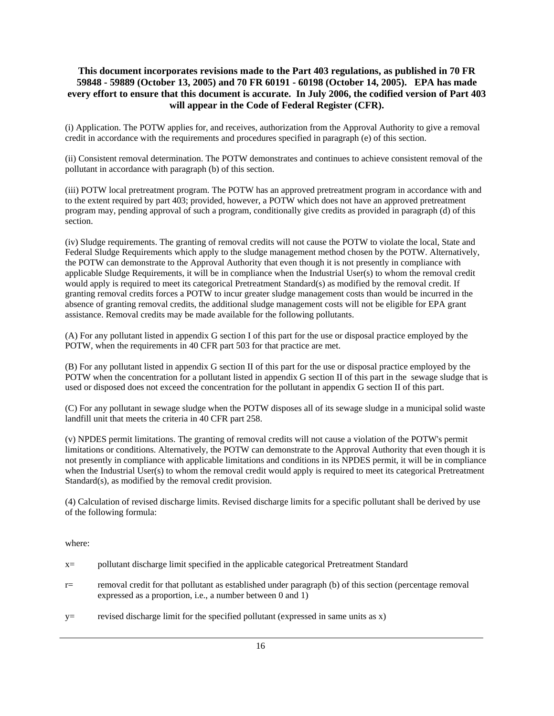(i) Application. The POTW applies for, and receives, authorization from the Approval Authority to give a removal credit in accordance with the requirements and procedures specified in paragraph (e) of this section.

(ii) Consistent removal determination. The POTW demonstrates and continues to achieve consistent removal of the pollutant in accordance with paragraph (b) of this section.

(iii) POTW local pretreatment program. The POTW has an approved pretreatment program in accordance with and to the extent required by part 403; provided, however, a POTW which does not have an approved pretreatment program may, pending approval of such a program, conditionally give credits as provided in paragraph (d) of this section.

(iv) Sludge requirements. The granting of removal credits will not cause the POTW to violate the local, State and Federal Sludge Requirements which apply to the sludge management method chosen by the POTW. Alternatively, the POTW can demonstrate to the Approval Authority that even though it is not presently in compliance with applicable Sludge Requirements, it will be in compliance when the Industrial User(s) to whom the removal credit would apply is required to meet its categorical Pretreatment Standard(s) as modified by the removal credit. If granting removal credits forces a POTW to incur greater sludge management costs than would be incurred in the absence of granting removal credits, the additional sludge management costs will not be eligible for EPA grant assistance. Removal credits may be made available for the following pollutants.

(A) For any pollutant listed in appendix G section I of this part for the use or disposal practice employed by the POTW, when the requirements in 40 CFR part 503 for that practice are met.

(B) For any pollutant listed in appendix G section II of this part for the use or disposal practice employed by the POTW when the concentration for a pollutant listed in appendix G section II of this part in the sewage sludge that is used or disposed does not exceed the concentration for the pollutant in appendix G section II of this part.

(C) For any pollutant in sewage sludge when the POTW disposes all of its sewage sludge in a municipal solid waste landfill unit that meets the criteria in 40 CFR part 258.

(v) NPDES permit limitations. The granting of removal credits will not cause a violation of the POTW's permit limitations or conditions. Alternatively, the POTW can demonstrate to the Approval Authority that even though it is not presently in compliance with applicable limitations and conditions in its NPDES permit, it will be in compliance when the Industrial User(s) to whom the removal credit would apply is required to meet its categorical Pretreatment Standard(s), as modified by the removal credit provision.

(4) Calculation of revised discharge limits. Revised discharge limits for a specific pollutant shall be derived by use of the following formula:

where:

- x= pollutant discharge limit specified in the applicable categorical Pretreatment Standard
- r= removal credit for that pollutant as established under paragraph (b) of this section (percentage removal expressed as a proportion, i.e., a number between 0 and 1)
- y= revised discharge limit for the specified pollutant (expressed in same units as x)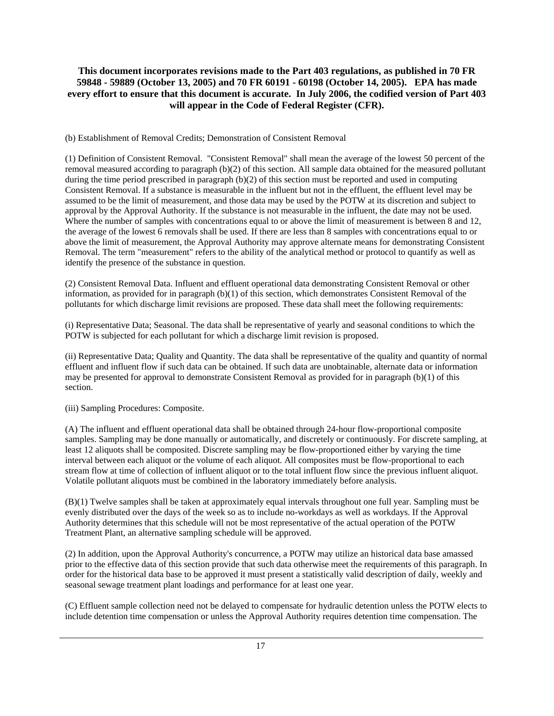(b) Establishment of Removal Credits; Demonstration of Consistent Removal

(1) Definition of Consistent Removal. "Consistent Removal" shall mean the average of the lowest 50 percent of the removal measured according to paragraph (b)(2) of this section. All sample data obtained for the measured pollutant during the time period prescribed in paragraph (b)(2) of this section must be reported and used in computing Consistent Removal. If a substance is measurable in the influent but not in the effluent, the effluent level may be assumed to be the limit of measurement, and those data may be used by the POTW at its discretion and subject to approval by the Approval Authority. If the substance is not measurable in the influent, the date may not be used. Where the number of samples with concentrations equal to or above the limit of measurement is between 8 and 12, the average of the lowest 6 removals shall be used. If there are less than 8 samples with concentrations equal to or above the limit of measurement, the Approval Authority may approve alternate means for demonstrating Consistent Removal. The term "measurement" refers to the ability of the analytical method or protocol to quantify as well as identify the presence of the substance in question.

(2) Consistent Removal Data. Influent and effluent operational data demonstrating Consistent Removal or other information, as provided for in paragraph (b)(1) of this section, which demonstrates Consistent Removal of the pollutants for which discharge limit revisions are proposed. These data shall meet the following requirements:

(i) Representative Data; Seasonal. The data shall be representative of yearly and seasonal conditions to which the POTW is subjected for each pollutant for which a discharge limit revision is proposed.

(ii) Representative Data; Quality and Quantity. The data shall be representative of the quality and quantity of normal effluent and influent flow if such data can be obtained. If such data are unobtainable, alternate data or information may be presented for approval to demonstrate Consistent Removal as provided for in paragraph (b)(1) of this section.

(iii) Sampling Procedures: Composite.

(A) The influent and effluent operational data shall be obtained through 24-hour flow-proportional composite samples. Sampling may be done manually or automatically, and discretely or continuously. For discrete sampling, at least 12 aliquots shall be composited. Discrete sampling may be flow-proportioned either by varying the time interval between each aliquot or the volume of each aliquot. All composites must be flow-proportional to each stream flow at time of collection of influent aliquot or to the total influent flow since the previous influent aliquot. Volatile pollutant aliquots must be combined in the laboratory immediately before analysis.

(B)(1) Twelve samples shall be taken at approximately equal intervals throughout one full year. Sampling must be evenly distributed over the days of the week so as to include no-workdays as well as workdays. If the Approval Authority determines that this schedule will not be most representative of the actual operation of the POTW Treatment Plant, an alternative sampling schedule will be approved.

(2) In addition, upon the Approval Authority's concurrence, a POTW may utilize an historical data base amassed prior to the effective data of this section provide that such data otherwise meet the requirements of this paragraph. In order for the historical data base to be approved it must present a statistically valid description of daily, weekly and seasonal sewage treatment plant loadings and performance for at least one year.

(C) Effluent sample collection need not be delayed to compensate for hydraulic detention unless the POTW elects to include detention time compensation or unless the Approval Authority requires detention time compensation. The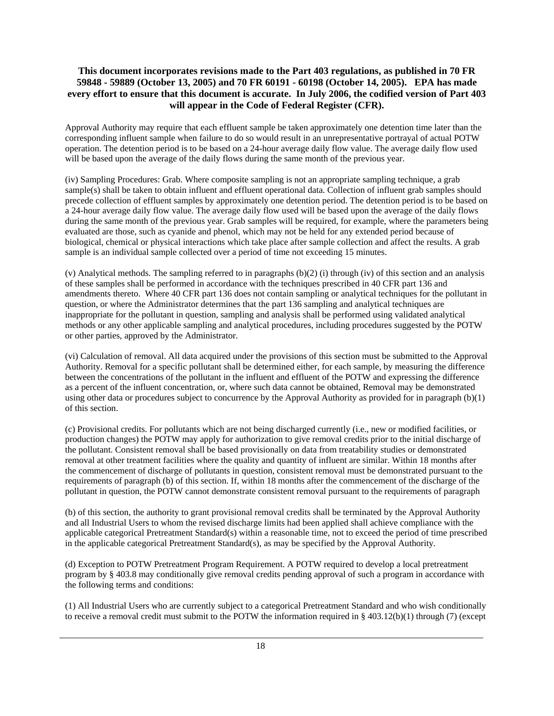Approval Authority may require that each effluent sample be taken approximately one detention time later than the corresponding influent sample when failure to do so would result in an unrepresentative portrayal of actual POTW operation. The detention period is to be based on a 24-hour average daily flow value. The average daily flow used will be based upon the average of the daily flows during the same month of the previous year.

(iv) Sampling Procedures: Grab. Where composite sampling is not an appropriate sampling technique, a grab sample(s) shall be taken to obtain influent and effluent operational data. Collection of influent grab samples should precede collection of effluent samples by approximately one detention period. The detention period is to be based on a 24-hour average daily flow value. The average daily flow used will be based upon the average of the daily flows during the same month of the previous year. Grab samples will be required, for example, where the parameters being evaluated are those, such as cyanide and phenol, which may not be held for any extended period because of biological, chemical or physical interactions which take place after sample collection and affect the results. A grab sample is an individual sample collected over a period of time not exceeding 15 minutes.

(v) Analytical methods. The sampling referred to in paragraphs (b)(2) (i) through (iv) of this section and an analysis of these samples shall be performed in accordance with the techniques prescribed in 40 CFR part 136 and amendments thereto. Where 40 CFR part 136 does not contain sampling or analytical techniques for the pollutant in question, or where the Administrator determines that the part 136 sampling and analytical techniques are inappropriate for the pollutant in question, sampling and analysis shall be performed using validated analytical methods or any other applicable sampling and analytical procedures, including procedures suggested by the POTW or other parties, approved by the Administrator.

(vi) Calculation of removal. All data acquired under the provisions of this section must be submitted to the Approval Authority. Removal for a specific pollutant shall be determined either, for each sample, by measuring the difference between the concentrations of the pollutant in the influent and effluent of the POTW and expressing the difference as a percent of the influent concentration, or, where such data cannot be obtained, Removal may be demonstrated using other data or procedures subject to concurrence by the Approval Authority as provided for in paragraph (b)(1) of this section.

(c) Provisional credits. For pollutants which are not being discharged currently (i.e., new or modified facilities, or production changes) the POTW may apply for authorization to give removal credits prior to the initial discharge of the pollutant. Consistent removal shall be based provisionally on data from treatability studies or demonstrated removal at other treatment facilities where the quality and quantity of influent are similar. Within 18 months after the commencement of discharge of pollutants in question, consistent removal must be demonstrated pursuant to the requirements of paragraph (b) of this section. If, within 18 months after the commencement of the discharge of the pollutant in question, the POTW cannot demonstrate consistent removal pursuant to the requirements of paragraph

(b) of this section, the authority to grant provisional removal credits shall be terminated by the Approval Authority and all Industrial Users to whom the revised discharge limits had been applied shall achieve compliance with the applicable categorical Pretreatment Standard(s) within a reasonable time, not to exceed the period of time prescribed in the applicable categorical Pretreatment Standard(s), as may be specified by the Approval Authority.

(d) Exception to POTW Pretreatment Program Requirement. A POTW required to develop a local pretreatment program by § 403.8 may conditionally give removal credits pending approval of such a program in accordance with the following terms and conditions:

(1) All Industrial Users who are currently subject to a categorical Pretreatment Standard and who wish conditionally to receive a removal credit must submit to the POTW the information required in § 403.12(b)(1) through (7) (except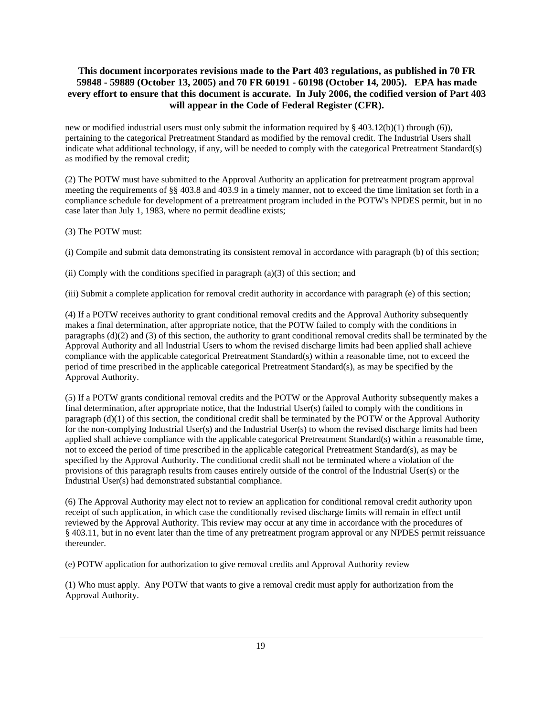new or modified industrial users must only submit the information required by  $\S$  403.12(b)(1) through (6)), pertaining to the categorical Pretreatment Standard as modified by the removal credit. The Industrial Users shall indicate what additional technology, if any, will be needed to comply with the categorical Pretreatment Standard(s) as modified by the removal credit;

(2) The POTW must have submitted to the Approval Authority an application for pretreatment program approval meeting the requirements of §§ 403.8 and 403.9 in a timely manner, not to exceed the time limitation set forth in a compliance schedule for development of a pretreatment program included in the POTW's NPDES permit, but in no case later than July 1, 1983, where no permit deadline exists;

(3) The POTW must:

(i) Compile and submit data demonstrating its consistent removal in accordance with paragraph (b) of this section;

(ii) Comply with the conditions specified in paragraph (a)(3) of this section; and

(iii) Submit a complete application for removal credit authority in accordance with paragraph (e) of this section;

(4) If a POTW receives authority to grant conditional removal credits and the Approval Authority subsequently makes a final determination, after appropriate notice, that the POTW failed to comply with the conditions in paragraphs (d)(2) and (3) of this section, the authority to grant conditional removal credits shall be terminated by the Approval Authority and all Industrial Users to whom the revised discharge limits had been applied shall achieve compliance with the applicable categorical Pretreatment Standard(s) within a reasonable time, not to exceed the period of time prescribed in the applicable categorical Pretreatment Standard(s), as may be specified by the Approval Authority.

(5) If a POTW grants conditional removal credits and the POTW or the Approval Authority subsequently makes a final determination, after appropriate notice, that the Industrial User(s) failed to comply with the conditions in paragraph (d)(1) of this section, the conditional credit shall be terminated by the POTW or the Approval Authority for the non-complying Industrial User(s) and the Industrial User(s) to whom the revised discharge limits had been applied shall achieve compliance with the applicable categorical Pretreatment Standard(s) within a reasonable time, not to exceed the period of time prescribed in the applicable categorical Pretreatment Standard(s), as may be specified by the Approval Authority. The conditional credit shall not be terminated where a violation of the provisions of this paragraph results from causes entirely outside of the control of the Industrial User(s) or the Industrial User(s) had demonstrated substantial compliance.

(6) The Approval Authority may elect not to review an application for conditional removal credit authority upon receipt of such application, in which case the conditionally revised discharge limits will remain in effect until reviewed by the Approval Authority. This review may occur at any time in accordance with the procedures of § 403.11, but in no event later than the time of any pretreatment program approval or any NPDES permit reissuance thereunder.

(e) POTW application for authorization to give removal credits and Approval Authority review

(1) Who must apply. Any POTW that wants to give a removal credit must apply for authorization from the Approval Authority.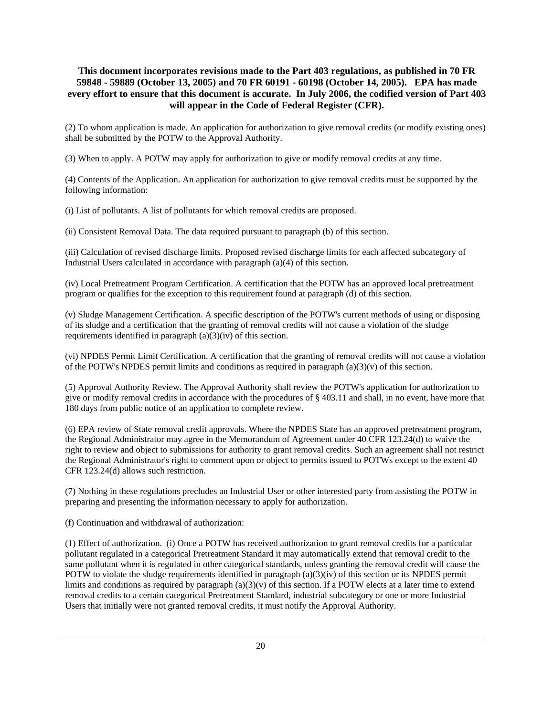(2) To whom application is made. An application for authorization to give removal credits (or modify existing ones) shall be submitted by the POTW to the Approval Authority.

(3) When to apply. A POTW may apply for authorization to give or modify removal credits at any time.

(4) Contents of the Application. An application for authorization to give removal credits must be supported by the following information:

(i) List of pollutants. A list of pollutants for which removal credits are proposed.

(ii) Consistent Removal Data. The data required pursuant to paragraph (b) of this section.

(iii) Calculation of revised discharge limits. Proposed revised discharge limits for each affected subcategory of Industrial Users calculated in accordance with paragraph (a)(4) of this section.

(iv) Local Pretreatment Program Certification. A certification that the POTW has an approved local pretreatment program or qualifies for the exception to this requirement found at paragraph (d) of this section.

(v) Sludge Management Certification. A specific description of the POTW's current methods of using or disposing of its sludge and a certification that the granting of removal credits will not cause a violation of the sludge requirements identified in paragraph  $(a)(3)(iv)$  of this section.

(vi) NPDES Permit Limit Certification. A certification that the granting of removal credits will not cause a violation of the POTW's NPDES permit limits and conditions as required in paragraph  $(a)(3)(v)$  of this section.

(5) Approval Authority Review. The Approval Authority shall review the POTW's application for authorization to give or modify removal credits in accordance with the procedures of § 403.11 and shall, in no event, have more that 180 days from public notice of an application to complete review.

(6) EPA review of State removal credit approvals. Where the NPDES State has an approved pretreatment program, the Regional Administrator may agree in the Memorandum of Agreement under 40 CFR 123.24(d) to waive the right to review and object to submissions for authority to grant removal credits. Such an agreement shall not restrict the Regional Administrator's right to comment upon or object to permits issued to POTWs except to the extent 40 CFR 123.24(d) allows such restriction.

(7) Nothing in these regulations precludes an Industrial User or other interested party from assisting the POTW in preparing and presenting the information necessary to apply for authorization.

(f) Continuation and withdrawal of authorization:

(1) Effect of authorization. (i) Once a POTW has received authorization to grant removal credits for a particular pollutant regulated in a categorical Pretreatment Standard it may automatically extend that removal credit to the same pollutant when it is regulated in other categorical standards, unless granting the removal credit will cause the POTW to violate the sludge requirements identified in paragraph (a)(3)(iv) of this section or its NPDES permit limits and conditions as required by paragraph  $(a)(3)(v)$  of this section. If a POTW elects at a later time to extend removal credits to a certain categorical Pretreatment Standard, industrial subcategory or one or more Industrial Users that initially were not granted removal credits, it must notify the Approval Authority.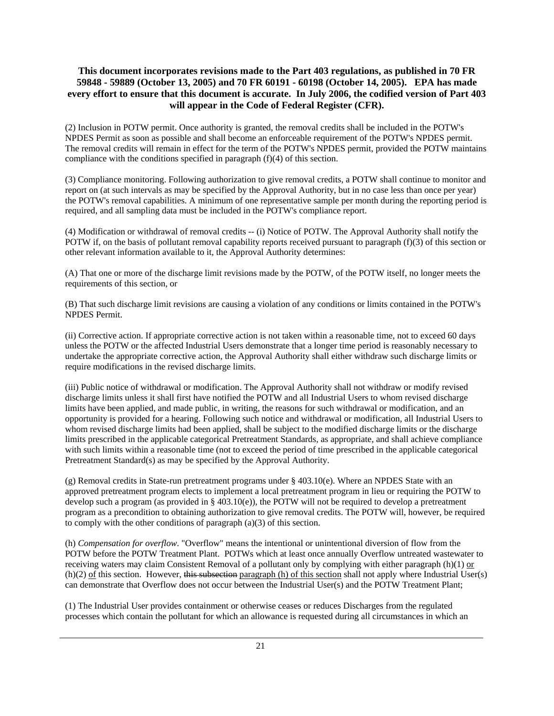(2) Inclusion in POTW permit. Once authority is granted, the removal credits shall be included in the POTW's NPDES Permit as soon as possible and shall become an enforceable requirement of the POTW's NPDES permit. The removal credits will remain in effect for the term of the POTW's NPDES permit, provided the POTW maintains compliance with the conditions specified in paragraph (f)(4) of this section.

(3) Compliance monitoring. Following authorization to give removal credits, a POTW shall continue to monitor and report on (at such intervals as may be specified by the Approval Authority, but in no case less than once per year) the POTW's removal capabilities. A minimum of one representative sample per month during the reporting period is required, and all sampling data must be included in the POTW's compliance report.

(4) Modification or withdrawal of removal credits -- (i) Notice of POTW. The Approval Authority shall notify the POTW if, on the basis of pollutant removal capability reports received pursuant to paragraph (f)(3) of this section or other relevant information available to it, the Approval Authority determines:

(A) That one or more of the discharge limit revisions made by the POTW, of the POTW itself, no longer meets the requirements of this section, or

(B) That such discharge limit revisions are causing a violation of any conditions or limits contained in the POTW's NPDES Permit.

(ii) Corrective action. If appropriate corrective action is not taken within a reasonable time, not to exceed 60 days unless the POTW or the affected Industrial Users demonstrate that a longer time period is reasonably necessary to undertake the appropriate corrective action, the Approval Authority shall either withdraw such discharge limits or require modifications in the revised discharge limits.

(iii) Public notice of withdrawal or modification. The Approval Authority shall not withdraw or modify revised discharge limits unless it shall first have notified the POTW and all Industrial Users to whom revised discharge limits have been applied, and made public, in writing, the reasons for such withdrawal or modification, and an opportunity is provided for a hearing. Following such notice and withdrawal or modification, all Industrial Users to whom revised discharge limits had been applied, shall be subject to the modified discharge limits or the discharge limits prescribed in the applicable categorical Pretreatment Standards, as appropriate, and shall achieve compliance with such limits within a reasonable time (not to exceed the period of time prescribed in the applicable categorical Pretreatment Standard(s) as may be specified by the Approval Authority.

(g) Removal credits in State-run pretreatment programs under § 403.10(e). Where an NPDES State with an approved pretreatment program elects to implement a local pretreatment program in lieu or requiring the POTW to develop such a program (as provided in § 403.10(e)), the POTW will not be required to develop a pretreatment program as a precondition to obtaining authorization to give removal credits. The POTW will, however, be required to comply with the other conditions of paragraph  $(a)(3)$  of this section.

(h) *Compensation for overflow*. "Overflow" means the intentional or unintentional diversion of flow from the POTW before the POTW Treatment Plant. POTWs which at least once annually Overflow untreated wastewater to receiving waters may claim Consistent Removal of a pollutant only by complying with either paragraph  $(h)(1)$  or  $(h)(2)$  of this section. However, this subsection paragraph  $(h)$  of this section shall not apply where Industrial User $(s)$ can demonstrate that Overflow does not occur between the Industrial User(s) and the POTW Treatment Plant;

(1) The Industrial User provides containment or otherwise ceases or reduces Discharges from the regulated processes which contain the pollutant for which an allowance is requested during all circumstances in which an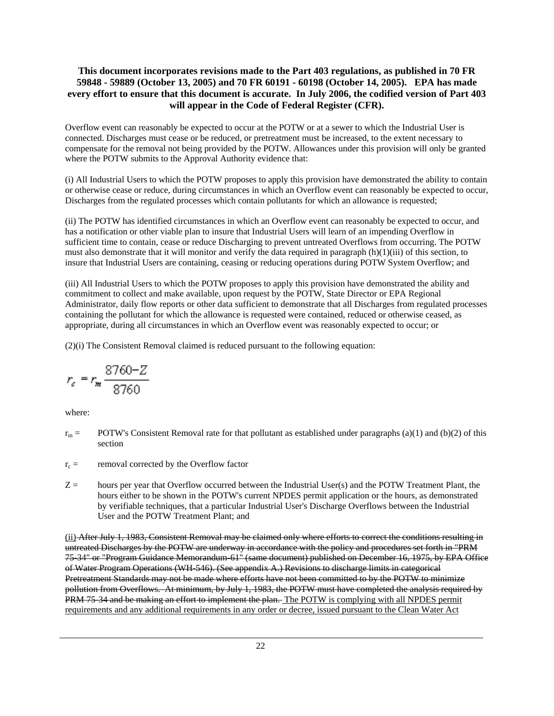Overflow event can reasonably be expected to occur at the POTW or at a sewer to which the Industrial User is connected. Discharges must cease or be reduced, or pretreatment must be increased, to the extent necessary to compensate for the removal not being provided by the POTW. Allowances under this provision will only be granted where the POTW submits to the Approval Authority evidence that:

(i) All Industrial Users to which the POTW proposes to apply this provision have demonstrated the ability to contain or otherwise cease or reduce, during circumstances in which an Overflow event can reasonably be expected to occur, Discharges from the regulated processes which contain pollutants for which an allowance is requested;

(ii) The POTW has identified circumstances in which an Overflow event can reasonably be expected to occur, and has a notification or other viable plan to insure that Industrial Users will learn of an impending Overflow in sufficient time to contain, cease or reduce Discharging to prevent untreated Overflows from occurring. The POTW must also demonstrate that it will monitor and verify the data required in paragraph (h)(1)(iii) of this section, to insure that Industrial Users are containing, ceasing or reducing operations during POTW System Overflow; and

(iii) All Industrial Users to which the POTW proposes to apply this provision have demonstrated the ability and commitment to collect and make available, upon request by the POTW, State Director or EPA Regional Administrator, daily flow reports or other data sufficient to demonstrate that all Discharges from regulated processes containing the pollutant for which the allowance is requested were contained, reduced or otherwise ceased, as appropriate, during all circumstances in which an Overflow event was reasonably expected to occur; or

(2)(i) The Consistent Removal claimed is reduced pursuant to the following equation:

$$
r_c=r_\text{m}\frac{8760-Z}{8760}
$$

where:

- $r_m$  = POTW's Consistent Removal rate for that pollutant as established under paragraphs (a)(1) and (b)(2) of this section
- $r_c$  = removal corrected by the Overflow factor
- Z = hours per year that Overflow occurred between the Industrial User(s) and the POTW Treatment Plant, the hours either to be shown in the POTW's current NPDES permit application or the hours, as demonstrated by verifiable techniques, that a particular Industrial User's Discharge Overflows between the Industrial User and the POTW Treatment Plant; and

(ii) After July 1, 1983, Consistent Removal may be claimed only where efforts to correct the conditions resulting in untreated Discharges by the POTW are underway in accordance with the policy and procedures set forth in "PRM 75-34" or "Program Guidance Memorandum-61" (same document) published on December 16, 1975, by EPA Office of Water Program Operations (WH-546). (See appendix A.) Revisions to discharge limits in categorical Pretreatment Standards may not be made where efforts have not been committed to by the POTW to minimize pollution from Overflows. At minimum, by July 1, 1983, the POTW must have completed the analysis required by PRM 75-34 and be making an effort to implement the plan. The POTW is complying with all NPDES permit requirements and any additional requirements in any order or decree, issued pursuant to the Clean Water Act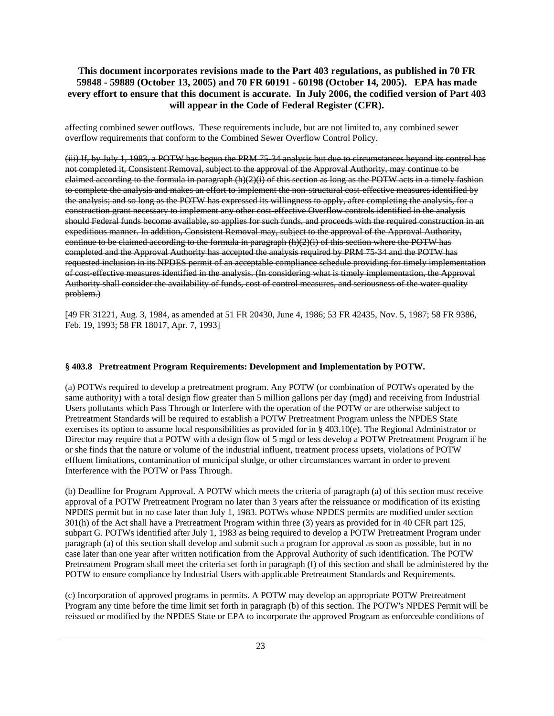affecting combined sewer outflows. These requirements include, but are not limited to, any combined sewer overflow requirements that conform to the Combined Sewer Overflow Control Policy.

(iii) If, by July 1, 1983, a POTW has begun the PRM 75-34 analysis but due to circumstances beyond its control has not completed it, Consistent Removal, subject to the approval of the Approval Authority, may continue to be claimed according to the formula in paragraph  $(h)(2)(i)$  of this section as long as the POTW acts in a timely fashion to complete the analysis and makes an effort to implement the non-structural cost-effective measures identified by the analysis; and so long as the POTW has expressed its willingness to apply, after completing the analysis, for a construction grant necessary to implement any other cost-effective Overflow controls identified in the analysis should Federal funds become available, so applies for such funds, and proceeds with the required construction in an expeditious manner. In addition, Consistent Removal may, subject to the approval of the Approval Authority, continue to be claimed according to the formula in paragraph (h)(2)(i) of this section where the POTW has completed and the Approval Authority has accepted the analysis required by PRM 75-34 and the POTW has requested inclusion in its NPDES permit of an acceptable compliance schedule providing for timely implementation of cost-effective measures identified in the analysis. (In considering what is timely implementation, the Approval Authority shall consider the availability of funds, cost of control measures, and seriousness of the water quality problem.)

[49 FR 31221, Aug. 3, 1984, as amended at 51 FR 20430, June 4, 1986; 53 FR 42435, Nov. 5, 1987; 58 FR 9386, Feb. 19, 1993; 58 FR 18017, Apr. 7, 1993]

#### **§ 403.8 Pretreatment Program Requirements: Development and Implementation by POTW.**

(a) POTWs required to develop a pretreatment program. Any POTW (or combination of POTWs operated by the same authority) with a total design flow greater than 5 million gallons per day (mgd) and receiving from Industrial Users pollutants which Pass Through or Interfere with the operation of the POTW or are otherwise subject to Pretreatment Standards will be required to establish a POTW Pretreatment Program unless the NPDES State exercises its option to assume local responsibilities as provided for in § 403.10(e). The Regional Administrator or Director may require that a POTW with a design flow of 5 mgd or less develop a POTW Pretreatment Program if he or she finds that the nature or volume of the industrial influent, treatment process upsets, violations of POTW effluent limitations, contamination of municipal sludge, or other circumstances warrant in order to prevent Interference with the POTW or Pass Through.

(b) Deadline for Program Approval. A POTW which meets the criteria of paragraph (a) of this section must receive approval of a POTW Pretreatment Program no later than 3 years after the reissuance or modification of its existing NPDES permit but in no case later than July 1, 1983. POTWs whose NPDES permits are modified under section 301(h) of the Act shall have a Pretreatment Program within three (3) years as provided for in 40 CFR part 125, subpart G. POTWs identified after July 1, 1983 as being required to develop a POTW Pretreatment Program under paragraph (a) of this section shall develop and submit such a program for approval as soon as possible, but in no case later than one year after written notification from the Approval Authority of such identification. The POTW Pretreatment Program shall meet the criteria set forth in paragraph (f) of this section and shall be administered by the POTW to ensure compliance by Industrial Users with applicable Pretreatment Standards and Requirements.

(c) Incorporation of approved programs in permits. A POTW may develop an appropriate POTW Pretreatment Program any time before the time limit set forth in paragraph (b) of this section. The POTW's NPDES Permit will be reissued or modified by the NPDES State or EPA to incorporate the approved Program as enforceable conditions of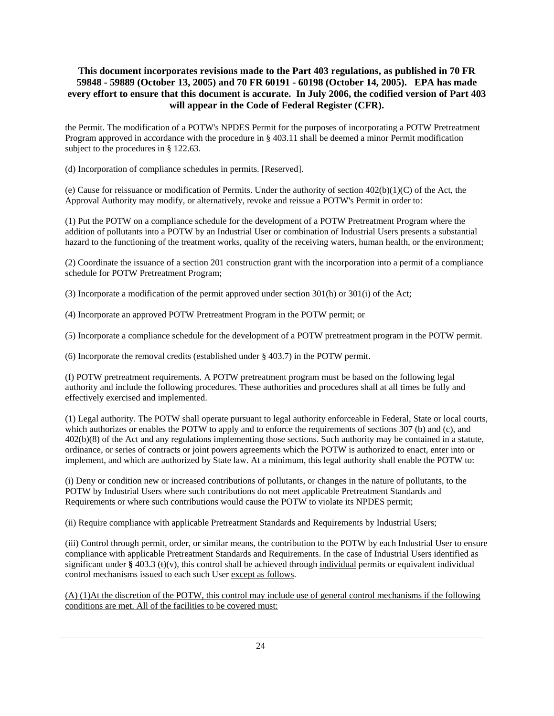the Permit. The modification of a POTW's NPDES Permit for the purposes of incorporating a POTW Pretreatment Program approved in accordance with the procedure in § 403.11 shall be deemed a minor Permit modification subject to the procedures in § 122.63.

(d) Incorporation of compliance schedules in permits. [Reserved].

(e) Cause for reissuance or modification of Permits. Under the authority of section  $402(b)(1)(C)$  of the Act, the Approval Authority may modify, or alternatively, revoke and reissue a POTW's Permit in order to:

(1) Put the POTW on a compliance schedule for the development of a POTW Pretreatment Program where the addition of pollutants into a POTW by an Industrial User or combination of Industrial Users presents a substantial hazard to the functioning of the treatment works, quality of the receiving waters, human health, or the environment;

(2) Coordinate the issuance of a section 201 construction grant with the incorporation into a permit of a compliance schedule for POTW Pretreatment Program;

(3) Incorporate a modification of the permit approved under section 301(h) or 301(i) of the Act;

(4) Incorporate an approved POTW Pretreatment Program in the POTW permit; or

(5) Incorporate a compliance schedule for the development of a POTW pretreatment program in the POTW permit.

(6) Incorporate the removal credits (established under § 403.7) in the POTW permit.

(f) POTW pretreatment requirements. A POTW pretreatment program must be based on the following legal authority and include the following procedures. These authorities and procedures shall at all times be fully and effectively exercised and implemented.

(1) Legal authority. The POTW shall operate pursuant to legal authority enforceable in Federal, State or local courts, which authorizes or enables the POTW to apply and to enforce the requirements of sections 307 (b) and (c), and 402(b)(8) of the Act and any regulations implementing those sections. Such authority may be contained in a statute, ordinance, or series of contracts or joint powers agreements which the POTW is authorized to enact, enter into or implement, and which are authorized by State law. At a minimum, this legal authority shall enable the POTW to:

(i) Deny or condition new or increased contributions of pollutants, or changes in the nature of pollutants, to the POTW by Industrial Users where such contributions do not meet applicable Pretreatment Standards and Requirements or where such contributions would cause the POTW to violate its NPDES permit;

(ii) Require compliance with applicable Pretreatment Standards and Requirements by Industrial Users;

(iii) Control through permit, order, or similar means, the contribution to the POTW by each Industrial User to ensure compliance with applicable Pretreatment Standards and Requirements. In the case of Industrial Users identified as significant under  $\S$  403.3 ( $\Theta$ (v), this control shall be achieved through individual permits or equivalent individual control mechanisms issued to each such User except as follows.

(A) (1)At the discretion of the POTW, this control may include use of general control mechanisms if the following conditions are met. All of the facilities to be covered must: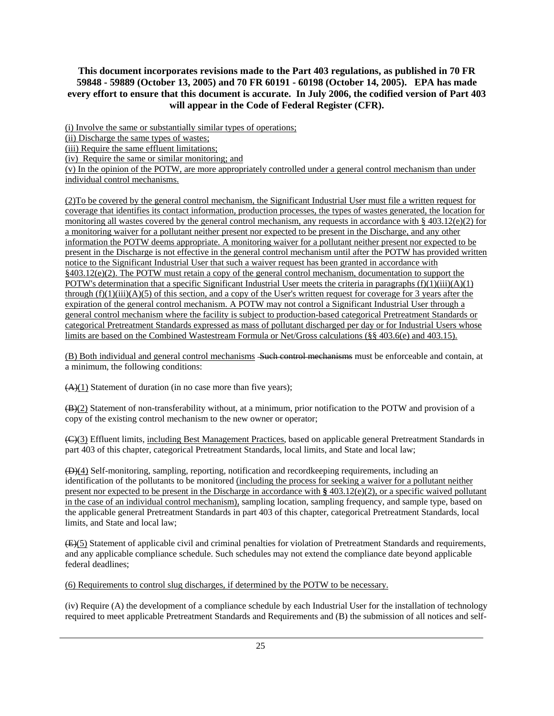(i) Involve the same or substantially similar types of operations;

(ii) Discharge the same types of wastes;

(iii) Require the same effluent limitations;

(iv) Require the same or similar monitoring; and

(v) In the opinion of the POTW, are more appropriately controlled under a general control mechanism than under individual control mechanisms.

(2)To be covered by the general control mechanism, the Significant Industrial User must file a written request for coverage that identifies its contact information, production processes, the types of wastes generated, the location for monitoring all wastes covered by the general control mechanism, any requests in accordance with  $\S$  403.12(e)(2) for a monitoring waiver for a pollutant neither present nor expected to be present in the Discharge, and any other information the POTW deems appropriate. A monitoring waiver for a pollutant neither present nor expected to be present in the Discharge is not effective in the general control mechanism until after the POTW has provided written notice to the Significant Industrial User that such a waiver request has been granted in accordance with  $§403.12(e)(2)$ . The POTW must retain a copy of the general control mechanism, documentation to support the POTW's determination that a specific Significant Industrial User meets the criteria in paragraphs  $(f)(1)(iii)(A)(1)$ through  $(f)(1)(iii)(A)(5)$  of this section, and a copy of the User's written request for coverage for 3 years after the expiration of the general control mechanism. A POTW may not control a Significant Industrial User through a general control mechanism where the facility is subject to production-based categorical Pretreatment Standards or categorical Pretreatment Standards expressed as mass of pollutant discharged per day or for Industrial Users whose limits are based on the Combined Wastestream Formula or Net/Gross calculations (§§ 403.6(e) and 403.15).

(B) Both individual and general control mechanisms Such control mechanisms must be enforceable and contain, at a minimum, the following conditions:

 $(A)(1)$  Statement of duration (in no case more than five years);

(B)(2) Statement of non-transferability without, at a minimum, prior notification to the POTW and provision of a copy of the existing control mechanism to the new owner or operator;

(C)(3) Effluent limits, including Best Management Practices, based on applicable general Pretreatment Standards in part 403 of this chapter, categorical Pretreatment Standards, local limits, and State and local law;

(D)(4) Self-monitoring, sampling, reporting, notification and recordkeeping requirements, including an identification of the pollutants to be monitored (including the process for seeking a waiver for a pollutant neither present nor expected to be present in the Discharge in accordance with **§** 403.12(e)(2), or a specific waived pollutant in the case of an individual control mechanism), sampling location, sampling frequency, and sample type, based on the applicable general Pretreatment Standards in part 403 of this chapter, categorical Pretreatment Standards, local limits, and State and local law;

(E)(5) Statement of applicable civil and criminal penalties for violation of Pretreatment Standards and requirements, and any applicable compliance schedule. Such schedules may not extend the compliance date beyond applicable federal deadlines;

(6) Requirements to control slug discharges, if determined by the POTW to be necessary.

(iv) Require (A) the development of a compliance schedule by each Industrial User for the installation of technology required to meet applicable Pretreatment Standards and Requirements and (B) the submission of all notices and self-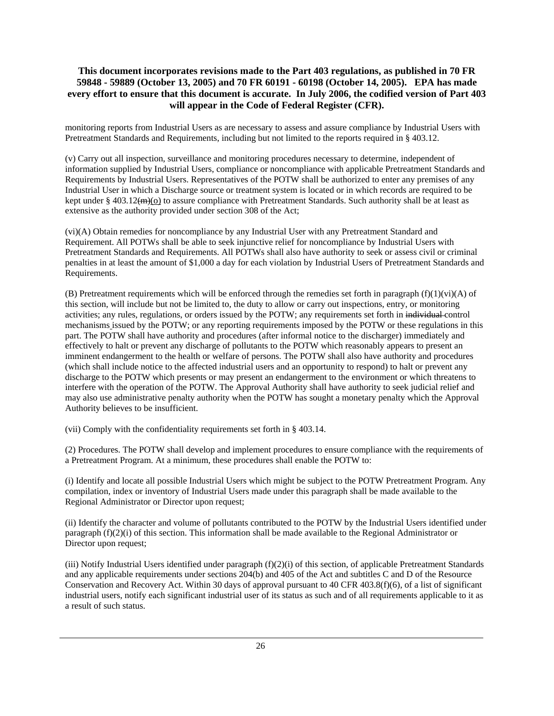monitoring reports from Industrial Users as are necessary to assess and assure compliance by Industrial Users with Pretreatment Standards and Requirements, including but not limited to the reports required in § 403.12.

(v) Carry out all inspection, surveillance and monitoring procedures necessary to determine, independent of information supplied by Industrial Users, compliance or noncompliance with applicable Pretreatment Standards and Requirements by Industrial Users. Representatives of the POTW shall be authorized to enter any premises of any Industrial User in which a Discharge source or treatment system is located or in which records are required to be kept under § 403.12 $\left(\frac{m}{m}\right)$  to assure compliance with Pretreatment Standards. Such authority shall be at least as extensive as the authority provided under section 308 of the Act;

(vi)(A) Obtain remedies for noncompliance by any Industrial User with any Pretreatment Standard and Requirement. All POTWs shall be able to seek injunctive relief for noncompliance by Industrial Users with Pretreatment Standards and Requirements. All POTWs shall also have authority to seek or assess civil or criminal penalties in at least the amount of \$1,000 a day for each violation by Industrial Users of Pretreatment Standards and Requirements.

(B) Pretreatment requirements which will be enforced through the remedies set forth in paragraph  $(f)(1)(vi)(A)$  of this section, will include but not be limited to, the duty to allow or carry out inspections, entry, or monitoring activities; any rules, regulations, or orders issued by the POTW; any requirements set forth in individual control mechanisms issued by the POTW; or any reporting requirements imposed by the POTW or these regulations in this part. The POTW shall have authority and procedures (after informal notice to the discharger) immediately and effectively to halt or prevent any discharge of pollutants to the POTW which reasonably appears to present an imminent endangerment to the health or welfare of persons. The POTW shall also have authority and procedures (which shall include notice to the affected industrial users and an opportunity to respond) to halt or prevent any discharge to the POTW which presents or may present an endangerment to the environment or which threatens to interfere with the operation of the POTW. The Approval Authority shall have authority to seek judicial relief and may also use administrative penalty authority when the POTW has sought a monetary penalty which the Approval Authority believes to be insufficient.

(vii) Comply with the confidentiality requirements set forth in § 403.14.

(2) Procedures. The POTW shall develop and implement procedures to ensure compliance with the requirements of a Pretreatment Program. At a minimum, these procedures shall enable the POTW to:

(i) Identify and locate all possible Industrial Users which might be subject to the POTW Pretreatment Program. Any compilation, index or inventory of Industrial Users made under this paragraph shall be made available to the Regional Administrator or Director upon request;

(ii) Identify the character and volume of pollutants contributed to the POTW by the Industrial Users identified under paragraph (f)(2)(i) of this section. This information shall be made available to the Regional Administrator or Director upon request;

(iii) Notify Industrial Users identified under paragraph  $(f)(2)(i)$  of this section, of applicable Pretreatment Standards and any applicable requirements under sections 204(b) and 405 of the Act and subtitles C and D of the Resource Conservation and Recovery Act. Within 30 days of approval pursuant to 40 CFR 403.8(f)(6), of a list of significant industrial users, notify each significant industrial user of its status as such and of all requirements applicable to it as a result of such status.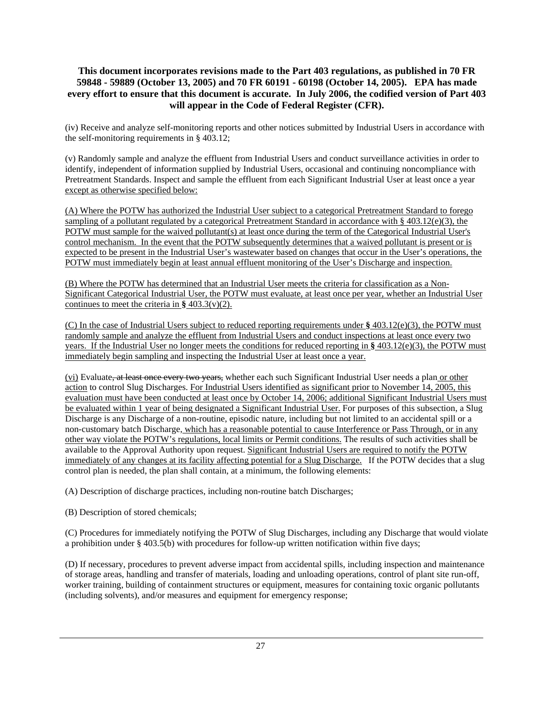(iv) Receive and analyze self-monitoring reports and other notices submitted by Industrial Users in accordance with the self-monitoring requirements in § 403.12;

(v) Randomly sample and analyze the effluent from Industrial Users and conduct surveillance activities in order to identify, independent of information supplied by Industrial Users, occasional and continuing noncompliance with Pretreatment Standards. Inspect and sample the effluent from each Significant Industrial User at least once a year except as otherwise specified below:

(A) Where the POTW has authorized the Industrial User subject to a categorical Pretreatment Standard to forego sampling of a pollutant regulated by a categorical Pretreatment Standard in accordance with § 403.12(e)(3), the POTW must sample for the waived pollutant(s) at least once during the term of the Categorical Industrial User's control mechanism. In the event that the POTW subsequently determines that a waived pollutant is present or is expected to be present in the Industrial User's wastewater based on changes that occur in the User's operations, the POTW must immediately begin at least annual effluent monitoring of the User's Discharge and inspection.

(B) Where the POTW has determined that an Industrial User meets the criteria for classification as a Non-Significant Categorical Industrial User, the POTW must evaluate, at least once per year, whether an Industrial User continues to meet the criteria in **§** 403.3(v)(2).

(C) In the case of Industrial Users subject to reduced reporting requirements under **§** 403.12(e)(3), the POTW must randomly sample and analyze the effluent from Industrial Users and conduct inspections at least once every two years. If the Industrial User no longer meets the conditions for reduced reporting in **§** 403.12(e)(3), the POTW must immediately begin sampling and inspecting the Industrial User at least once a year.

(vi) Evaluate, at least once every two years, whether each such Significant Industrial User needs a plan or other action to control Slug Discharges. For Industrial Users identified as significant prior to November 14, 2005, this evaluation must have been conducted at least once by October 14, 2006; additional Significant Industrial Users must be evaluated within 1 year of being designated a Significant Industrial User. For purposes of this subsection, a Slug Discharge is any Discharge of a non-routine, episodic nature, including but not limited to an accidental spill or a non-customary batch Discharge, which has a reasonable potential to cause Interference or Pass Through, or in any other way violate the POTW's regulations, local limits or Permit conditions. The results of such activities shall be available to the Approval Authority upon request. Significant Industrial Users are required to notify the POTW immediately of any changes at its facility affecting potential for a Slug Discharge. If the POTW decides that a slug control plan is needed, the plan shall contain, at a minimum, the following elements:

(A) Description of discharge practices, including non-routine batch Discharges;

(B) Description of stored chemicals;

(C) Procedures for immediately notifying the POTW of Slug Discharges, including any Discharge that would violate a prohibition under § 403.5(b) with procedures for follow-up written notification within five days;

(D) If necessary, procedures to prevent adverse impact from accidental spills, including inspection and maintenance of storage areas, handling and transfer of materials, loading and unloading operations, control of plant site run-off, worker training, building of containment structures or equipment, measures for containing toxic organic pollutants (including solvents), and/or measures and equipment for emergency response;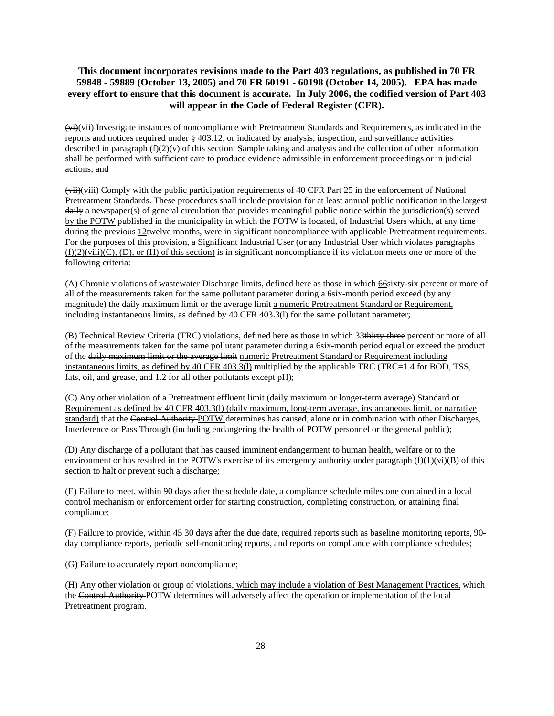(vi)(vii) Investigate instances of noncompliance with Pretreatment Standards and Requirements, as indicated in the reports and notices required under § 403.12, or indicated by analysis, inspection, and surveillance activities described in paragraph  $(f)(2)(v)$  of this section. Sample taking and analysis and the collection of other information shall be performed with sufficient care to produce evidence admissible in enforcement proceedings or in judicial actions; and

(vii)(viii) Comply with the public participation requirements of 40 CFR Part 25 in the enforcement of National Pretreatment Standards. These procedures shall include provision for at least annual public notification in the largest daily a newspaper(s) of general circulation that provides meaningful public notice within the jurisdiction(s) served by the POTW published in the municipality in which the POTW is located, of Industrial Users which, at any time during the previous 12twelve months, were in significant noncompliance with applicable Pretreatment requirements. For the purposes of this provision, a Significant Industrial User (or any Industrial User which violates paragraphs  $(f)(2)(viii)(C)$ ,  $(D)$ , or  $(H)$  of this section) is in significant noncompliance if its violation meets one or more of the following criteria:

(A) Chronic violations of wastewater Discharge limits, defined here as those in which 66sixty-six-percent or more of all of the measurements taken for the same pollutant parameter during a 6six-month period exceed (by any magnitude) the daily maximum limit or the average limit a numeric Pretreatment Standard or Requirement, including instantaneous limits, as defined by 40 CFR 403.3(1) for the same pollutant parameter;

(B) Technical Review Criteria (TRC) violations, defined here as those in which 33thirty-three percent or more of all of the measurements taken for the same pollutant parameter during a 6six-month period equal or exceed the product of the daily maximum limit or the average limit numeric Pretreatment Standard or Requirement including instantaneous limits, as defined by 40 CFR 403.3(l) multiplied by the applicable TRC (TRC=1.4 for BOD, TSS, fats, oil, and grease, and 1.2 for all other pollutants except pH);

(C) Any other violation of a Pretreatment effluent limit (daily maximum or longer term average) Standard or Requirement as defined by 40 CFR 403.3(l) (daily maximum, long-term average, instantaneous limit, or narrative standard) that the Control Authority POTW determines has caused, alone or in combination with other Discharges, Interference or Pass Through (including endangering the health of POTW personnel or the general public);

(D) Any discharge of a pollutant that has caused imminent endangerment to human health, welfare or to the environment or has resulted in the POTW's exercise of its emergency authority under paragraph  $(f)(1)(vi)(B)$  of this section to halt or prevent such a discharge;

(E) Failure to meet, within 90 days after the schedule date, a compliance schedule milestone contained in a local control mechanism or enforcement order for starting construction, completing construction, or attaining final compliance;

(F) Failure to provide, within 45 30 days after the due date, required reports such as baseline monitoring reports, 90 day compliance reports, periodic self-monitoring reports, and reports on compliance with compliance schedules;

(G) Failure to accurately report noncompliance;

(H) Any other violation or group of violations, which may include a violation of Best Management Practices, which the Control Authority POTW determines will adversely affect the operation or implementation of the local Pretreatment program.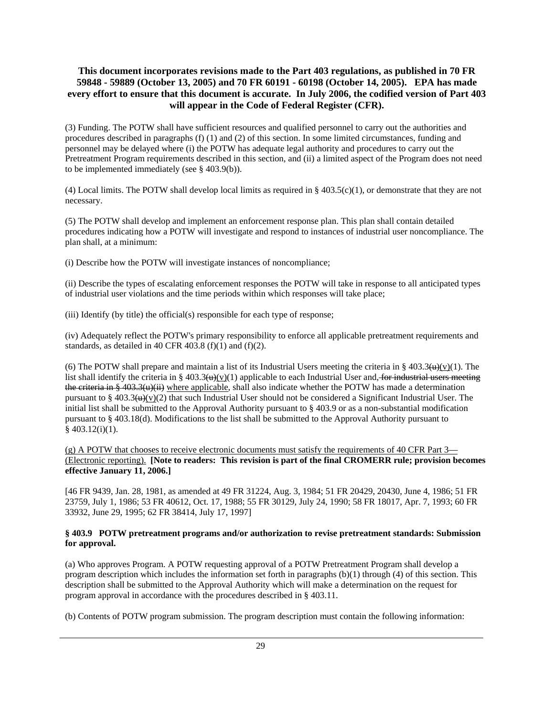(3) Funding. The POTW shall have sufficient resources and qualified personnel to carry out the authorities and procedures described in paragraphs (f) (1) and (2) of this section. In some limited circumstances, funding and personnel may be delayed where (i) the POTW has adequate legal authority and procedures to carry out the Pretreatment Program requirements described in this section, and (ii) a limited aspect of the Program does not need to be implemented immediately (see § 403.9(b)).

(4) Local limits. The POTW shall develop local limits as required in  $\S$  403.5(c)(1), or demonstrate that they are not necessary.

(5) The POTW shall develop and implement an enforcement response plan. This plan shall contain detailed procedures indicating how a POTW will investigate and respond to instances of industrial user noncompliance. The plan shall, at a minimum:

(i) Describe how the POTW will investigate instances of noncompliance;

(ii) Describe the types of escalating enforcement responses the POTW will take in response to all anticipated types of industrial user violations and the time periods within which responses will take place;

(iii) Identify (by title) the official(s) responsible for each type of response;

(iv) Adequately reflect the POTW's primary responsibility to enforce all applicable pretreatment requirements and standards, as detailed in 40 CFR 403.8 (f)(1) and (f)(2).

(6) The POTW shall prepare and maintain a list of its Industrial Users meeting the criteria in § 403.3( $\theta$ )(v)(1). The list shall identify the criteria in § 403.3( $\theta$ )(v)(1) applicable to each Industrial User and, for industrial users meeting the criteria in § 403.3(u)(ii) where applicable, shall also indicate whether the POTW has made a determination pursuant to § 403.3( $\theta$ )(x)(2) that such Industrial User should not be considered a Significant Industrial User. The initial list shall be submitted to the Approval Authority pursuant to § 403.9 or as a non-substantial modification pursuant to § 403.18(d). Modifications to the list shall be submitted to the Approval Authority pursuant to  $§$  403.12(i)(1).

 $(g)$  A POTW that chooses to receive electronic documents must satisfy the requirements of 40 CFR Part 3— (Electronic reporting). **[Note to readers: This revision is part of the final CROMERR rule; provision becomes effective January 11, 2006.]** 

[46 FR 9439, Jan. 28, 1981, as amended at 49 FR 31224, Aug. 3, 1984; 51 FR 20429, 20430, June 4, 1986; 51 FR 23759, July 1, 1986; 53 FR 40612, Oct. 17, 1988; 55 FR 30129, July 24, 1990; 58 FR 18017, Apr. 7, 1993; 60 FR 33932, June 29, 1995; 62 FR 38414, July 17, 1997]

#### **§ 403.9 POTW pretreatment programs and/or authorization to revise pretreatment standards: Submission for approval.**

(a) Who approves Program. A POTW requesting approval of a POTW Pretreatment Program shall develop a program description which includes the information set forth in paragraphs (b)(1) through (4) of this section. This description shall be submitted to the Approval Authority which will make a determination on the request for program approval in accordance with the procedures described in § 403.11.

(b) Contents of POTW program submission. The program description must contain the following information: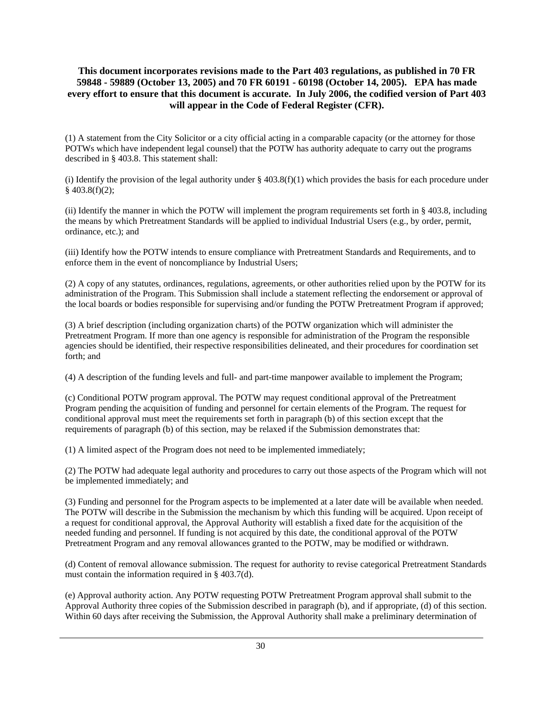(1) A statement from the City Solicitor or a city official acting in a comparable capacity (or the attorney for those POTWs which have independent legal counsel) that the POTW has authority adequate to carry out the programs described in § 403.8. This statement shall:

(i) Identify the provision of the legal authority under  $\S$  403.8(f)(1) which provides the basis for each procedure under § 403.8(f)(2);

(ii) Identify the manner in which the POTW will implement the program requirements set forth in § 403.8, including the means by which Pretreatment Standards will be applied to individual Industrial Users (e.g., by order, permit, ordinance, etc.); and

(iii) Identify how the POTW intends to ensure compliance with Pretreatment Standards and Requirements, and to enforce them in the event of noncompliance by Industrial Users;

(2) A copy of any statutes, ordinances, regulations, agreements, or other authorities relied upon by the POTW for its administration of the Program. This Submission shall include a statement reflecting the endorsement or approval of the local boards or bodies responsible for supervising and/or funding the POTW Pretreatment Program if approved;

(3) A brief description (including organization charts) of the POTW organization which will administer the Pretreatment Program. If more than one agency is responsible for administration of the Program the responsible agencies should be identified, their respective responsibilities delineated, and their procedures for coordination set forth; and

(4) A description of the funding levels and full- and part-time manpower available to implement the Program;

(c) Conditional POTW program approval. The POTW may request conditional approval of the Pretreatment Program pending the acquisition of funding and personnel for certain elements of the Program. The request for conditional approval must meet the requirements set forth in paragraph (b) of this section except that the requirements of paragraph (b) of this section, may be relaxed if the Submission demonstrates that:

(1) A limited aspect of the Program does not need to be implemented immediately;

(2) The POTW had adequate legal authority and procedures to carry out those aspects of the Program which will not be implemented immediately; and

(3) Funding and personnel for the Program aspects to be implemented at a later date will be available when needed. The POTW will describe in the Submission the mechanism by which this funding will be acquired. Upon receipt of a request for conditional approval, the Approval Authority will establish a fixed date for the acquisition of the needed funding and personnel. If funding is not acquired by this date, the conditional approval of the POTW Pretreatment Program and any removal allowances granted to the POTW, may be modified or withdrawn.

(d) Content of removal allowance submission. The request for authority to revise categorical Pretreatment Standards must contain the information required in § 403.7(d).

(e) Approval authority action. Any POTW requesting POTW Pretreatment Program approval shall submit to the Approval Authority three copies of the Submission described in paragraph (b), and if appropriate, (d) of this section. Within 60 days after receiving the Submission, the Approval Authority shall make a preliminary determination of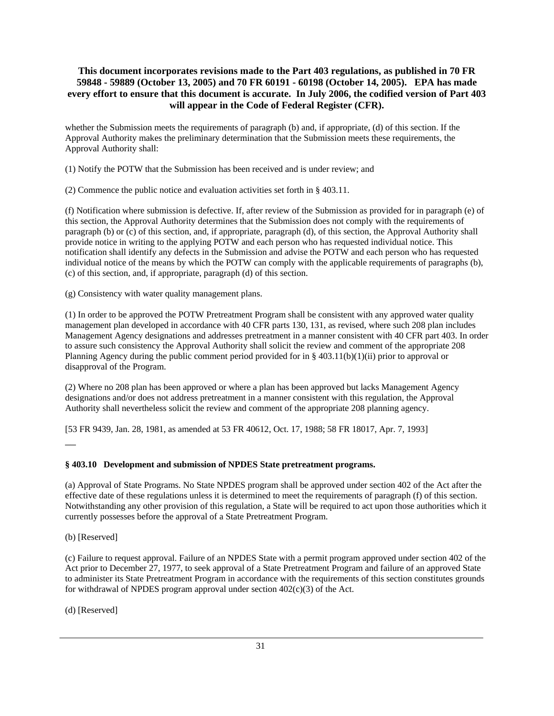whether the Submission meets the requirements of paragraph (b) and, if appropriate, (d) of this section. If the Approval Authority makes the preliminary determination that the Submission meets these requirements, the Approval Authority shall:

(1) Notify the POTW that the Submission has been received and is under review; and

(2) Commence the public notice and evaluation activities set forth in § 403.11.

(f) Notification where submission is defective. If, after review of the Submission as provided for in paragraph (e) of this section, the Approval Authority determines that the Submission does not comply with the requirements of paragraph (b) or (c) of this section, and, if appropriate, paragraph (d), of this section, the Approval Authority shall provide notice in writing to the applying POTW and each person who has requested individual notice. This notification shall identify any defects in the Submission and advise the POTW and each person who has requested individual notice of the means by which the POTW can comply with the applicable requirements of paragraphs (b), (c) of this section, and, if appropriate, paragraph (d) of this section.

(g) Consistency with water quality management plans.

(1) In order to be approved the POTW Pretreatment Program shall be consistent with any approved water quality management plan developed in accordance with 40 CFR parts 130, 131, as revised, where such 208 plan includes Management Agency designations and addresses pretreatment in a manner consistent with 40 CFR part 403. In order to assure such consistency the Approval Authority shall solicit the review and comment of the appropriate 208 Planning Agency during the public comment period provided for in § 403.11(b)(1)(ii) prior to approval or disapproval of the Program.

(2) Where no 208 plan has been approved or where a plan has been approved but lacks Management Agency designations and/or does not address pretreatment in a manner consistent with this regulation, the Approval Authority shall nevertheless solicit the review and comment of the appropriate 208 planning agency.

[53 FR 9439, Jan. 28, 1981, as amended at 53 FR 40612, Oct. 17, 1988; 58 FR 18017, Apr. 7, 1993]

**§ 403.10 Development and submission of NPDES State pretreatment programs.**

(a) Approval of State Programs. No State NPDES program shall be approved under section 402 of the Act after the effective date of these regulations unless it is determined to meet the requirements of paragraph (f) of this section. Notwithstanding any other provision of this regulation, a State will be required to act upon those authorities which it currently possesses before the approval of a State Pretreatment Program.

(b) [Reserved]

 $\overline{\phantom{a}}$ 

(c) Failure to request approval. Failure of an NPDES State with a permit program approved under section 402 of the Act prior to December 27, 1977, to seek approval of a State Pretreatment Program and failure of an approved State to administer its State Pretreatment Program in accordance with the requirements of this section constitutes grounds for withdrawal of NPDES program approval under section  $402(c)(3)$  of the Act.

(d) [Reserved]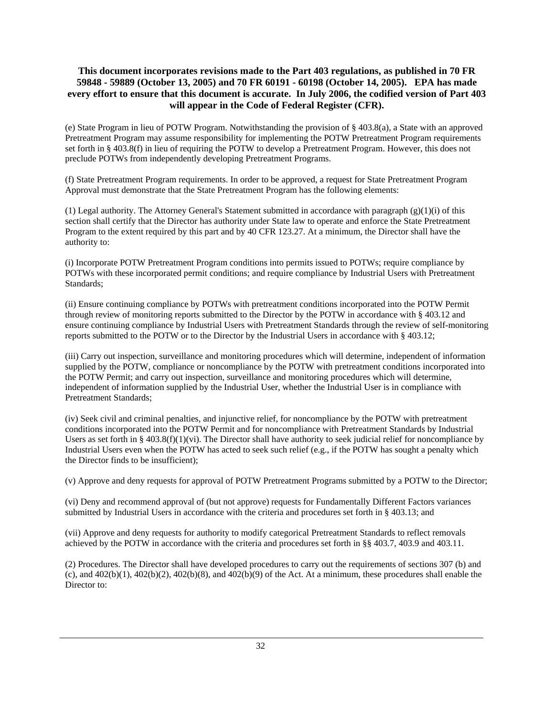(e) State Program in lieu of POTW Program. Notwithstanding the provision of § 403.8(a), a State with an approved Pretreatment Program may assume responsibility for implementing the POTW Pretreatment Program requirements set forth in § 403.8(f) in lieu of requiring the POTW to develop a Pretreatment Program. However, this does not preclude POTWs from independently developing Pretreatment Programs.

(f) State Pretreatment Program requirements. In order to be approved, a request for State Pretreatment Program Approval must demonstrate that the State Pretreatment Program has the following elements:

(1) Legal authority. The Attorney General's Statement submitted in accordance with paragraph (g)(1)(i) of this section shall certify that the Director has authority under State law to operate and enforce the State Pretreatment Program to the extent required by this part and by 40 CFR 123.27. At a minimum, the Director shall have the authority to:

(i) Incorporate POTW Pretreatment Program conditions into permits issued to POTWs; require compliance by POTWs with these incorporated permit conditions; and require compliance by Industrial Users with Pretreatment Standards;

(ii) Ensure continuing compliance by POTWs with pretreatment conditions incorporated into the POTW Permit through review of monitoring reports submitted to the Director by the POTW in accordance with § 403.12 and ensure continuing compliance by Industrial Users with Pretreatment Standards through the review of self-monitoring reports submitted to the POTW or to the Director by the Industrial Users in accordance with § 403.12;

(iii) Carry out inspection, surveillance and monitoring procedures which will determine, independent of information supplied by the POTW, compliance or noncompliance by the POTW with pretreatment conditions incorporated into the POTW Permit; and carry out inspection, surveillance and monitoring procedures which will determine, independent of information supplied by the Industrial User, whether the Industrial User is in compliance with Pretreatment Standards;

(iv) Seek civil and criminal penalties, and injunctive relief, for noncompliance by the POTW with pretreatment conditions incorporated into the POTW Permit and for noncompliance with Pretreatment Standards by Industrial Users as set forth in § 403.8(f)(1)(vi). The Director shall have authority to seek judicial relief for noncompliance by Industrial Users even when the POTW has acted to seek such relief (e.g., if the POTW has sought a penalty which the Director finds to be insufficient);

(v) Approve and deny requests for approval of POTW Pretreatment Programs submitted by a POTW to the Director;

(vi) Deny and recommend approval of (but not approve) requests for Fundamentally Different Factors variances submitted by Industrial Users in accordance with the criteria and procedures set forth in § 403.13; and

(vii) Approve and deny requests for authority to modify categorical Pretreatment Standards to reflect removals achieved by the POTW in accordance with the criteria and procedures set forth in §§ 403.7, 403.9 and 403.11.

(2) Procedures. The Director shall have developed procedures to carry out the requirements of sections 307 (b) and (c), and  $402(b)(1)$ ,  $402(b)(2)$ ,  $402(b)(8)$ , and  $402(b)(9)$  of the Act. At a minimum, these procedures shall enable the Director to: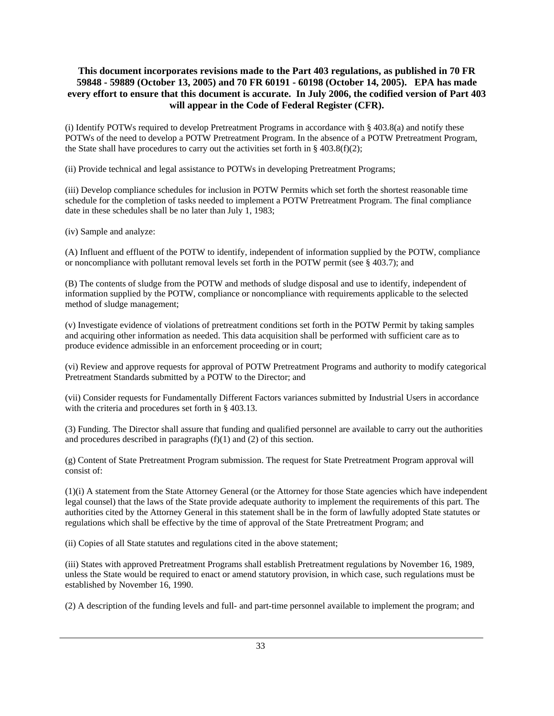(i) Identify POTWs required to develop Pretreatment Programs in accordance with  $\S 403.8(a)$  and notify these POTWs of the need to develop a POTW Pretreatment Program. In the absence of a POTW Pretreatment Program, the State shall have procedures to carry out the activities set forth in  $\S$  403.8(f)(2);

(ii) Provide technical and legal assistance to POTWs in developing Pretreatment Programs;

(iii) Develop compliance schedules for inclusion in POTW Permits which set forth the shortest reasonable time schedule for the completion of tasks needed to implement a POTW Pretreatment Program. The final compliance date in these schedules shall be no later than July 1, 1983;

(iv) Sample and analyze:

(A) Influent and effluent of the POTW to identify, independent of information supplied by the POTW, compliance or noncompliance with pollutant removal levels set forth in the POTW permit (see  $\S$  403.7); and

(B) The contents of sludge from the POTW and methods of sludge disposal and use to identify, independent of information supplied by the POTW, compliance or noncompliance with requirements applicable to the selected method of sludge management;

(v) Investigate evidence of violations of pretreatment conditions set forth in the POTW Permit by taking samples and acquiring other information as needed. This data acquisition shall be performed with sufficient care as to produce evidence admissible in an enforcement proceeding or in court;

(vi) Review and approve requests for approval of POTW Pretreatment Programs and authority to modify categorical Pretreatment Standards submitted by a POTW to the Director; and

(vii) Consider requests for Fundamentally Different Factors variances submitted by Industrial Users in accordance with the criteria and procedures set forth in § 403.13.

(3) Funding. The Director shall assure that funding and qualified personnel are available to carry out the authorities and procedures described in paragraphs (f)(1) and (2) of this section.

(g) Content of State Pretreatment Program submission. The request for State Pretreatment Program approval will consist of:

(1)(i) A statement from the State Attorney General (or the Attorney for those State agencies which have independent legal counsel) that the laws of the State provide adequate authority to implement the requirements of this part. The authorities cited by the Attorney General in this statement shall be in the form of lawfully adopted State statutes or regulations which shall be effective by the time of approval of the State Pretreatment Program; and

(ii) Copies of all State statutes and regulations cited in the above statement;

(iii) States with approved Pretreatment Programs shall establish Pretreatment regulations by November 16, 1989, unless the State would be required to enact or amend statutory provision, in which case, such regulations must be established by November 16, 1990.

(2) A description of the funding levels and full- and part-time personnel available to implement the program; and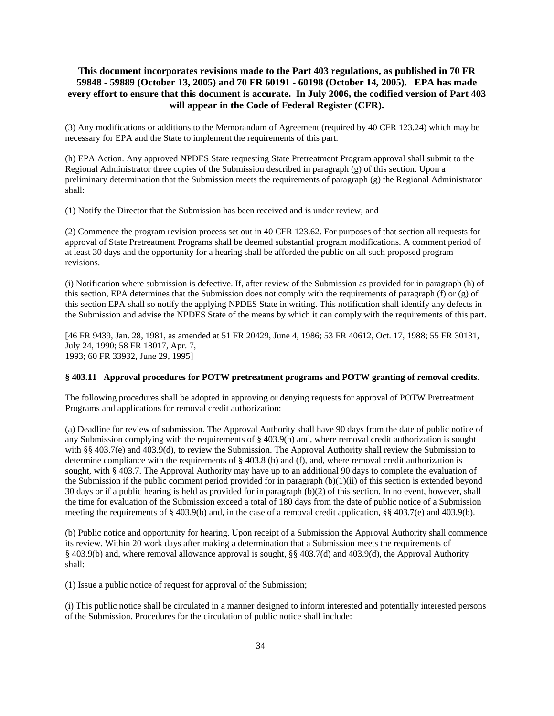(3) Any modifications or additions to the Memorandum of Agreement (required by 40 CFR 123.24) which may be necessary for EPA and the State to implement the requirements of this part.

(h) EPA Action. Any approved NPDES State requesting State Pretreatment Program approval shall submit to the Regional Administrator three copies of the Submission described in paragraph (g) of this section. Upon a preliminary determination that the Submission meets the requirements of paragraph (g) the Regional Administrator shall:

(1) Notify the Director that the Submission has been received and is under review; and

(2) Commence the program revision process set out in 40 CFR 123.62. For purposes of that section all requests for approval of State Pretreatment Programs shall be deemed substantial program modifications. A comment period of at least 30 days and the opportunity for a hearing shall be afforded the public on all such proposed program revisions.

(i) Notification where submission is defective. If, after review of the Submission as provided for in paragraph (h) of this section, EPA determines that the Submission does not comply with the requirements of paragraph (f) or (g) of this section EPA shall so notify the applying NPDES State in writing. This notification shall identify any defects in the Submission and advise the NPDES State of the means by which it can comply with the requirements of this part.

[46 FR 9439, Jan. 28, 1981, as amended at 51 FR 20429, June 4, 1986; 53 FR 40612, Oct. 17, 1988; 55 FR 30131, July 24, 1990; 58 FR 18017, Apr. 7, 1993; 60 FR 33932, June 29, 1995]

#### **§ 403.11 Approval procedures for POTW pretreatment programs and POTW granting of removal credits.**

The following procedures shall be adopted in approving or denying requests for approval of POTW Pretreatment Programs and applications for removal credit authorization:

(a) Deadline for review of submission. The Approval Authority shall have 90 days from the date of public notice of any Submission complying with the requirements of § 403.9(b) and, where removal credit authorization is sought with §§ 403.7(e) and 403.9(d), to review the Submission. The Approval Authority shall review the Submission to determine compliance with the requirements of  $\S 403.8$  (b) and (f), and, where removal credit authorization is sought, with § 403.7. The Approval Authority may have up to an additional 90 days to complete the evaluation of the Submission if the public comment period provided for in paragraph  $(b)(1)(ii)$  of this section is extended beyond 30 days or if a public hearing is held as provided for in paragraph (b)(2) of this section. In no event, however, shall the time for evaluation of the Submission exceed a total of 180 days from the date of public notice of a Submission meeting the requirements of § 403.9(b) and, in the case of a removal credit application, §§ 403.7(e) and 403.9(b).

(b) Public notice and opportunity for hearing. Upon receipt of a Submission the Approval Authority shall commence its review. Within 20 work days after making a determination that a Submission meets the requirements of § 403.9(b) and, where removal allowance approval is sought, §§ 403.7(d) and 403.9(d), the Approval Authority shall:

(1) Issue a public notice of request for approval of the Submission;

(i) This public notice shall be circulated in a manner designed to inform interested and potentially interested persons of the Submission. Procedures for the circulation of public notice shall include: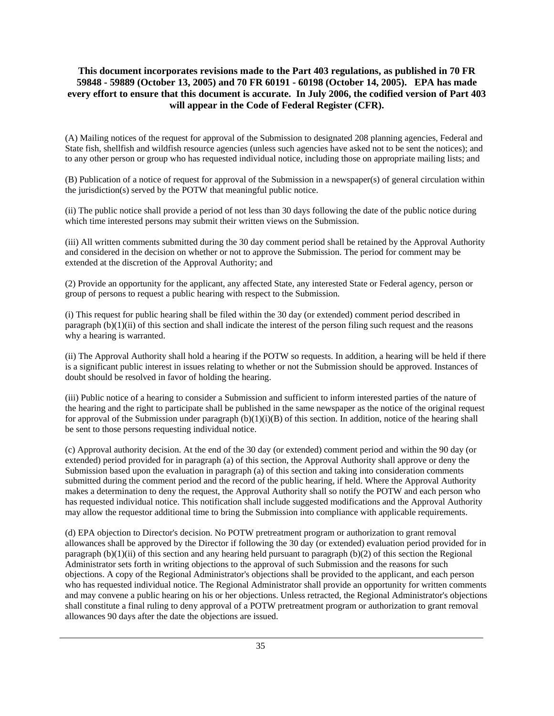(A) Mailing notices of the request for approval of the Submission to designated 208 planning agencies, Federal and State fish, shellfish and wildfish resource agencies (unless such agencies have asked not to be sent the notices); and to any other person or group who has requested individual notice, including those on appropriate mailing lists; and

(B) Publication of a notice of request for approval of the Submission in a newspaper(s) of general circulation within the jurisdiction(s) served by the POTW that meaningful public notice.

(ii) The public notice shall provide a period of not less than 30 days following the date of the public notice during which time interested persons may submit their written views on the Submission.

(iii) All written comments submitted during the 30 day comment period shall be retained by the Approval Authority and considered in the decision on whether or not to approve the Submission. The period for comment may be extended at the discretion of the Approval Authority; and

(2) Provide an opportunity for the applicant, any affected State, any interested State or Federal agency, person or group of persons to request a public hearing with respect to the Submission.

(i) This request for public hearing shall be filed within the 30 day (or extended) comment period described in paragraph (b)(1)(ii) of this section and shall indicate the interest of the person filing such request and the reasons why a hearing is warranted.

(ii) The Approval Authority shall hold a hearing if the POTW so requests. In addition, a hearing will be held if there is a significant public interest in issues relating to whether or not the Submission should be approved. Instances of doubt should be resolved in favor of holding the hearing.

(iii) Public notice of a hearing to consider a Submission and sufficient to inform interested parties of the nature of the hearing and the right to participate shall be published in the same newspaper as the notice of the original request for approval of the Submission under paragraph  $(b)(1)(i)(B)$  of this section. In addition, notice of the hearing shall be sent to those persons requesting individual notice.

(c) Approval authority decision. At the end of the 30 day (or extended) comment period and within the 90 day (or extended) period provided for in paragraph (a) of this section, the Approval Authority shall approve or deny the Submission based upon the evaluation in paragraph (a) of this section and taking into consideration comments submitted during the comment period and the record of the public hearing, if held. Where the Approval Authority makes a determination to deny the request, the Approval Authority shall so notify the POTW and each person who has requested individual notice. This notification shall include suggested modifications and the Approval Authority may allow the requestor additional time to bring the Submission into compliance with applicable requirements.

(d) EPA objection to Director's decision. No POTW pretreatment program or authorization to grant removal allowances shall be approved by the Director if following the 30 day (or extended) evaluation period provided for in paragraph  $(b)(1)(ii)$  of this section and any hearing held pursuant to paragraph  $(b)(2)$  of this section the Regional Administrator sets forth in writing objections to the approval of such Submission and the reasons for such objections. A copy of the Regional Administrator's objections shall be provided to the applicant, and each person who has requested individual notice. The Regional Administrator shall provide an opportunity for written comments and may convene a public hearing on his or her objections. Unless retracted, the Regional Administrator's objections shall constitute a final ruling to deny approval of a POTW pretreatment program or authorization to grant removal allowances 90 days after the date the objections are issued.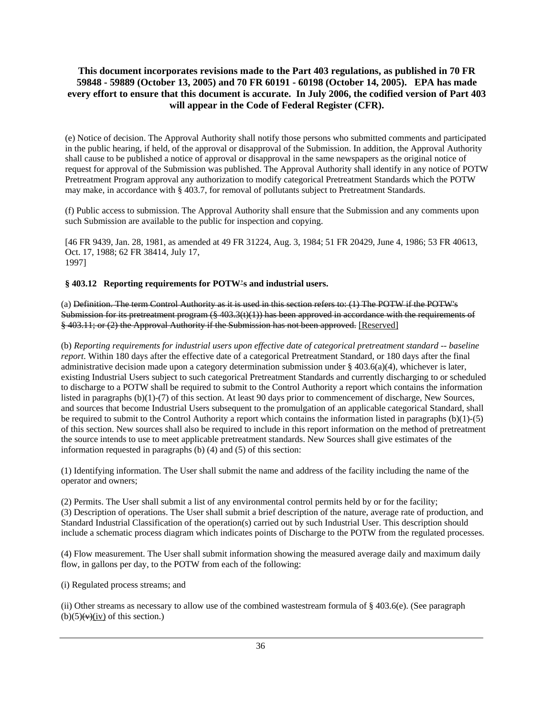(e) Notice of decision. The Approval Authority shall notify those persons who submitted comments and participated in the public hearing, if held, of the approval or disapproval of the Submission. In addition, the Approval Authority shall cause to be published a notice of approval or disapproval in the same newspapers as the original notice of request for approval of the Submission was published. The Approval Authority shall identify in any notice of POTW Pretreatment Program approval any authorization to modify categorical Pretreatment Standards which the POTW may make, in accordance with § 403.7, for removal of pollutants subject to Pretreatment Standards.

(f) Public access to submission. The Approval Authority shall ensure that the Submission and any comments upon such Submission are available to the public for inspection and copying.

[46 FR 9439, Jan. 28, 1981, as amended at 49 FR 31224, Aug. 3, 1984; 51 FR 20429, June 4, 1986; 53 FR 40613, Oct. 17, 1988; 62 FR 38414, July 17, 1997]

#### **§ 403.12 Reporting requirements for POTW**'**s and industrial users.**

(a) Definition. The term Control Authority as it is used in this section refers to: (1) The POTW if the POTW's Submission for its pretreatment program (§ 403.3(t)(1)) has been approved in accordance with the requirements of § 403.11; or (2) the Approval Authority if the Submission has not been approved. [Reserved]

(b) *Reporting requirements for industrial users upon effective date of categorical pretreatment standard -- baseline report*. Within 180 days after the effective date of a categorical Pretreatment Standard, or 180 days after the final administrative decision made upon a category determination submission under § 403.6(a)(4), whichever is later, existing Industrial Users subject to such categorical Pretreatment Standards and currently discharging to or scheduled to discharge to a POTW shall be required to submit to the Control Authority a report which contains the information listed in paragraphs (b)(1)-(7) of this section. At least 90 days prior to commencement of discharge, New Sources, and sources that become Industrial Users subsequent to the promulgation of an applicable categorical Standard, shall be required to submit to the Control Authority a report which contains the information listed in paragraphs  $(b)(1)-(5)$ of this section. New sources shall also be required to include in this report information on the method of pretreatment the source intends to use to meet applicable pretreatment standards. New Sources shall give estimates of the information requested in paragraphs (b) (4) and (5) of this section:

(1) Identifying information. The User shall submit the name and address of the facility including the name of the operator and owners;

(2) Permits. The User shall submit a list of any environmental control permits held by or for the facility; (3) Description of operations. The User shall submit a brief description of the nature, average rate of production, and Standard Industrial Classification of the operation(s) carried out by such Industrial User. This description should include a schematic process diagram which indicates points of Discharge to the POTW from the regulated processes.

(4) Flow measurement. The User shall submit information showing the measured average daily and maximum daily flow, in gallons per day, to the POTW from each of the following:

(i) Regulated process streams; and

(ii) Other streams as necessary to allow use of the combined wastestream formula of § 403.6(e). (See paragraph  $(b)(5)(\vee)(iv)$  of this section.)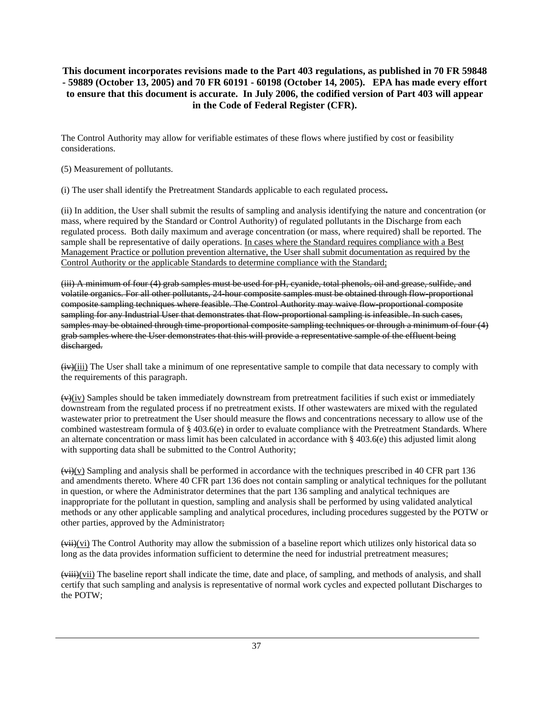The Control Authority may allow for verifiable estimates of these flows where justified by cost or feasibility considerations.

- (5) Measurement of pollutants.
- (i) The user shall identify the Pretreatment Standards applicable to each regulated process**.**

(ii) In addition, the User shall submit the results of sampling and analysis identifying the nature and concentration (or mass, where required by the Standard or Control Authority) of regulated pollutants in the Discharge from each regulated process. Both daily maximum and average concentration (or mass, where required) shall be reported. The sample shall be representative of daily operations. In cases where the Standard requires compliance with a Best Management Practice or pollution prevention alternative, the User shall submit documentation as required by the Control Authority or the applicable Standards to determine compliance with the Standard;

(iii) A minimum of four (4) grab samples must be used for pH, cyanide, total phenols, oil and grease, sulfide, and volatile organics. For all other pollutants, 24-hour composite samples must be obtained through flow-proportional composite sampling techniques where feasible. The Control Authority may waive flow-proportional composite sampling for any Industrial User that demonstrates that flow-proportional sampling is infeasible. In such cases, samples may be obtained through time-proportional composite sampling techniques or through a minimum of four (4) grab samples where the User demonstrates that this will provide a representative sample of the effluent being discharged.

 $(iv)(iii)$  The User shall take a minimum of one representative sample to compile that data necessary to comply with the requirements of this paragraph.

 $(v)(iv)$  Samples should be taken immediately downstream from pretreatment facilities if such exist or immediately downstream from the regulated process if no pretreatment exists. If other wastewaters are mixed with the regulated wastewater prior to pretreatment the User should measure the flows and concentrations necessary to allow use of the combined wastestream formula of  $\S 403.6(e)$  in order to evaluate compliance with the Pretreatment Standards. Where an alternate concentration or mass limit has been calculated in accordance with  $\S 403.6(e)$  this adjusted limit along with supporting data shall be submitted to the Control Authority;

 $(vi)(v)$  Sampling and analysis shall be performed in accordance with the techniques prescribed in 40 CFR part 136 and amendments thereto. Where 40 CFR part 136 does not contain sampling or analytical techniques for the pollutant in question, or where the Administrator determines that the part 136 sampling and analytical techniques are inappropriate for the pollutant in question, sampling and analysis shall be performed by using validated analytical methods or any other applicable sampling and analytical procedures, including procedures suggested by the POTW or other parties, approved by the Administrator;

 $\overline{\text{with}}$ (vi) The Control Authority may allow the submission of a baseline report which utilizes only historical data so long as the data provides information sufficient to determine the need for industrial pretreatment measures;

 $(viii)(vii)$  The baseline report shall indicate the time, date and place, of sampling, and methods of analysis, and shall certify that such sampling and analysis is representative of normal work cycles and expected pollutant Discharges to the POTW;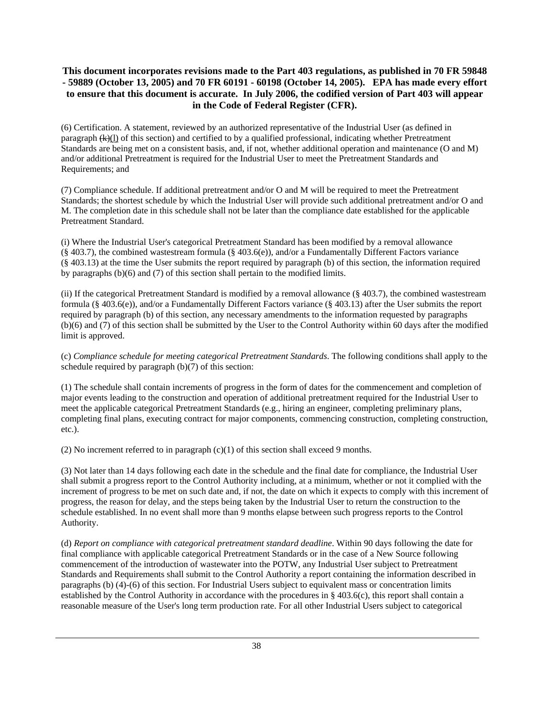(6) Certification. A statement, reviewed by an authorized representative of the Industrial User (as defined in paragraph  $(k)(l)$  of this section) and certified to by a qualified professional, indicating whether Pretreatment Standards are being met on a consistent basis, and, if not, whether additional operation and maintenance (O and M) and/or additional Pretreatment is required for the Industrial User to meet the Pretreatment Standards and Requirements; and

(7) Compliance schedule. If additional pretreatment and/or O and M will be required to meet the Pretreatment Standards; the shortest schedule by which the Industrial User will provide such additional pretreatment and/or O and M. The completion date in this schedule shall not be later than the compliance date established for the applicable Pretreatment Standard.

(i) Where the Industrial User's categorical Pretreatment Standard has been modified by a removal allowance  $(\S 403.7)$ , the combined wastestream formula  $(\S 403.6(e))$ , and/or a Fundamentally Different Factors variance (§ 403.13) at the time the User submits the report required by paragraph (b) of this section, the information required by paragraphs (b)(6) and (7) of this section shall pertain to the modified limits.

(ii) If the categorical Pretreatment Standard is modified by a removal allowance (§ 403.7), the combined wastestream formula (§ 403.6(e)), and/or a Fundamentally Different Factors variance (§ 403.13) after the User submits the report required by paragraph (b) of this section, any necessary amendments to the information requested by paragraphs (b)(6) and (7) of this section shall be submitted by the User to the Control Authority within 60 days after the modified limit is approved.

(c) *Compliance schedule for meeting categorical Pretreatment Standards*. The following conditions shall apply to the schedule required by paragraph (b)(7) of this section:

(1) The schedule shall contain increments of progress in the form of dates for the commencement and completion of major events leading to the construction and operation of additional pretreatment required for the Industrial User to meet the applicable categorical Pretreatment Standards (e.g., hiring an engineer, completing preliminary plans, completing final plans, executing contract for major components, commencing construction, completing construction, etc.).

(2) No increment referred to in paragraph  $(c)(1)$  of this section shall exceed 9 months.

(3) Not later than 14 days following each date in the schedule and the final date for compliance, the Industrial User shall submit a progress report to the Control Authority including, at a minimum, whether or not it complied with the increment of progress to be met on such date and, if not, the date on which it expects to comply with this increment of progress, the reason for delay, and the steps being taken by the Industrial User to return the construction to the schedule established. In no event shall more than 9 months elapse between such progress reports to the Control Authority.

(d) *Report on compliance with categorical pretreatment standard deadline*. Within 90 days following the date for final compliance with applicable categorical Pretreatment Standards or in the case of a New Source following commencement of the introduction of wastewater into the POTW, any Industrial User subject to Pretreatment Standards and Requirements shall submit to the Control Authority a report containing the information described in paragraphs (b) (4)-(6) of this section. For Industrial Users subject to equivalent mass or concentration limits established by the Control Authority in accordance with the procedures in §  $403.6(c)$ , this report shall contain a reasonable measure of the User's long term production rate. For all other Industrial Users subject to categorical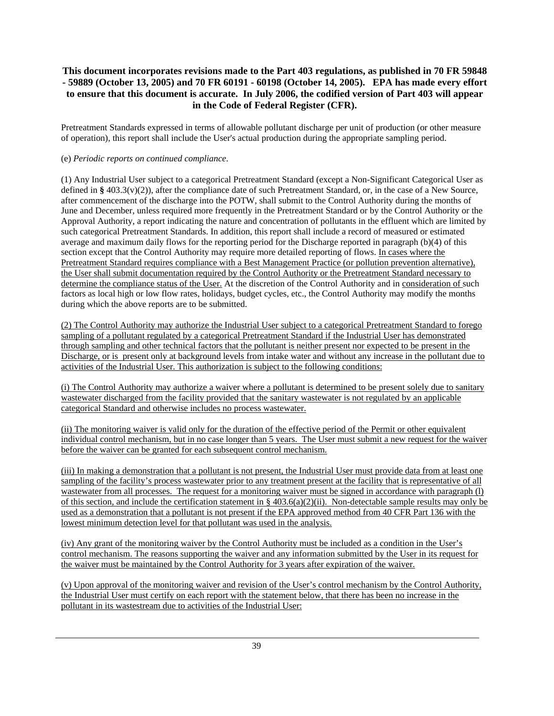Pretreatment Standards expressed in terms of allowable pollutant discharge per unit of production (or other measure of operation), this report shall include the User's actual production during the appropriate sampling period.

### (e) *Periodic reports on continued compliance*.

(1) Any Industrial User subject to a categorical Pretreatment Standard (except a Non-Significant Categorical User as defined in §  $403.3(v)(2)$ ), after the compliance date of such Pretreatment Standard, or, in the case of a New Source, after commencement of the discharge into the POTW, shall submit to the Control Authority during the months of June and December, unless required more frequently in the Pretreatment Standard or by the Control Authority or the Approval Authority, a report indicating the nature and concentration of pollutants in the effluent which are limited by such categorical Pretreatment Standards. In addition, this report shall include a record of measured or estimated average and maximum daily flows for the reporting period for the Discharge reported in paragraph (b)(4) of this section except that the Control Authority may require more detailed reporting of flows. In cases where the Pretreatment Standard requires compliance with a Best Management Practice (or pollution prevention alternative), the User shall submit documentation required by the Control Authority or the Pretreatment Standard necessary to determine the compliance status of the User. At the discretion of the Control Authority and in consideration of such factors as local high or low flow rates, holidays, budget cycles, etc., the Control Authority may modify the months during which the above reports are to be submitted.

(2) The Control Authority may authorize the Industrial User subject to a categorical Pretreatment Standard to forego sampling of a pollutant regulated by a categorical Pretreatment Standard if the Industrial User has demonstrated through sampling and other technical factors that the pollutant is neither present nor expected to be present in the Discharge, or is present only at background levels from intake water and without any increase in the pollutant due to activities of the Industrial User. This authorization is subject to the following conditions:

(i) The Control Authority may authorize a waiver where a pollutant is determined to be present solely due to sanitary wastewater discharged from the facility provided that the sanitary wastewater is not regulated by an applicable categorical Standard and otherwise includes no process wastewater.

(ii) The monitoring waiver is valid only for the duration of the effective period of the Permit or other equivalent individual control mechanism, but in no case longer than 5 years. The User must submit a new request for the waiver before the waiver can be granted for each subsequent control mechanism.

(iii) In making a demonstration that a pollutant is not present, the Industrial User must provide data from at least one sampling of the facility's process wastewater prior to any treatment present at the facility that is representative of all wastewater from all processes. The request for a monitoring waiver must be signed in accordance with paragraph (l) of this section, and include the certification statement in  $\S 403.6(a)(2)(ii)$ . Non-detectable sample results may only be used as a demonstration that a pollutant is not present if the EPA approved method from 40 CFR Part 136 with the lowest minimum detection level for that pollutant was used in the analysis.

(iv) Any grant of the monitoring waiver by the Control Authority must be included as a condition in the User's control mechanism. The reasons supporting the waiver and any information submitted by the User in its request for the waiver must be maintained by the Control Authority for 3 years after expiration of the waiver.

(v) Upon approval of the monitoring waiver and revision of the User's control mechanism by the Control Authority, the Industrial User must certify on each report with the statement below, that there has been no increase in the pollutant in its wastestream due to activities of the Industrial User: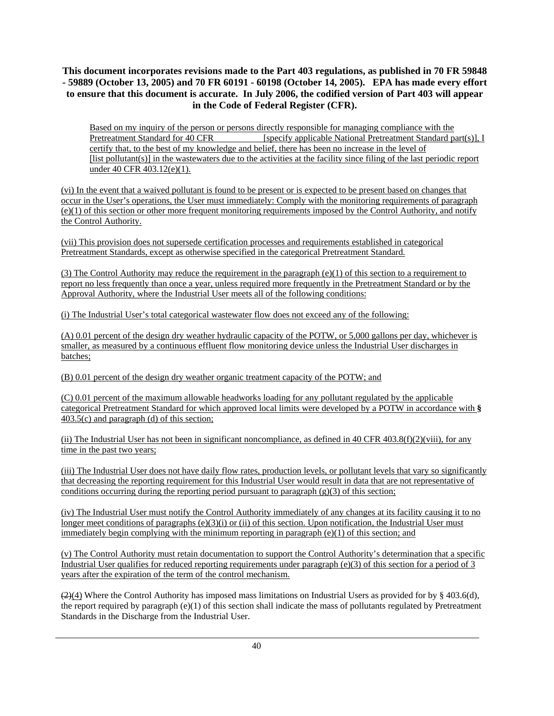Based on my inquiry of the person or persons directly responsible for managing compliance with the Pretreatment Standard for 40 CFR [specify applicable National Pretreatment Standard part(s)], I certify that, to the best of my knowledge and belief, there has been no increase in the level of [list pollutant(s)] in the wastewaters due to the activities at the facility since filing of the last periodic report under 40 CFR 403.12(e)(1).

(vi) In the event that a waived pollutant is found to be present or is expected to be present based on changes that occur in the User's operations, the User must immediately: Comply with the monitoring requirements of paragraph  $(e)(1)$  of this section or other more frequent monitoring requirements imposed by the Control Authority, and notify the Control Authority.

(vii) This provision does not supersede certification processes and requirements established in categorical Pretreatment Standards, except as otherwise specified in the categorical Pretreatment Standard.

(3) The Control Authority may reduce the requirement in the paragraph  $(e)(1)$  of this section to a requirement to report no less frequently than once a year, unless required more frequently in the Pretreatment Standard or by the Approval Authority, where the Industrial User meets all of the following conditions:

(i) The Industrial User's total categorical wastewater flow does not exceed any of the following:

(A) 0.01 percent of the design dry weather hydraulic capacity of the POTW, or 5,000 gallons per day, whichever is smaller, as measured by a continuous effluent flow monitoring device unless the Industrial User discharges in batches;

(B) 0.01 percent of the design dry weather organic treatment capacity of the POTW; and

(C) 0.01 percent of the maximum allowable headworks loading for any pollutant regulated by the applicable categorical Pretreatment Standard for which approved local limits were developed by a POTW in accordance with **§** 403.5(c) and paragraph (d) of this section;

(ii) The Industrial User has not been in significant noncompliance, as defined in 40 CFR 403.8(f)(2)(viii), for any time in the past two years;

(iii) The Industrial User does not have daily flow rates, production levels, or pollutant levels that vary so significantly that decreasing the reporting requirement for this Industrial User would result in data that are not representative of conditions occurring during the reporting period pursuant to paragraph  $(g)(3)$  of this section;

(iv) The Industrial User must notify the Control Authority immediately of any changes at its facility causing it to no longer meet conditions of paragraphs (e)(3)(i) or (ii) of this section. Upon notification, the Industrial User must immediately begin complying with the minimum reporting in paragraph  $(e)(1)$  of this section; and

(v) The Control Authority must retain documentation to support the Control Authority's determination that a specific Industrial User qualifies for reduced reporting requirements under paragraph (e)(3) of this section for a period of 3 years after the expiration of the term of the control mechanism.

 $(2)(4)$  Where the Control Authority has imposed mass limitations on Industrial Users as provided for by § 403.6(d), the report required by paragraph (e)(1) of this section shall indicate the mass of pollutants regulated by Pretreatment Standards in the Discharge from the Industrial User.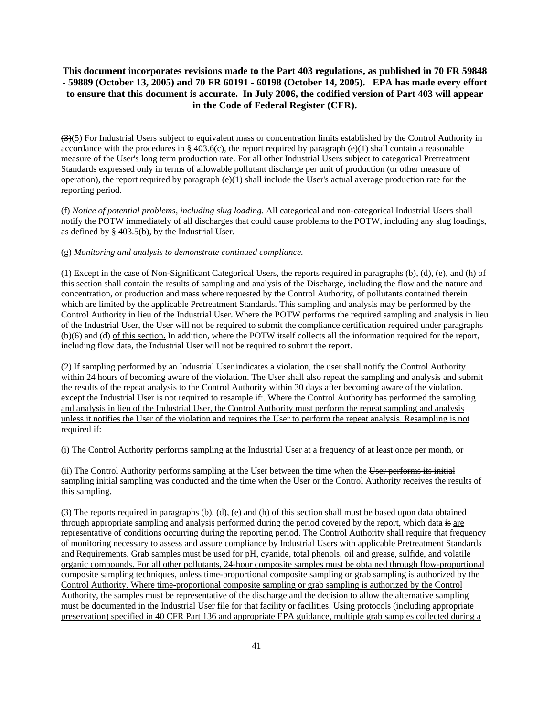$(3)(5)$  For Industrial Users subject to equivalent mass or concentration limits established by the Control Authority in accordance with the procedures in § 403.6(c), the report required by paragraph (e)(1) shall contain a reasonable measure of the User's long term production rate. For all other Industrial Users subject to categorical Pretreatment Standards expressed only in terms of allowable pollutant discharge per unit of production (or other measure of operation), the report required by paragraph  $(e)(1)$  shall include the User's actual average production rate for the reporting period.

(f) *Notice of potential problems, including slug loading*. All categorical and non-categorical Industrial Users shall notify the POTW immediately of all discharges that could cause problems to the POTW, including any slug loadings, as defined by  $\S$  403.5(b), by the Industrial User.

(g) *Monitoring and analysis to demonstrate continued compliance.*

(1) Except in the case of Non-Significant Categorical Users, the reports required in paragraphs (b), (d), (e), and (h) of this section shall contain the results of sampling and analysis of the Discharge, including the flow and the nature and concentration, or production and mass where requested by the Control Authority, of pollutants contained therein which are limited by the applicable Pretreatment Standards. This sampling and analysis may be performed by the Control Authority in lieu of the Industrial User. Where the POTW performs the required sampling and analysis in lieu of the Industrial User, the User will not be required to submit the compliance certification required under paragraphs (b)(6) and (d) of this section. In addition, where the POTW itself collects all the information required for the report, including flow data, the Industrial User will not be required to submit the report.

(2) If sampling performed by an Industrial User indicates a violation, the user shall notify the Control Authority within 24 hours of becoming aware of the violation. The User shall also repeat the sampling and analysis and submit the results of the repeat analysis to the Control Authority within 30 days after becoming aware of the violation. except the Industrial User is not required to resample if. Where the Control Authority has performed the sampling and analysis in lieu of the Industrial User, the Control Authority must perform the repeat sampling and analysis unless it notifies the User of the violation and requires the User to perform the repeat analysis. Resampling is not required if:

(i) The Control Authority performs sampling at the Industrial User at a frequency of at least once per month, or

(ii) The Control Authority performs sampling at the User between the time when the User performs its initial sampling initial sampling was conducted and the time when the User or the Control Authority receives the results of this sampling.

(3) The reports required in paragraphs  $(b)$ ,  $(d)$ , (e) and  $(h)$  of this section shall-must be based upon data obtained through appropriate sampling and analysis performed during the period covered by the report, which data is are representative of conditions occurring during the reporting period. The Control Authority shall require that frequency of monitoring necessary to assess and assure compliance by Industrial Users with applicable Pretreatment Standards and Requirements. Grab samples must be used for pH, cyanide, total phenols, oil and grease, sulfide, and volatile organic compounds. For all other pollutants, 24-hour composite samples must be obtained through flow-proportional composite sampling techniques, unless time-proportional composite sampling or grab sampling is authorized by the Control Authority. Where time-proportional composite sampling or grab sampling is authorized by the Control Authority, the samples must be representative of the discharge and the decision to allow the alternative sampling must be documented in the Industrial User file for that facility or facilities. Using protocols (including appropriate preservation) specified in 40 CFR Part 136 and appropriate EPA guidance, multiple grab samples collected during a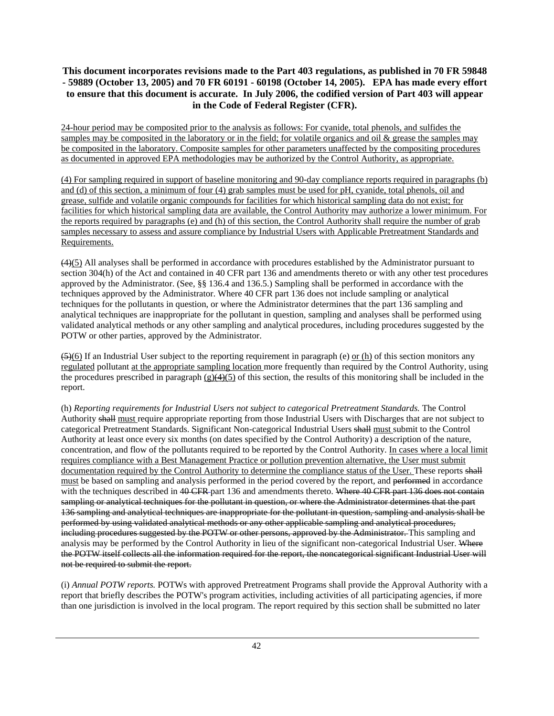24-hour period may be composited prior to the analysis as follows: For cyanide, total phenols, and sulfides the samples may be composited in the laboratory or in the field; for volatile organics and oil & grease the samples may be composited in the laboratory. Composite samples for other parameters unaffected by the compositing procedures as documented in approved EPA methodologies may be authorized by the Control Authority, as appropriate.

(4) For sampling required in support of baseline monitoring and 90-day compliance reports required in paragraphs (b) and (d) of this section, a minimum of four (4) grab samples must be used for pH, cyanide, total phenols, oil and grease, sulfide and volatile organic compounds for facilities for which historical sampling data do not exist; for facilities for which historical sampling data are available, the Control Authority may authorize a lower minimum. For the reports required by paragraphs (e) and (h) of this section, the Control Authority shall require the number of grab samples necessary to assess and assure compliance by Industrial Users with Applicable Pretreatment Standards and Requirements.

(4)(5) All analyses shall be performed in accordance with procedures established by the Administrator pursuant to section 304(h) of the Act and contained in 40 CFR part 136 and amendments thereto or with any other test procedures approved by the Administrator. (See, §§ 136.4 and 136.5.) Sampling shall be performed in accordance with the techniques approved by the Administrator. Where 40 CFR part 136 does not include sampling or analytical techniques for the pollutants in question, or where the Administrator determines that the part 136 sampling and analytical techniques are inappropriate for the pollutant in question, sampling and analyses shall be performed using validated analytical methods or any other sampling and analytical procedures, including procedures suggested by the POTW or other parties, approved by the Administrator.

 $(5)(6)$  If an Industrial User subject to the reporting requirement in paragraph (e) or (h) of this section monitors any regulated pollutant at the appropriate sampling location more frequently than required by the Control Authority, using the procedures prescribed in paragraph  $(g)(4)(5)$  of this section, the results of this monitoring shall be included in the report.

(h) *Reporting requirements for Industrial Users not subject to categorical Pretreatment Standards.* The Control Authority shall must require appropriate reporting from those Industrial Users with Discharges that are not subject to categorical Pretreatment Standards. Significant Non-categorical Industrial Users shall must submit to the Control Authority at least once every six months (on dates specified by the Control Authority) a description of the nature, concentration, and flow of the pollutants required to be reported by the Control Authority. In cases where a local limit requires compliance with a Best Management Practice or pollution prevention alternative, the User must submit documentation required by the Control Authority to determine the compliance status of the User. These reports shall must be based on sampling and analysis performed in the period covered by the report, and performed in accordance with the techniques described in 40 CFR part 136 and amendments thereto. Where 40 CFR part 136 does not contain sampling or analytical techniques for the pollutant in question, or where the Administrator determines that the part 136 sampling and analytical techniques are inappropriate for the pollutant in question, sampling and analysis shall be performed by using validated analytical methods or any other applicable sampling and analytical procedures, including procedures suggested by the POTW or other persons, approved by the Administrator. This sampling and analysis may be performed by the Control Authority in lieu of the significant non-categorical Industrial User. Where the POTW itself collects all the information required for the report, the noncategorical significant Industrial User will not be required to submit the report.

(i) *Annual POTW reports.* POTWs with approved Pretreatment Programs shall provide the Approval Authority with a report that briefly describes the POTW's program activities, including activities of all participating agencies, if more than one jurisdiction is involved in the local program. The report required by this section shall be submitted no later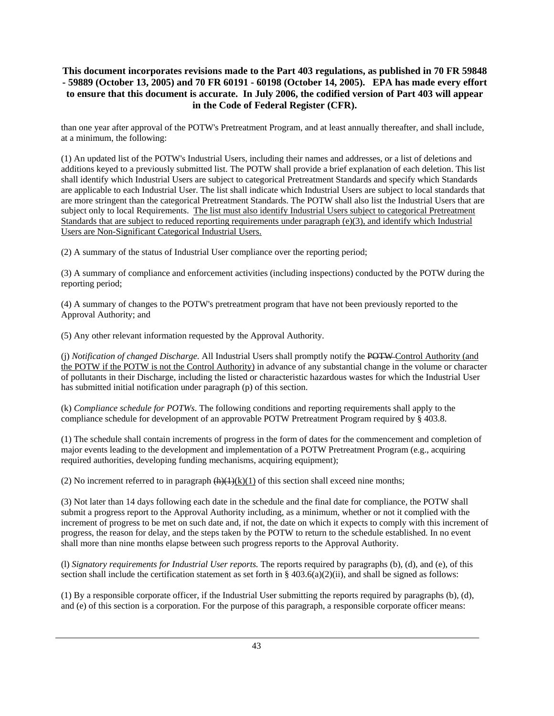than one year after approval of the POTW's Pretreatment Program, and at least annually thereafter, and shall include, at a minimum, the following:

(1) An updated list of the POTW's Industrial Users, including their names and addresses, or a list of deletions and additions keyed to a previously submitted list. The POTW shall provide a brief explanation of each deletion. This list shall identify which Industrial Users are subject to categorical Pretreatment Standards and specify which Standards are applicable to each Industrial User. The list shall indicate which Industrial Users are subject to local standards that are more stringent than the categorical Pretreatment Standards. The POTW shall also list the Industrial Users that are subject only to local Requirements. The list must also identify Industrial Users subject to categorical Pretreatment Standards that are subject to reduced reporting requirements under paragraph (e)(3), and identify which Industrial Users are Non-Significant Categorical Industrial Users.

(2) A summary of the status of Industrial User compliance over the reporting period;

(3) A summary of compliance and enforcement activities (including inspections) conducted by the POTW during the reporting period;

(4) A summary of changes to the POTW's pretreatment program that have not been previously reported to the Approval Authority; and

(5) Any other relevant information requested by the Approval Authority.

(j) *Notification of changed Discharge.* All Industrial Users shall promptly notify the POTW Control Authority (and the POTW if the POTW is not the Control Authority) in advance of any substantial change in the volume or character of pollutants in their Discharge, including the listed or characteristic hazardous wastes for which the Industrial User has submitted initial notification under paragraph (p) of this section.

(k) *Compliance schedule for POTWs*. The following conditions and reporting requirements shall apply to the compliance schedule for development of an approvable POTW Pretreatment Program required by § 403.8.

(1) The schedule shall contain increments of progress in the form of dates for the commencement and completion of major events leading to the development and implementation of a POTW Pretreatment Program (e.g., acquiring required authorities, developing funding mechanisms, acquiring equipment);

(2) No increment referred to in paragraph  $\frac{h(1)(k)(1)}{k}$  of this section shall exceed nine months;

(3) Not later than 14 days following each date in the schedule and the final date for compliance, the POTW shall submit a progress report to the Approval Authority including, as a minimum, whether or not it complied with the increment of progress to be met on such date and, if not, the date on which it expects to comply with this increment of progress, the reason for delay, and the steps taken by the POTW to return to the schedule established. In no event shall more than nine months elapse between such progress reports to the Approval Authority.

(l) *Signatory requirements for Industrial User reports.* The reports required by paragraphs (b), (d), and (e), of this section shall include the certification statement as set forth in §  $403.6(a)(2)(ii)$ , and shall be signed as follows:

(1) By a responsible corporate officer, if the Industrial User submitting the reports required by paragraphs (b), (d), and (e) of this section is a corporation. For the purpose of this paragraph, a responsible corporate officer means: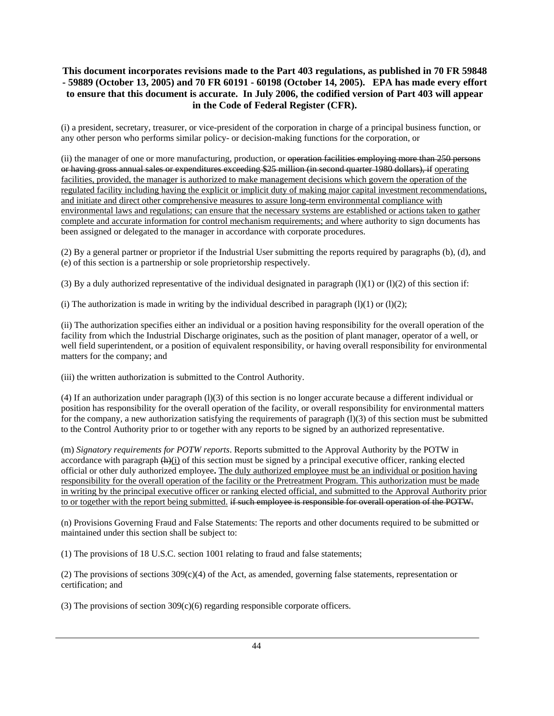(i) a president, secretary, treasurer, or vice-president of the corporation in charge of a principal business function, or any other person who performs similar policy- or decision-making functions for the corporation, or

(ii) the manager of one or more manufacturing, production, or operation facilities employing more than 250 persons or having gross annual sales or expenditures exceeding \$25 million (in second quarter 1980 dollars), if operating facilities, provided, the manager is authorized to make management decisions which govern the operation of the regulated facility including having the explicit or implicit duty of making major capital investment recommendations, and initiate and direct other comprehensive measures to assure long-term environmental compliance with environmental laws and regulations; can ensure that the necessary systems are established or actions taken to gather complete and accurate information for control mechanism requirements; and where authority to sign documents has been assigned or delegated to the manager in accordance with corporate procedures.

(2) By a general partner or proprietor if the Industrial User submitting the reports required by paragraphs (b), (d), and (e) of this section is a partnership or sole proprietorship respectively.

(3) By a duly authorized representative of the individual designated in paragraph  $(l)(1)$  or  $(l)(2)$  of this section if:

(i) The authorization is made in writing by the individual described in paragraph  $(1)(1)$  or  $(1)(2)$ ;

(ii) The authorization specifies either an individual or a position having responsibility for the overall operation of the facility from which the Industrial Discharge originates, such as the position of plant manager, operator of a well, or well field superintendent, or a position of equivalent responsibility, or having overall responsibility for environmental matters for the company; and

(iii) the written authorization is submitted to the Control Authority.

(4) If an authorization under paragraph (l)(3) of this section is no longer accurate because a different individual or position has responsibility for the overall operation of the facility, or overall responsibility for environmental matters for the company, a new authorization satisfying the requirements of paragraph  $(1)(3)$  of this section must be submitted to the Control Authority prior to or together with any reports to be signed by an authorized representative.

(m) *Signatory requirements for POTW reports*. Reports submitted to the Approval Authority by the POTW in accordance with paragraph  $(h)(i)$  of this section must be signed by a principal executive officer, ranking elected official or other duly authorized employee**.** The duly authorized employee must be an individual or position having responsibility for the overall operation of the facility or the Pretreatment Program. This authorization must be made in writing by the principal executive officer or ranking elected official, and submitted to the Approval Authority prior to or together with the report being submitted. if such employee is responsible for overall operation of the POTW.

(n) Provisions Governing Fraud and False Statements: The reports and other documents required to be submitted or maintained under this section shall be subject to:

(1) The provisions of 18 U.S.C. section 1001 relating to fraud and false statements;

(2) The provisions of sections  $309(c)(4)$  of the Act, as amended, governing false statements, representation or certification; and

(3) The provisions of section  $309(c)(6)$  regarding responsible corporate officers.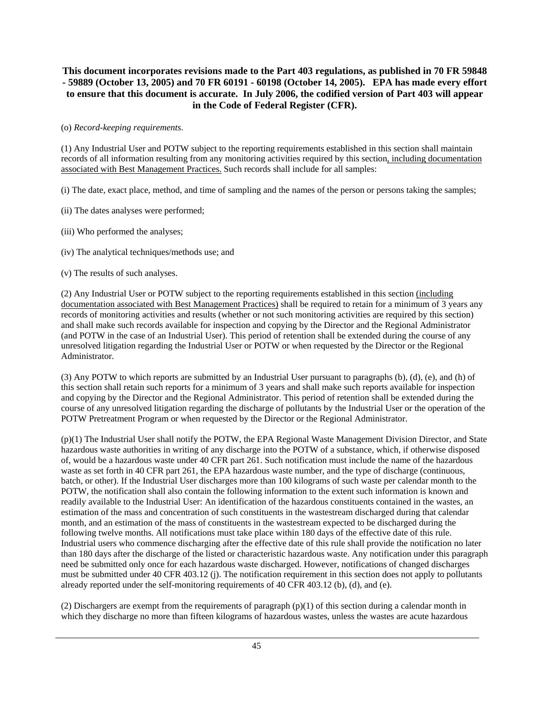#### (o) *Record-keeping requirements*.

(1) Any Industrial User and POTW subject to the reporting requirements established in this section shall maintain records of all information resulting from any monitoring activities required by this section, including documentation associated with Best Management Practices. Such records shall include for all samples:

(i) The date, exact place, method, and time of sampling and the names of the person or persons taking the samples;

(ii) The dates analyses were performed;

- (iii) Who performed the analyses;
- (iv) The analytical techniques/methods use; and
- (v) The results of such analyses.

(2) Any Industrial User or POTW subject to the reporting requirements established in this section (including documentation associated with Best Management Practices) shall be required to retain for a minimum of 3 years any records of monitoring activities and results (whether or not such monitoring activities are required by this section) and shall make such records available for inspection and copying by the Director and the Regional Administrator (and POTW in the case of an Industrial User). This period of retention shall be extended during the course of any unresolved litigation regarding the Industrial User or POTW or when requested by the Director or the Regional Administrator.

(3) Any POTW to which reports are submitted by an Industrial User pursuant to paragraphs (b), (d), (e), and (h) of this section shall retain such reports for a minimum of 3 years and shall make such reports available for inspection and copying by the Director and the Regional Administrator. This period of retention shall be extended during the course of any unresolved litigation regarding the discharge of pollutants by the Industrial User or the operation of the POTW Pretreatment Program or when requested by the Director or the Regional Administrator.

(p)(1) The Industrial User shall notify the POTW, the EPA Regional Waste Management Division Director, and State hazardous waste authorities in writing of any discharge into the POTW of a substance, which, if otherwise disposed of, would be a hazardous waste under 40 CFR part 261. Such notification must include the name of the hazardous waste as set forth in 40 CFR part 261, the EPA hazardous waste number, and the type of discharge (continuous, batch, or other). If the Industrial User discharges more than 100 kilograms of such waste per calendar month to the POTW, the notification shall also contain the following information to the extent such information is known and readily available to the Industrial User: An identification of the hazardous constituents contained in the wastes, an estimation of the mass and concentration of such constituents in the wastestream discharged during that calendar month, and an estimation of the mass of constituents in the wastestream expected to be discharged during the following twelve months. All notifications must take place within 180 days of the effective date of this rule. Industrial users who commence discharging after the effective date of this rule shall provide the notification no later than 180 days after the discharge of the listed or characteristic hazardous waste. Any notification under this paragraph need be submitted only once for each hazardous waste discharged. However, notifications of changed discharges must be submitted under 40 CFR 403.12 (j). The notification requirement in this section does not apply to pollutants already reported under the self-monitoring requirements of 40 CFR 403.12 (b), (d), and (e).

(2) Dischargers are exempt from the requirements of paragraph  $(p)(1)$  of this section during a calendar month in which they discharge no more than fifteen kilograms of hazardous wastes, unless the wastes are acute hazardous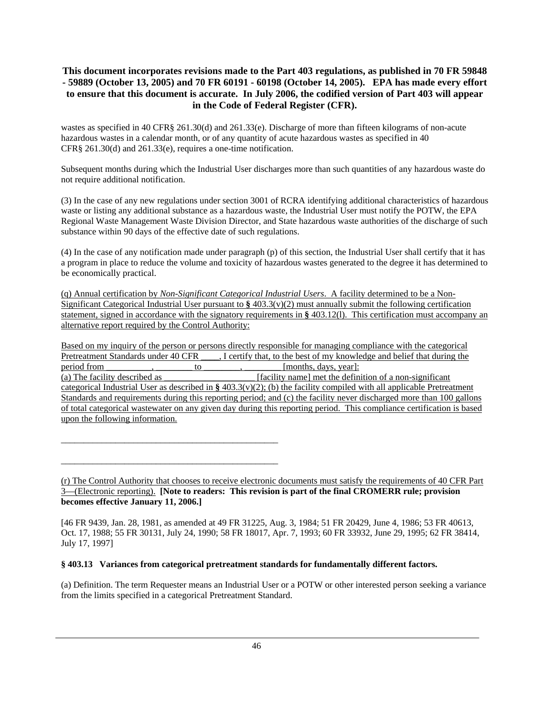wastes as specified in 40 CFR§ 261.30(d) and 261.33(e). Discharge of more than fifteen kilograms of non-acute hazardous wastes in a calendar month, or of any quantity of acute hazardous wastes as specified in 40 CFR§ 261.30(d) and 261.33(e), requires a one-time notification.

Subsequent months during which the Industrial User discharges more than such quantities of any hazardous waste do not require additional notification.

(3) In the case of any new regulations under section 3001 of RCRA identifying additional characteristics of hazardous waste or listing any additional substance as a hazardous waste, the Industrial User must notify the POTW, the EPA Regional Waste Management Waste Division Director, and State hazardous waste authorities of the discharge of such substance within 90 days of the effective date of such regulations.

(4) In the case of any notification made under paragraph (p) of this section, the Industrial User shall certify that it has a program in place to reduce the volume and toxicity of hazardous wastes generated to the degree it has determined to be economically practical.

(q) Annual certification by *Non-Significant Categorical Industrial Users*. A facility determined to be a Non-Significant Categorical Industrial User pursuant to **§** 403.3(v)(2) must annually submit the following certification statement, signed in accordance with the signatory requirements in **§** 403.12(l). This certification must accompany an alternative report required by the Control Authority:

Based on my inquiry of the person or persons directly responsible for managing compliance with the categorical Pretreatment Standards under 40 CFR . I certify that, to the best of my knowledge and belief that during the period from \_\_\_\_\_\_, \_\_\_\_\_\_\_ to \_\_\_\_\_\_, \_\_\_\_\_\_\_\_, [months, days, year]: period from  $\qquad \qquad , \qquad \qquad$  to  $\qquad \qquad , \qquad \qquad$  [months, days, year]: (a) The facility described as \_\_\_\_\_\_\_\_\_\_\_\_\_\_\_\_\_\_\_\_ [facility name] met the definition of a non-significant categorical Industrial User as described in **§** 403.3(v)(2); (b) the facility compiled with all applicable Pretreatment Standards and requirements during this reporting period; and (c) the facility never discharged more than 100 gallons of total categorical wastewater on any given day during this reporting period. This compliance certification is based upon the following information.

(r) The Control Authority that chooses to receive electronic documents must satisfy the requirements of 40 CFR Part 3—(Electronic reporting). **[Note to readers: This revision is part of the final CROMERR rule; provision becomes effective January 11, 2006.]** 

[46 FR 9439, Jan. 28, 1981, as amended at 49 FR 31225, Aug. 3, 1984; 51 FR 20429, June 4, 1986; 53 FR 40613, Oct. 17, 1988; 55 FR 30131, July 24, 1990; 58 FR 18017, Apr. 7, 1993; 60 FR 33932, June 29, 1995; 62 FR 38414, July 17, 1997]

# **§ 403.13 Variances from categorical pretreatment standards for fundamentally different factors.**

\_\_\_\_\_\_\_\_\_\_\_\_\_\_\_\_\_\_\_\_\_\_\_\_\_\_\_\_\_\_\_\_\_\_\_\_\_\_\_\_\_\_\_\_\_\_\_\_

\_\_\_\_\_\_\_\_\_\_\_\_\_\_\_\_\_\_\_\_\_\_\_\_\_\_\_\_\_\_\_\_\_\_\_\_\_\_\_\_\_\_\_\_\_\_\_\_

(a) Definition. The term Requester means an Industrial User or a POTW or other interested person seeking a variance from the limits specified in a categorical Pretreatment Standard.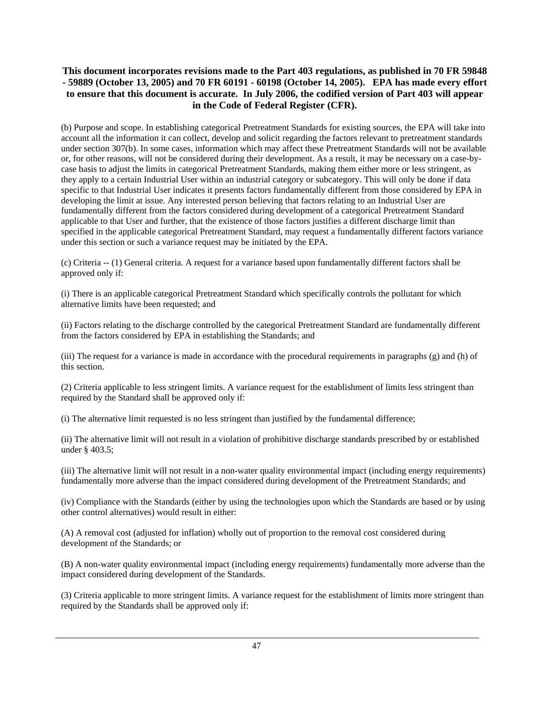(b) Purpose and scope. In establishing categorical Pretreatment Standards for existing sources, the EPA will take into account all the information it can collect, develop and solicit regarding the factors relevant to pretreatment standards under section 307(b). In some cases, information which may affect these Pretreatment Standards will not be available or, for other reasons, will not be considered during their development. As a result, it may be necessary on a case-bycase basis to adjust the limits in categorical Pretreatment Standards, making them either more or less stringent, as they apply to a certain Industrial User within an industrial category or subcategory. This will only be done if data specific to that Industrial User indicates it presents factors fundamentally different from those considered by EPA in developing the limit at issue. Any interested person believing that factors relating to an Industrial User are fundamentally different from the factors considered during development of a categorical Pretreatment Standard applicable to that User and further, that the existence of those factors justifies a different discharge limit than specified in the applicable categorical Pretreatment Standard, may request a fundamentally different factors variance under this section or such a variance request may be initiated by the EPA.

(c) Criteria -- (1) General criteria. A request for a variance based upon fundamentally different factors shall be approved only if:

(i) There is an applicable categorical Pretreatment Standard which specifically controls the pollutant for which alternative limits have been requested; and

(ii) Factors relating to the discharge controlled by the categorical Pretreatment Standard are fundamentally different from the factors considered by EPA in establishing the Standards; and

(iii) The request for a variance is made in accordance with the procedural requirements in paragraphs (g) and (h) of this section.

(2) Criteria applicable to less stringent limits. A variance request for the establishment of limits less stringent than required by the Standard shall be approved only if:

(i) The alternative limit requested is no less stringent than justified by the fundamental difference;

(ii) The alternative limit will not result in a violation of prohibitive discharge standards prescribed by or established under § 403.5;

(iii) The alternative limit will not result in a non-water quality environmental impact (including energy requirements) fundamentally more adverse than the impact considered during development of the Pretreatment Standards; and

(iv) Compliance with the Standards (either by using the technologies upon which the Standards are based or by using other control alternatives) would result in either:

(A) A removal cost (adjusted for inflation) wholly out of proportion to the removal cost considered during development of the Standards; or

(B) A non-water quality environmental impact (including energy requirements) fundamentally more adverse than the impact considered during development of the Standards.

(3) Criteria applicable to more stringent limits. A variance request for the establishment of limits more stringent than required by the Standards shall be approved only if: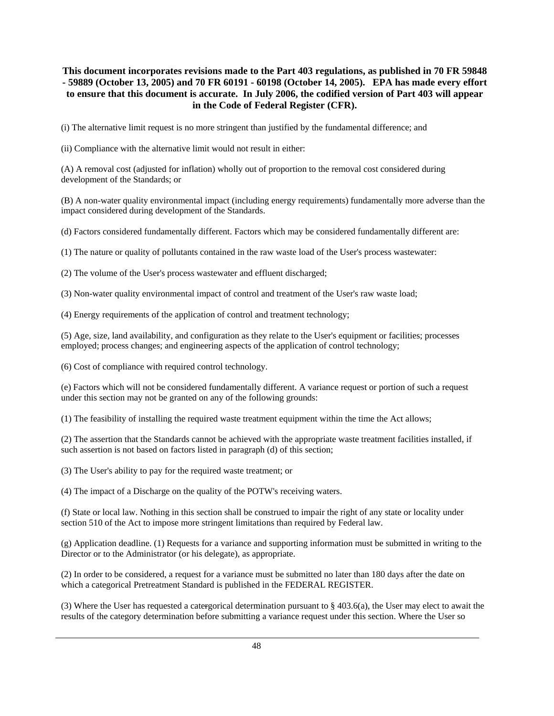(i) The alternative limit request is no more stringent than justified by the fundamental difference; and

(ii) Compliance with the alternative limit would not result in either:

(A) A removal cost (adjusted for inflation) wholly out of proportion to the removal cost considered during development of the Standards; or

(B) A non-water quality environmental impact (including energy requirements) fundamentally more adverse than the impact considered during development of the Standards.

(d) Factors considered fundamentally different. Factors which may be considered fundamentally different are:

(1) The nature or quality of pollutants contained in the raw waste load of the User's process wastewater:

(2) The volume of the User's process wastewater and effluent discharged;

(3) Non-water quality environmental impact of control and treatment of the User's raw waste load;

(4) Energy requirements of the application of control and treatment technology;

(5) Age, size, land availability, and configuration as they relate to the User's equipment or facilities; processes employed; process changes; and engineering aspects of the application of control technology;

(6) Cost of compliance with required control technology.

(e) Factors which will not be considered fundamentally different. A variance request or portion of such a request under this section may not be granted on any of the following grounds:

(1) The feasibility of installing the required waste treatment equipment within the time the Act allows;

(2) The assertion that the Standards cannot be achieved with the appropriate waste treatment facilities installed, if such assertion is not based on factors listed in paragraph (d) of this section;

(3) The User's ability to pay for the required waste treatment; or

(4) The impact of a Discharge on the quality of the POTW's receiving waters.

(f) State or local law. Nothing in this section shall be construed to impair the right of any state or locality under section 510 of the Act to impose more stringent limitations than required by Federal law.

(g) Application deadline. (1) Requests for a variance and supporting information must be submitted in writing to the Director or to the Administrator (or his delegate), as appropriate.

(2) In order to be considered, a request for a variance must be submitted no later than 180 days after the date on which a categorical Pretreatment Standard is published in the FEDERAL REGISTER.

(3) Where the User has requested a catergorical determination pursuant to  $\S 403.6(a)$ , the User may elect to await the results of the category determination before submitting a variance request under this section. Where the User so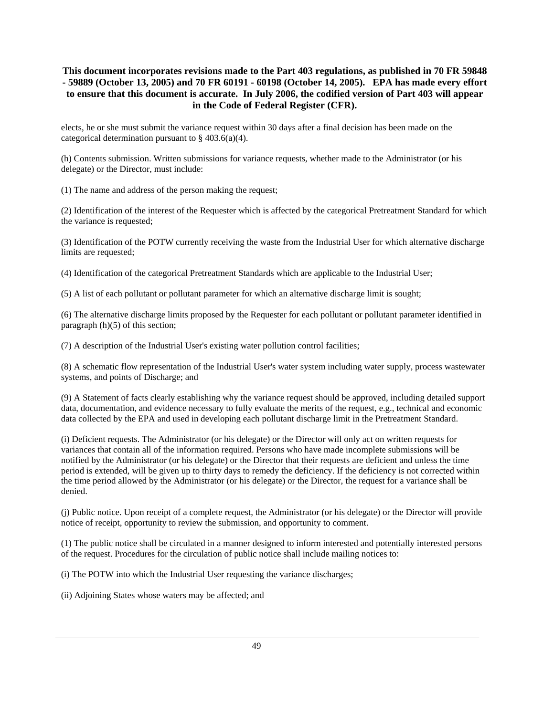elects, he or she must submit the variance request within 30 days after a final decision has been made on the categorical determination pursuant to  $\S$  403.6(a)(4).

(h) Contents submission. Written submissions for variance requests, whether made to the Administrator (or his delegate) or the Director, must include:

(1) The name and address of the person making the request;

(2) Identification of the interest of the Requester which is affected by the categorical Pretreatment Standard for which the variance is requested;

(3) Identification of the POTW currently receiving the waste from the Industrial User for which alternative discharge limits are requested;

(4) Identification of the categorical Pretreatment Standards which are applicable to the Industrial User;

(5) A list of each pollutant or pollutant parameter for which an alternative discharge limit is sought;

(6) The alternative discharge limits proposed by the Requester for each pollutant or pollutant parameter identified in paragraph (h)(5) of this section;

(7) A description of the Industrial User's existing water pollution control facilities;

(8) A schematic flow representation of the Industrial User's water system including water supply, process wastewater systems, and points of Discharge; and

(9) A Statement of facts clearly establishing why the variance request should be approved, including detailed support data, documentation, and evidence necessary to fully evaluate the merits of the request, e.g., technical and economic data collected by the EPA and used in developing each pollutant discharge limit in the Pretreatment Standard.

(i) Deficient requests. The Administrator (or his delegate) or the Director will only act on written requests for variances that contain all of the information required. Persons who have made incomplete submissions will be notified by the Administrator (or his delegate) or the Director that their requests are deficient and unless the time period is extended, will be given up to thirty days to remedy the deficiency. If the deficiency is not corrected within the time period allowed by the Administrator (or his delegate) or the Director, the request for a variance shall be denied.

(j) Public notice. Upon receipt of a complete request, the Administrator (or his delegate) or the Director will provide notice of receipt, opportunity to review the submission, and opportunity to comment.

(1) The public notice shall be circulated in a manner designed to inform interested and potentially interested persons of the request. Procedures for the circulation of public notice shall include mailing notices to:

(i) The POTW into which the Industrial User requesting the variance discharges;

(ii) Adjoining States whose waters may be affected; and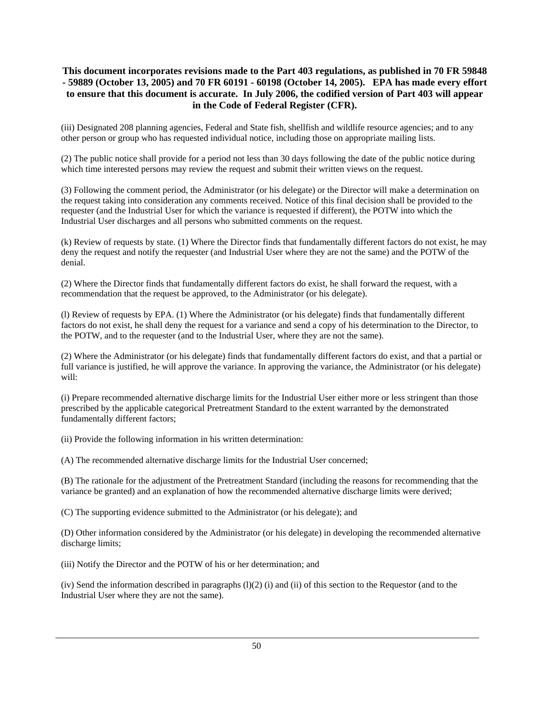(iii) Designated 208 planning agencies, Federal and State fish, shellfish and wildlife resource agencies; and to any other person or group who has requested individual notice, including those on appropriate mailing lists.

(2) The public notice shall provide for a period not less than 30 days following the date of the public notice during which time interested persons may review the request and submit their written views on the request.

(3) Following the comment period, the Administrator (or his delegate) or the Director will make a determination on the request taking into consideration any comments received. Notice of this final decision shall be provided to the requester (and the Industrial User for which the variance is requested if different), the POTW into which the Industrial User discharges and all persons who submitted comments on the request.

(k) Review of requests by state. (1) Where the Director finds that fundamentally different factors do not exist, he may deny the request and notify the requester (and Industrial User where they are not the same) and the POTW of the denial.

(2) Where the Director finds that fundamentally different factors do exist, he shall forward the request, with a recommendation that the request be approved, to the Administrator (or his delegate).

(l) Review of requests by EPA. (1) Where the Administrator (or his delegate) finds that fundamentally different factors do not exist, he shall deny the request for a variance and send a copy of his determination to the Director, to the POTW, and to the requester (and to the Industrial User, where they are not the same).

(2) Where the Administrator (or his delegate) finds that fundamentally different factors do exist, and that a partial or full variance is justified, he will approve the variance. In approving the variance, the Administrator (or his delegate) will:

(i) Prepare recommended alternative discharge limits for the Industrial User either more or less stringent than those prescribed by the applicable categorical Pretreatment Standard to the extent warranted by the demonstrated fundamentally different factors;

(ii) Provide the following information in his written determination:

(A) The recommended alternative discharge limits for the Industrial User concerned;

(B) The rationale for the adjustment of the Pretreatment Standard (including the reasons for recommending that the variance be granted) and an explanation of how the recommended alternative discharge limits were derived;

(C) The supporting evidence submitted to the Administrator (or his delegate); and

(D) Other information considered by the Administrator (or his delegate) in developing the recommended alternative discharge limits;

(iii) Notify the Director and the POTW of his or her determination; and

 $(iv)$  Send the information described in paragraphs  $(l)(2)$  (i) and (ii) of this section to the Requestor (and to the Industrial User where they are not the same).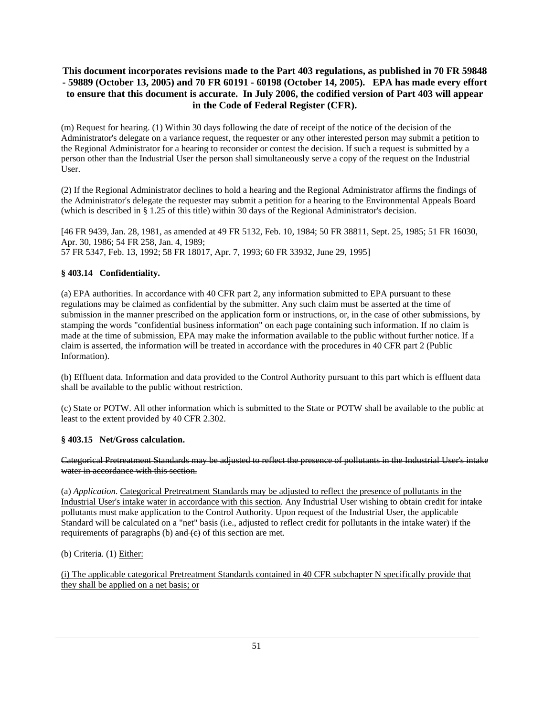(m) Request for hearing. (1) Within 30 days following the date of receipt of the notice of the decision of the Administrator's delegate on a variance request, the requester or any other interested person may submit a petition to the Regional Administrator for a hearing to reconsider or contest the decision. If such a request is submitted by a person other than the Industrial User the person shall simultaneously serve a copy of the request on the Industrial User.

(2) If the Regional Administrator declines to hold a hearing and the Regional Administrator affirms the findings of the Administrator's delegate the requester may submit a petition for a hearing to the Environmental Appeals Board (which is described in § 1.25 of this title) within 30 days of the Regional Administrator's decision.

[46 FR 9439, Jan. 28, 1981, as amended at 49 FR 5132, Feb. 10, 1984; 50 FR 38811, Sept. 25, 1985; 51 FR 16030, Apr. 30, 1986; 54 FR 258, Jan. 4, 1989; 57 FR 5347, Feb. 13, 1992; 58 FR 18017, Apr. 7, 1993; 60 FR 33932, June 29, 1995]

### **§ 403.14 Confidentiality.**

(a) EPA authorities. In accordance with 40 CFR part 2, any information submitted to EPA pursuant to these regulations may be claimed as confidential by the submitter. Any such claim must be asserted at the time of submission in the manner prescribed on the application form or instructions, or, in the case of other submissions, by stamping the words "confidential business information" on each page containing such information. If no claim is made at the time of submission, EPA may make the information available to the public without further notice. If a claim is asserted, the information will be treated in accordance with the procedures in 40 CFR part 2 (Public Information).

(b) Effluent data. Information and data provided to the Control Authority pursuant to this part which is effluent data shall be available to the public without restriction.

(c) State or POTW. All other information which is submitted to the State or POTW shall be available to the public at least to the extent provided by 40 CFR 2.302.

#### **§ 403.15 Net/Gross calculation.**

#### Categorical Pretreatment Standards may be adjusted to reflect the presence of pollutants in the Industrial User's intake water in accordance with this section.

(a) *Application*. Categorical Pretreatment Standards may be adjusted to reflect the presence of pollutants in the Industrial User's intake water in accordance with this section. Any Industrial User wishing to obtain credit for intake pollutants must make application to the Control Authority. Upon request of the Industrial User, the applicable Standard will be calculated on a "net" basis (i.e., adjusted to reflect credit for pollutants in the intake water) if the requirements of paragraphs (b) and  $(e)$  of this section are met.

(b) Criteria. (1) Either:

(i) The applicable categorical Pretreatment Standards contained in 40 CFR subchapter N specifically provide that they shall be applied on a net basis; or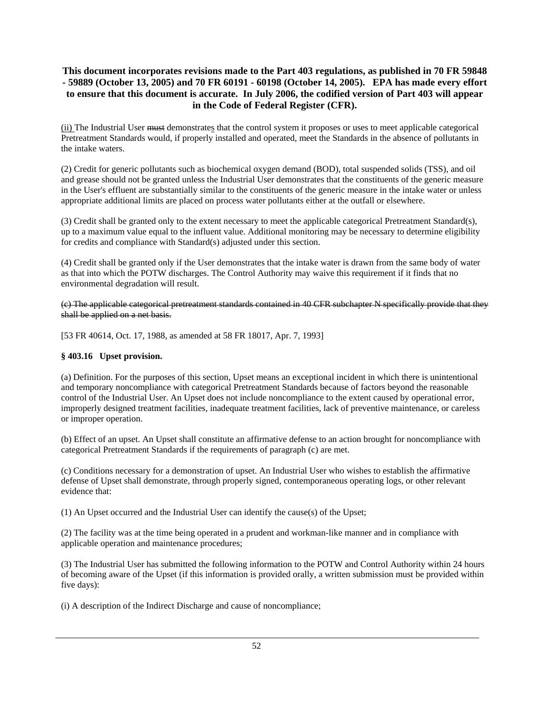(ii) The Industrial User must demonstrates that the control system it proposes or uses to meet applicable categorical Pretreatment Standards would, if properly installed and operated, meet the Standards in the absence of pollutants in the intake waters.

(2) Credit for generic pollutants such as biochemical oxygen demand (BOD), total suspended solids (TSS), and oil and grease should not be granted unless the Industrial User demonstrates that the constituents of the generic measure in the User's effluent are substantially similar to the constituents of the generic measure in the intake water or unless appropriate additional limits are placed on process water pollutants either at the outfall or elsewhere.

(3) Credit shall be granted only to the extent necessary to meet the applicable categorical Pretreatment Standard(s), up to a maximum value equal to the influent value. Additional monitoring may be necessary to determine eligibility for credits and compliance with Standard(s) adjusted under this section.

(4) Credit shall be granted only if the User demonstrates that the intake water is drawn from the same body of water as that into which the POTW discharges. The Control Authority may waive this requirement if it finds that no environmental degradation will result.

(c) The applicable categorical pretreatment standards contained in 40 CFR subchapter N specifically provide that they shall be applied on a net basis.

[53 FR 40614, Oct. 17, 1988, as amended at 58 FR 18017, Apr. 7, 1993]

### **§ 403.16 Upset provision.**

(a) Definition. For the purposes of this section, Upset means an exceptional incident in which there is unintentional and temporary noncompliance with categorical Pretreatment Standards because of factors beyond the reasonable control of the Industrial User. An Upset does not include noncompliance to the extent caused by operational error, improperly designed treatment facilities, inadequate treatment facilities, lack of preventive maintenance, or careless or improper operation.

(b) Effect of an upset. An Upset shall constitute an affirmative defense to an action brought for noncompliance with categorical Pretreatment Standards if the requirements of paragraph (c) are met.

(c) Conditions necessary for a demonstration of upset. An Industrial User who wishes to establish the affirmative defense of Upset shall demonstrate, through properly signed, contemporaneous operating logs, or other relevant evidence that:

(1) An Upset occurred and the Industrial User can identify the cause(s) of the Upset;

(2) The facility was at the time being operated in a prudent and workman-like manner and in compliance with applicable operation and maintenance procedures;

(3) The Industrial User has submitted the following information to the POTW and Control Authority within 24 hours of becoming aware of the Upset (if this information is provided orally, a written submission must be provided within five days):

(i) A description of the Indirect Discharge and cause of noncompliance;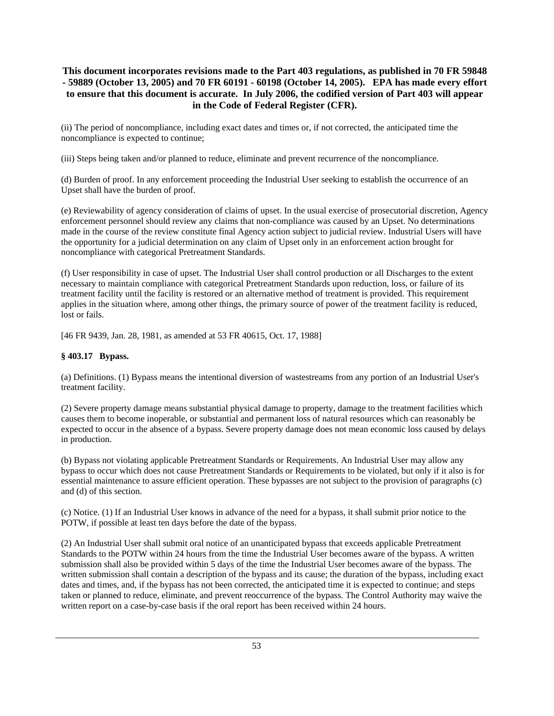(ii) The period of noncompliance, including exact dates and times or, if not corrected, the anticipated time the noncompliance is expected to continue;

(iii) Steps being taken and/or planned to reduce, eliminate and prevent recurrence of the noncompliance.

(d) Burden of proof. In any enforcement proceeding the Industrial User seeking to establish the occurrence of an Upset shall have the burden of proof.

(e) Reviewability of agency consideration of claims of upset. In the usual exercise of prosecutorial discretion, Agency enforcement personnel should review any claims that non-compliance was caused by an Upset. No determinations made in the course of the review constitute final Agency action subject to judicial review. Industrial Users will have the opportunity for a judicial determination on any claim of Upset only in an enforcement action brought for noncompliance with categorical Pretreatment Standards.

(f) User responsibility in case of upset. The Industrial User shall control production or all Discharges to the extent necessary to maintain compliance with categorical Pretreatment Standards upon reduction, loss, or failure of its treatment facility until the facility is restored or an alternative method of treatment is provided. This requirement applies in the situation where, among other things, the primary source of power of the treatment facility is reduced, lost or fails.

[46 FR 9439, Jan. 28, 1981, as amended at 53 FR 40615, Oct. 17, 1988]

### **§ 403.17 Bypass.**

(a) Definitions. (1) Bypass means the intentional diversion of wastestreams from any portion of an Industrial User's treatment facility.

(2) Severe property damage means substantial physical damage to property, damage to the treatment facilities which causes them to become inoperable, or substantial and permanent loss of natural resources which can reasonably be expected to occur in the absence of a bypass. Severe property damage does not mean economic loss caused by delays in production.

(b) Bypass not violating applicable Pretreatment Standards or Requirements. An Industrial User may allow any bypass to occur which does not cause Pretreatment Standards or Requirements to be violated, but only if it also is for essential maintenance to assure efficient operation. These bypasses are not subject to the provision of paragraphs (c) and (d) of this section.

(c) Notice. (1) If an Industrial User knows in advance of the need for a bypass, it shall submit prior notice to the POTW, if possible at least ten days before the date of the bypass.

(2) An Industrial User shall submit oral notice of an unanticipated bypass that exceeds applicable Pretreatment Standards to the POTW within 24 hours from the time the Industrial User becomes aware of the bypass. A written submission shall also be provided within 5 days of the time the Industrial User becomes aware of the bypass. The written submission shall contain a description of the bypass and its cause; the duration of the bypass, including exact dates and times, and, if the bypass has not been corrected, the anticipated time it is expected to continue; and steps taken or planned to reduce, eliminate, and prevent reoccurrence of the bypass. The Control Authority may waive the written report on a case-by-case basis if the oral report has been received within 24 hours.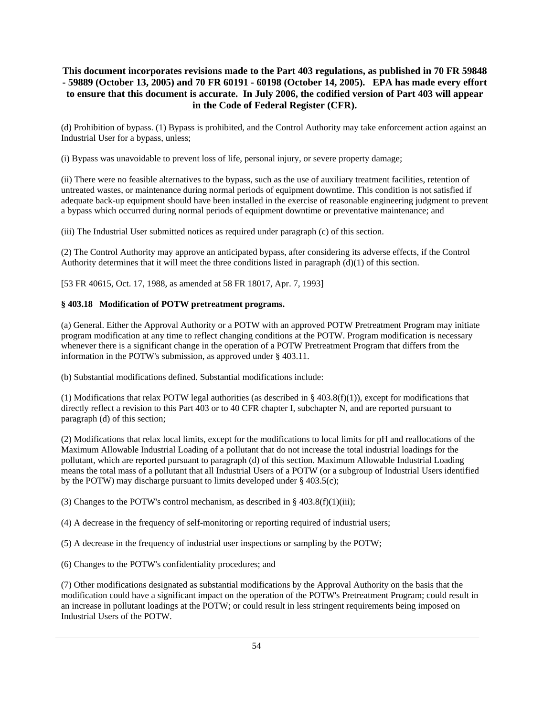(d) Prohibition of bypass. (1) Bypass is prohibited, and the Control Authority may take enforcement action against an Industrial User for a bypass, unless;

(i) Bypass was unavoidable to prevent loss of life, personal injury, or severe property damage;

(ii) There were no feasible alternatives to the bypass, such as the use of auxiliary treatment facilities, retention of untreated wastes, or maintenance during normal periods of equipment downtime. This condition is not satisfied if adequate back-up equipment should have been installed in the exercise of reasonable engineering judgment to prevent a bypass which occurred during normal periods of equipment downtime or preventative maintenance; and

(iii) The Industrial User submitted notices as required under paragraph (c) of this section.

(2) The Control Authority may approve an anticipated bypass, after considering its adverse effects, if the Control Authority determines that it will meet the three conditions listed in paragraph  $(d)(1)$  of this section.

[53 FR 40615, Oct. 17, 1988, as amended at 58 FR 18017, Apr. 7, 1993]

#### **§ 403.18 Modification of POTW pretreatment programs.**

(a) General. Either the Approval Authority or a POTW with an approved POTW Pretreatment Program may initiate program modification at any time to reflect changing conditions at the POTW. Program modification is necessary whenever there is a significant change in the operation of a POTW Pretreatment Program that differs from the information in the POTW's submission, as approved under § 403.11.

(b) Substantial modifications defined. Substantial modifications include:

(1) Modifications that relax POTW legal authorities (as described in  $\S$  403.8(f)(1)), except for modifications that directly reflect a revision to this Part 403 or to 40 CFR chapter I, subchapter N, and are reported pursuant to paragraph (d) of this section;

(2) Modifications that relax local limits, except for the modifications to local limits for pH and reallocations of the Maximum Allowable Industrial Loading of a pollutant that do not increase the total industrial loadings for the pollutant, which are reported pursuant to paragraph (d) of this section. Maximum Allowable Industrial Loading means the total mass of a pollutant that all Industrial Users of a POTW (or a subgroup of Industrial Users identified by the POTW) may discharge pursuant to limits developed under § 403.5(c);

(3) Changes to the POTW's control mechanism, as described in  $\S$  403.8(f)(1)(iii);

(4) A decrease in the frequency of self-monitoring or reporting required of industrial users;

(5) A decrease in the frequency of industrial user inspections or sampling by the POTW;

(6) Changes to the POTW's confidentiality procedures; and

(7) Other modifications designated as substantial modifications by the Approval Authority on the basis that the modification could have a significant impact on the operation of the POTW's Pretreatment Program; could result in an increase in pollutant loadings at the POTW; or could result in less stringent requirements being imposed on Industrial Users of the POTW.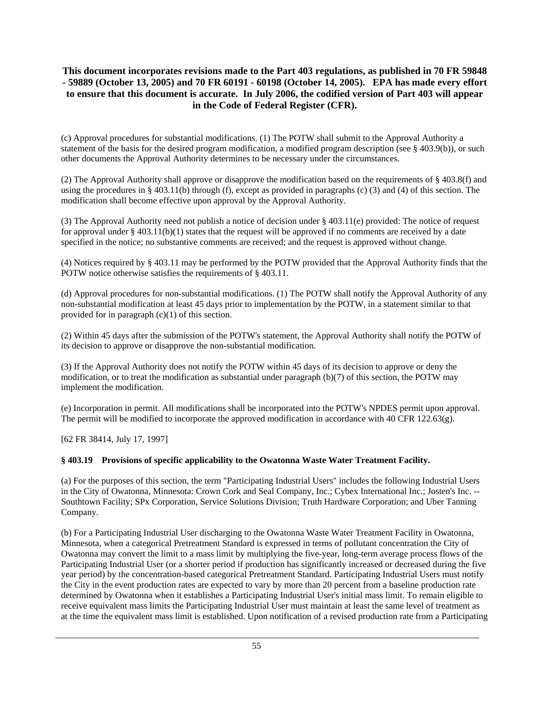(c) Approval procedures for substantial modifications. (1) The POTW shall submit to the Approval Authority a statement of the basis for the desired program modification, a modified program description (see § 403.9(b)), or such other documents the Approval Authority determines to be necessary under the circumstances.

(2) The Approval Authority shall approve or disapprove the modification based on the requirements of § 403.8(f) and using the procedures in § 403.11(b) through (f), except as provided in paragraphs (c) (3) and (4) of this section. The modification shall become effective upon approval by the Approval Authority.

(3) The Approval Authority need not publish a notice of decision under § 403.11(e) provided: The notice of request for approval under  $\S 403.11(b)(1)$  states that the request will be approved if no comments are received by a date specified in the notice; no substantive comments are received; and the request is approved without change.

(4) Notices required by § 403.11 may be performed by the POTW provided that the Approval Authority finds that the POTW notice otherwise satisfies the requirements of § 403.11.

(d) Approval procedures for non-substantial modifications. (1) The POTW shall notify the Approval Authority of any non-substantial modification at least 45 days prior to implementation by the POTW, in a statement similar to that provided for in paragraph (c)(1) of this section.

(2) Within 45 days after the submission of the POTW's statement, the Approval Authority shall notify the POTW of its decision to approve or disapprove the non-substantial modification.

(3) If the Approval Authority does not notify the POTW within 45 days of its decision to approve or deny the modification, or to treat the modification as substantial under paragraph (b)(7) of this section, the POTW may implement the modification.

(e) Incorporation in permit. All modifications shall be incorporated into the POTW's NPDES permit upon approval. The permit will be modified to incorporate the approved modification in accordance with 40 CFR 122.63(g).

[62 FR 38414, July 17, 1997]

# **§ 403.19 Provisions of specific applicability to the Owatonna Waste Water Treatment Facility.**

(a) For the purposes of this section, the term "Participating Industrial Users" includes the following Industrial Users in the City of Owatonna, Minnesota: Crown Cork and Seal Company, Inc.; Cybex International Inc.; Josten's Inc. -- Southtown Facility; SPx Corporation, Service Solutions Division; Truth Hardware Corporation; and Uber Tanning Company.

(b) For a Participating Industrial User discharging to the Owatonna Waste Water Treatment Facility in Owatonna, Minnesota, when a categorical Pretreatment Standard is expressed in terms of pollutant concentration the City of Owatonna may convert the limit to a mass limit by multiplying the five-year, long-term average process flows of the Participating Industrial User (or a shorter period if production has significantly increased or decreased during the five year period) by the concentration-based categorical Pretreatment Standard. Participating Industrial Users must notify the City in the event production rates are expected to vary by more than 20 percent from a baseline production rate determined by Owatonna when it establishes a Participating Industrial User's initial mass limit. To remain eligible to receive equivalent mass limits the Participating Industrial User must maintain at least the same level of treatment as at the time the equivalent mass limit is established. Upon notification of a revised production rate from a Participating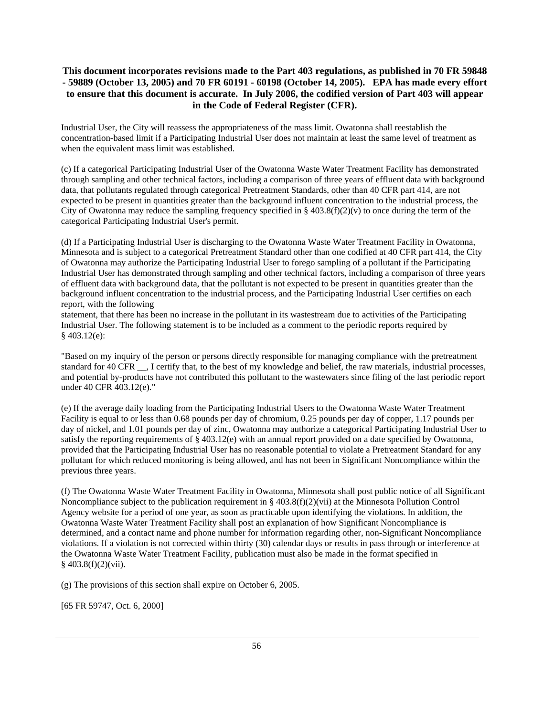Industrial User, the City will reassess the appropriateness of the mass limit. Owatonna shall reestablish the concentration-based limit if a Participating Industrial User does not maintain at least the same level of treatment as when the equivalent mass limit was established.

(c) If a categorical Participating Industrial User of the Owatonna Waste Water Treatment Facility has demonstrated through sampling and other technical factors, including a comparison of three years of effluent data with background data, that pollutants regulated through categorical Pretreatment Standards, other than 40 CFR part 414, are not expected to be present in quantities greater than the background influent concentration to the industrial process, the City of Owatonna may reduce the sampling frequency specified in  $\S 403.8(f)(2)(v)$  to once during the term of the categorical Participating Industrial User's permit.

(d) If a Participating Industrial User is discharging to the Owatonna Waste Water Treatment Facility in Owatonna, Minnesota and is subject to a categorical Pretreatment Standard other than one codified at 40 CFR part 414, the City of Owatonna may authorize the Participating Industrial User to forego sampling of a pollutant if the Participating Industrial User has demonstrated through sampling and other technical factors, including a comparison of three years of effluent data with background data, that the pollutant is not expected to be present in quantities greater than the background influent concentration to the industrial process, and the Participating Industrial User certifies on each report, with the following

statement, that there has been no increase in the pollutant in its wastestream due to activities of the Participating Industrial User. The following statement is to be included as a comment to the periodic reports required by § 403.12(e):

"Based on my inquiry of the person or persons directly responsible for managing compliance with the pretreatment standard for 40 CFR \_\_, I certify that, to the best of my knowledge and belief, the raw materials, industrial processes, and potential by-products have not contributed this pollutant to the wastewaters since filing of the last periodic report under 40 CFR 403.12(e)."

(e) If the average daily loading from the Participating Industrial Users to the Owatonna Waste Water Treatment Facility is equal to or less than 0.68 pounds per day of chromium, 0.25 pounds per day of copper, 1.17 pounds per day of nickel, and 1.01 pounds per day of zinc, Owatonna may authorize a categorical Participating Industrial User to satisfy the reporting requirements of § 403.12(e) with an annual report provided on a date specified by Owatonna, provided that the Participating Industrial User has no reasonable potential to violate a Pretreatment Standard for any pollutant for which reduced monitoring is being allowed, and has not been in Significant Noncompliance within the previous three years.

(f) The Owatonna Waste Water Treatment Facility in Owatonna, Minnesota shall post public notice of all Significant Noncompliance subject to the publication requirement in § 403.8(f)(2)(vii) at the Minnesota Pollution Control Agency website for a period of one year, as soon as practicable upon identifying the violations. In addition, the Owatonna Waste Water Treatment Facility shall post an explanation of how Significant Noncompliance is determined, and a contact name and phone number for information regarding other, non-Significant Noncompliance violations. If a violation is not corrected within thirty (30) calendar days or results in pass through or interference at the Owatonna Waste Water Treatment Facility, publication must also be made in the format specified in § 403.8(f)(2)(vii).

(g) The provisions of this section shall expire on October 6, 2005.

[65 FR 59747, Oct. 6, 2000]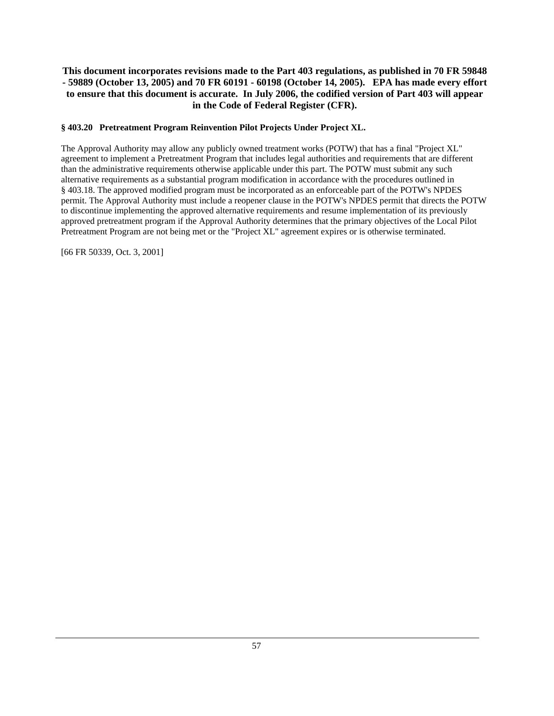# **§ 403.20 Pretreatment Program Reinvention Pilot Projects Under Project XL.**

The Approval Authority may allow any publicly owned treatment works (POTW) that has a final "Project XL" agreement to implement a Pretreatment Program that includes legal authorities and requirements that are different than the administrative requirements otherwise applicable under this part. The POTW must submit any such alternative requirements as a substantial program modification in accordance with the procedures outlined in § 403.18. The approved modified program must be incorporated as an enforceable part of the POTW's NPDES permit. The Approval Authority must include a reopener clause in the POTW's NPDES permit that directs the POTW to discontinue implementing the approved alternative requirements and resume implementation of its previously approved pretreatment program if the Approval Authority determines that the primary objectives of the Local Pilot Pretreatment Program are not being met or the "Project XL" agreement expires or is otherwise terminated.

[66 FR 50339, Oct. 3, 2001]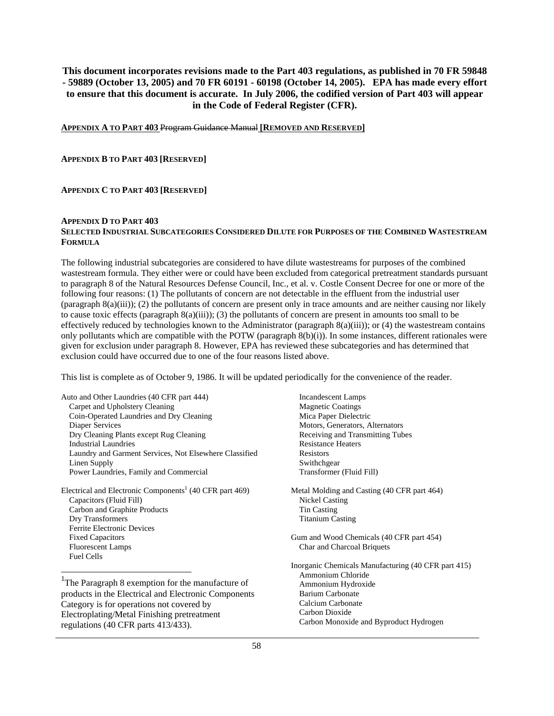**APPENDIX A TO PART 403** Program Guidance Manual **[REMOVED AND RESERVED]**

**APPENDIX B TO PART 403 [RESERVED]** 

#### **APPENDIX C TO PART 403 [RESERVED]**

#### **APPENDIX D TO PART 403 SELECTED INDUSTRIAL SUBCATEGORIES CONSIDERED DILUTE FOR PURPOSES OF THE COMBINED WASTESTREAM FORMULA**

The following industrial subcategories are considered to have dilute wastestreams for purposes of the combined wastestream formula. They either were or could have been excluded from categorical pretreatment standards pursuant to paragraph 8 of the Natural Resources Defense Council, Inc., et al. v. Costle Consent Decree for one or more of the following four reasons: (1) The pollutants of concern are not detectable in the effluent from the industrial user  $(paragramb 8(a)(iii))$ ; (2) the pollutants of concern are present only in trace amounts and are neither causing nor likely to cause toxic effects (paragraph 8(a)(iii)); (3) the pollutants of concern are present in amounts too small to be effectively reduced by technologies known to the Administrator (paragraph 8(a)(iii)); or (4) the wastestream contains only pollutants which are compatible with the POTW (paragraph 8(b)(i)). In some instances, different rationales were given for exclusion under paragraph 8. However, EPA has reviewed these subcategories and has determined that exclusion could have occurred due to one of the four reasons listed above.

This list is complete as of October 9, 1986. It will be updated periodically for the convenience of the reader.

Auto and Other Laundries (40 CFR part 444) Carpet and Upholstery Cleaning Coin-Operated Laundries and Dry Cleaning Diaper Services Dry Cleaning Plants except Rug Cleaning Industrial Laundries Laundry and Garment Services, Not Elsewhere Classified Linen Supply Power Laundries, Family and Commercial

Electrical and Electronic Components<sup>1</sup> (40 CFR part 469) Capacitors (Fluid Fill) Carbon and Graphite Products Dry Transformers Ferrite Electronic Devices Fixed Capacitors Fluorescent Lamps Fuel Cells

<sup>1</sup>The Paragraph 8 exemption for the manufacture of products in the Electrical and Electronic Components Category is for operations not covered by Electroplating/Metal Finishing pretreatment regulations (40 CFR parts 413/433).

 $\overline{\phantom{a}}$ 

 Incandescent Lamps Magnetic Coatings Mica Paper Dielectric Motors, Generators, Alternators Receiving and Transmitting Tubes Resistance Heaters Resistors Swithchgear Transformer (Fluid Fill)

Metal Molding and Casting (40 CFR part 464) Nickel Casting Tin Casting Titanium Casting

Gum and Wood Chemicals (40 CFR part 454) Char and Charcoal Briquets

Inorganic Chemicals Manufacturing (40 CFR part 415) Ammonium Chloride Ammonium Hydroxide Barium Carbonate Calcium Carbonate Carbon Dioxide Carbon Monoxide and Byproduct Hydrogen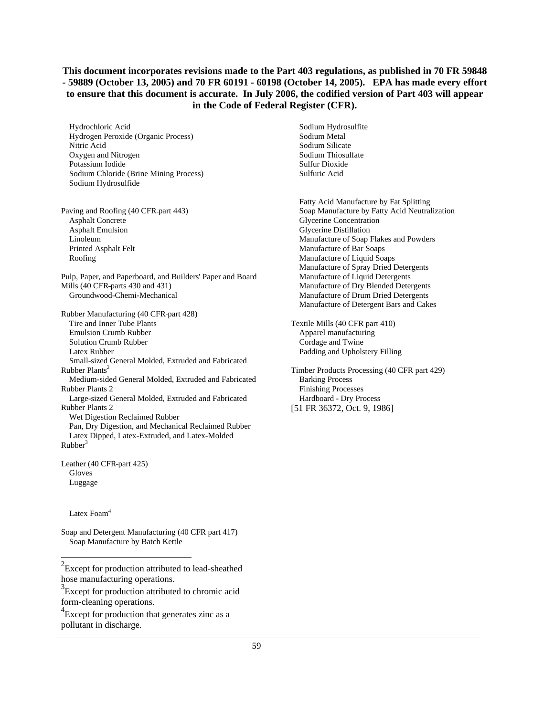Hydrochloric Acid Hydrogen Peroxide (Organic Process) Nitric Acid Oxygen and Nitrogen Potassium Iodide Sodium Chloride (Brine Mining Process) Sodium Hydrosulfide

Paving and Roofing (40 CFR part 443) Asphalt Concrete Asphalt Emulsion Linoleum Printed Asphalt Felt Roofing

Pulp, Paper, and Paperboard, and Builders' Paper and Board Mills (40 CFR parts 430 and 431) Groundwood-Chemi-Mechanical

Rubber Manufacturing (40 CFR part 428) Tire and Inner Tube Plants Emulsion Crumb Rubber Solution Crumb Rubber Latex Rubber Small-sized General Molded, Extruded and Fabricated Rubber  $Plan's<sup>2</sup>$  Medium-sided General Molded, Extruded and Fabricated Rubber Plants 2 Large-sized General Molded, Extruded and Fabricated Rubber Plants 2 Wet Digestion Reclaimed Rubber Pan, Dry Digestion, and Mechanical Reclaimed Rubber Latex Dipped, Latex-Extruded, and Latex-Molded  $Rubber<sup>3</sup>$ 

Leather (40 CFR part 425) Gloves Luggage

Latex Foam<sup>4</sup>

 $\overline{\phantom{a}}$ 

Soap and Detergent Manufacturing (40 CFR part 417) Soap Manufacture by Batch Kettle

 $2$ Except for production attributed to lead-sheathed hose manufacturing operations.

<sup>3</sup> Except for production attributed to chromic acid form-cleaning operations.

<sup>4</sup> Except for production that generates zinc as a pollutant in discharge.

 Sodium Hydrosulfite Sodium Metal Sodium Silicate Sodium Thiosulfate Sulfur Dioxide Sulfuric Acid

 Fatty Acid Manufacture by Fat Splitting Soap Manufacture by Fatty Acid Neutralization Glycerine Concentration Glycerine Distillation Manufacture of Soap Flakes and Powders Manufacture of Bar Soaps Manufacture of Liquid Soaps Manufacture of Spray Dried Detergents Manufacture of Liquid Detergents Manufacture of Dry Blended Detergents Manufacture of Drum Dried Detergents Manufacture of Detergent Bars and Cakes

Textile Mills (40 CFR part 410) Apparel manufacturing Cordage and Twine Padding and Upholstery Filling

Timber Products Processing (40 CFR part 429) Barking Process Finishing Processes Hardboard - Dry Process [51 FR 36372, Oct. 9, 1986]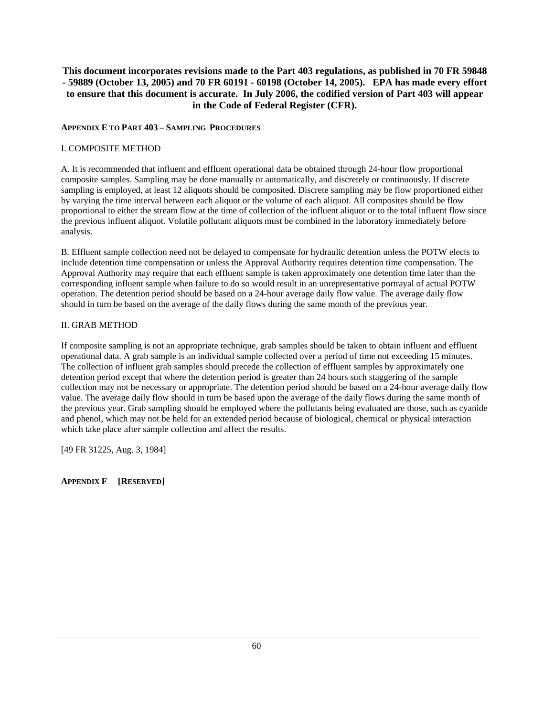#### **APPENDIX E TO PART 403 – SAMPLING PROCEDURES**

### I. COMPOSITE METHOD

A. It is recommended that influent and effluent operational data be obtained through 24-hour flow proportional composite samples. Sampling may be done manually or automatically, and discretely or continuously. If discrete sampling is employed, at least 12 aliquots should be composited. Discrete sampling may be flow proportioned either by varying the time interval between each aliquot or the volume of each aliquot. All composites should be flow proportional to either the stream flow at the time of collection of the influent aliquot or to the total influent flow since the previous influent aliquot. Volatile pollutant aliquots must be combined in the laboratory immediately before analysis.

B. Effluent sample collection need not be delayed to compensate for hydraulic detention unless the POTW elects to include detention time compensation or unless the Approval Authority requires detention time compensation. The Approval Authority may require that each effluent sample is taken approximately one detention time later than the corresponding influent sample when failure to do so would result in an unrepresentative portrayal of actual POTW operation. The detention period should be based on a 24-hour average daily flow value. The average daily flow should in turn be based on the average of the daily flows during the same month of the previous year.

### II. GRAB METHOD

If composite sampling is not an appropriate technique, grab samples should be taken to obtain influent and effluent operational data. A grab sample is an individual sample collected over a period of time not exceeding 15 minutes. The collection of influent grab samples should precede the collection of effluent samples by approximately one detention period except that where the detention period is greater than 24 hours such staggering of the sample collection may not be necessary or appropriate. The detention period should be based on a 24-hour average daily flow value. The average daily flow should in turn be based upon the average of the daily flows during the same month of the previous year. Grab sampling should be employed where the pollutants being evaluated are those, such as cyanide and phenol, which may not be held for an extended period because of biological, chemical or physical interaction which take place after sample collection and affect the results.

[49 FR 31225, Aug. 3, 1984]

# **APPENDIX F [RESERVED]**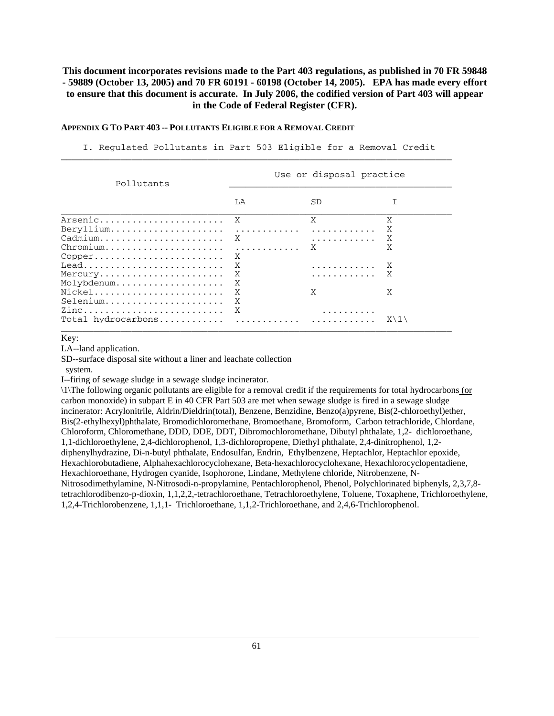#### **APPENDIX G TO PART 403 -- POLLUTANTS ELIGIBLE FOR A REMOVAL CREDIT**

 I. Regulated Pollutants in Part 503 Eligible for a Removal Credit  $\overline{\phantom{a}}$  , and the set of the set of the set of the set of the set of the set of the set of the set of the set of the set of the set of the set of the set of the set of the set of the set of the set of the set of the s

| Pollutants                                            | Use or disposal practice |     |                 |
|-------------------------------------------------------|--------------------------|-----|-----------------|
|                                                       | LA                       | SD. |                 |
| Arsenic                                               | X                        | X   | Χ               |
| $Beryllium \ldots \ldots \ldots \ldots \ldots \ldots$ | .                        | .   | X               |
| Cadmium                                               | X                        | .   | X               |
|                                                       | .                        | X   | X               |
| $Copper$                                              | X                        |     |                 |
| $Lead$                                                | X                        | .   | X               |
| Mercury                                               | X                        | .   | X               |
| Molybdenum                                            | X                        |     |                 |
| Nickel                                                | X                        | X   | X               |
| Selenium                                              | X                        |     |                 |
| Zinc                                                  | X                        |     |                 |
|                                                       |                          |     | $X \setminus 1$ |

Key:

LA--land application.

SD--surface disposal site without a liner and leachate collection

system.

I--firing of sewage sludge in a sewage sludge incinerator.

\1\The following organic pollutants are eligible for a removal credit if the requirements for total hydrocarbons (or carbon monoxide) in subpart E in 40 CFR Part 503 are met when sewage sludge is fired in a sewage sludge incinerator: Acrylonitrile, Aldrin/Dieldrin(total), Benzene, Benzidine, Benzo(a)pyrene, Bis(2-chloroethyl)ether, Bis(2-ethylhexyl)phthalate, Bromodichloromethane, Bromoethane, Bromoform, Carbon tetrachloride, Chlordane, Chloroform, Chloromethane, DDD, DDE, DDT, Dibromochloromethane, Dibutyl phthalate, 1,2- dichloroethane, 1,1-dichloroethylene, 2,4-dichlorophenol, 1,3-dichloropropene, Diethyl phthalate, 2,4-dinitrophenol, 1,2 diphenylhydrazine, Di-n-butyl phthalate, Endosulfan, Endrin, Ethylbenzene, Heptachlor, Heptachlor epoxide, Hexachlorobutadiene, Alphahexachlorocyclohexane, Beta-hexachlorocyclohexane, Hexachlorocyclopentadiene, Hexachloroethane, Hydrogen cyanide, Isophorone, Lindane, Methylene chloride, Nitrobenzene, N-Nitrosodimethylamine, N-Nitrosodi-n-propylamine, Pentachlorophenol, Phenol, Polychlorinated biphenyls, 2,3,7,8 tetrachlorodibenzo-p-dioxin, 1,1,2,2,-tetrachloroethane, Tetrachloroethylene, Toluene, Toxaphene, Trichloroethylene, 1,2,4-Trichlorobenzene, 1,1,1- Trichloroethane, 1,1,2-Trichloroethane, and 2,4,6-Trichlorophenol.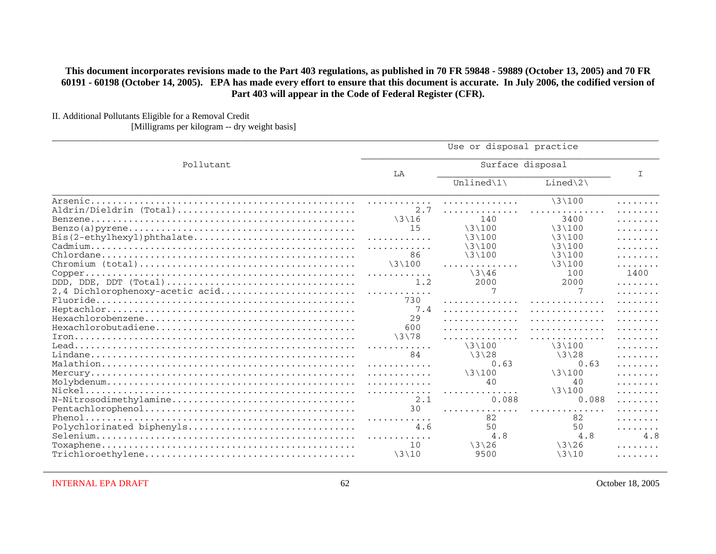II. Additional Pollutants Eligible for a Removal Credit

[Milligrams per kilogram -- dry weight basis]

|                                 | Use or disposal practice |                           |                           |                  |
|---------------------------------|--------------------------|---------------------------|---------------------------|------------------|
| Pollutant                       | LA                       | Surface disposal          |                           | I                |
|                                 |                          | Unlined $\lvert 1 \rvert$ | $Line d\2$                |                  |
|                                 | .                        | .                         | $\3100$                   | .                |
| Aldrin/Dieldrin (Total)         | 2.7                      | .                         |                           | .                |
|                                 | $\frac{3}{16}$           | 140                       | 3400                      | .                |
|                                 | 15                       | $\3\100$                  | $\frac{131100}{2}$        | .                |
|                                 | .                        | $\lambda$ 3 $\lambda$ 100 | $\lambda$ 3 $\lambda$ 100 | .                |
|                                 | . <b>.</b>               | $\3\100$                  | $\3100$                   | .                |
|                                 | 86                       | $\3100$                   | $\3\100$                  | .                |
|                                 | $\3100$                  | .                         | $\3100$                   | .                |
|                                 | .                        | $\frac{3146}{5}$          | 100                       | 1400             |
| DDD, DDE, DDT (Total)           | 1.2                      | 2000                      | 2000                      | .                |
| 2,4 Dichlorophenoxy-acetic acid | .                        |                           |                           | .                |
|                                 | 730                      | .                         | .                         | 2.2.2.2.2.2.2.2. |
|                                 | 7.4                      | .                         | .                         | .                |
|                                 | 29                       | .                         | .                         | .                |
|                                 | 600                      | .                         | .                         |                  |
|                                 | \3\78                    | .                         | .                         | .                |
|                                 |                          | $\3100$                   | $\3100$                   | .                |
|                                 | 84                       | $\3\128$                  | $\3\128$                  | .                |
|                                 | .                        | 0.63                      | 0.63                      | .                |
|                                 | .                        | $\3100$                   | $\3\100$                  | .                |
|                                 | .                        | 40                        | 40                        | .                |
|                                 | .                        | .                         | $\3100$                   | .                |
| N-Nitrosodimethylamine          | 2.1                      | 0.088                     | 0.088                     | .                |
|                                 | 30                       | .                         | .                         | .                |
|                                 | .                        | 82                        | 82                        | .                |
| Polychlorinated biphenyls       | 4.6                      | 50                        | 50                        | .                |
|                                 | . . <b>.</b>             | 4.8                       | 4.8                       | 4.8              |
|                                 | 10                       | $\frac{3126}{5}$          | $\frac{3126}{5}$          | .                |
|                                 | $\3\10$                  | 9500                      | $\3\10$                   |                  |
|                                 |                          |                           |                           | .                |